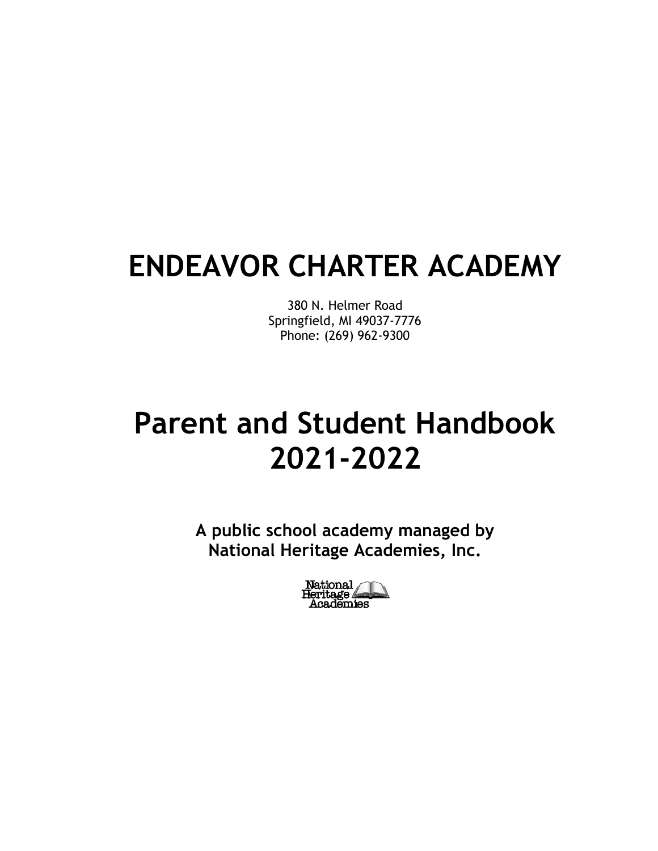# **ENDEAVOR CHARTER ACADEMY**

380 N. Helmer Road Springfield, MI 49037-7776 Phone: (269) 962-9300

# **Parent and Student Handbook 2021-2022**

**A public school academy managed by National Heritage Academies, Inc.**

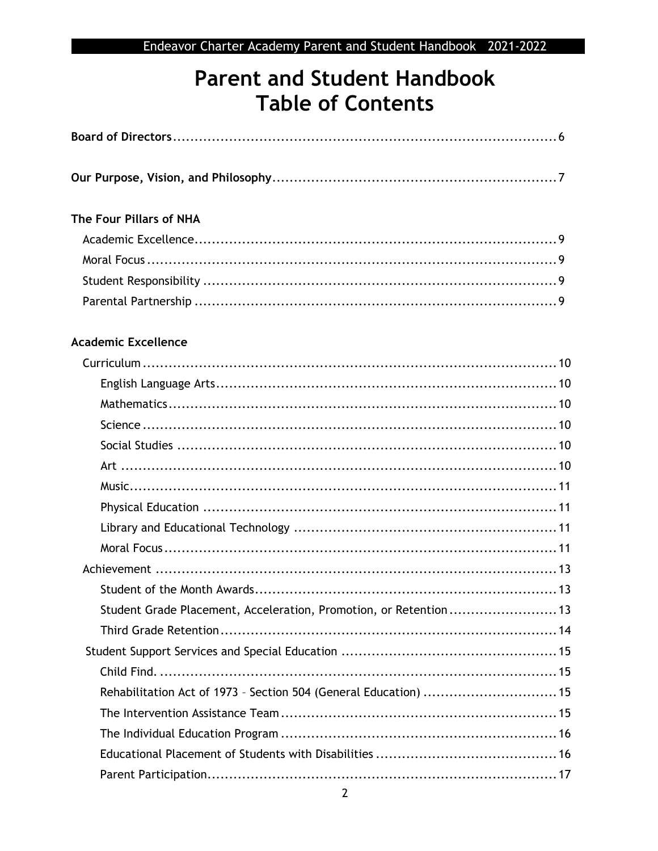## **Parent and Student Handbook Table of Contents**

| The Four Pillars of NHA                                           |  |
|-------------------------------------------------------------------|--|
|                                                                   |  |
|                                                                   |  |
|                                                                   |  |
|                                                                   |  |
| <b>Academic Excellence</b>                                        |  |
|                                                                   |  |
|                                                                   |  |
|                                                                   |  |
|                                                                   |  |
|                                                                   |  |
|                                                                   |  |
|                                                                   |  |
|                                                                   |  |
|                                                                   |  |
|                                                                   |  |
|                                                                   |  |
|                                                                   |  |
| Student Grade Placement, Acceleration, Promotion, or Retention 13 |  |
|                                                                   |  |
|                                                                   |  |
|                                                                   |  |
| Rehabilitation Act of 1973 - Section 504 (General Education)  15  |  |
|                                                                   |  |
|                                                                   |  |
|                                                                   |  |
|                                                                   |  |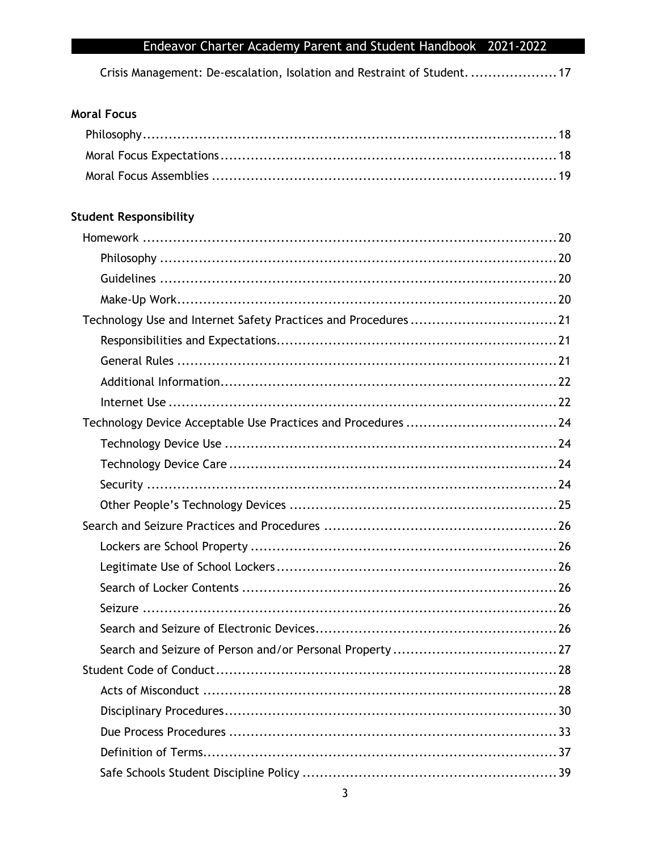Crisis Management: De-escalation, Isolation and Restraint of Student. .................... 17

## **Moral Focus**

## **Student Responsibility**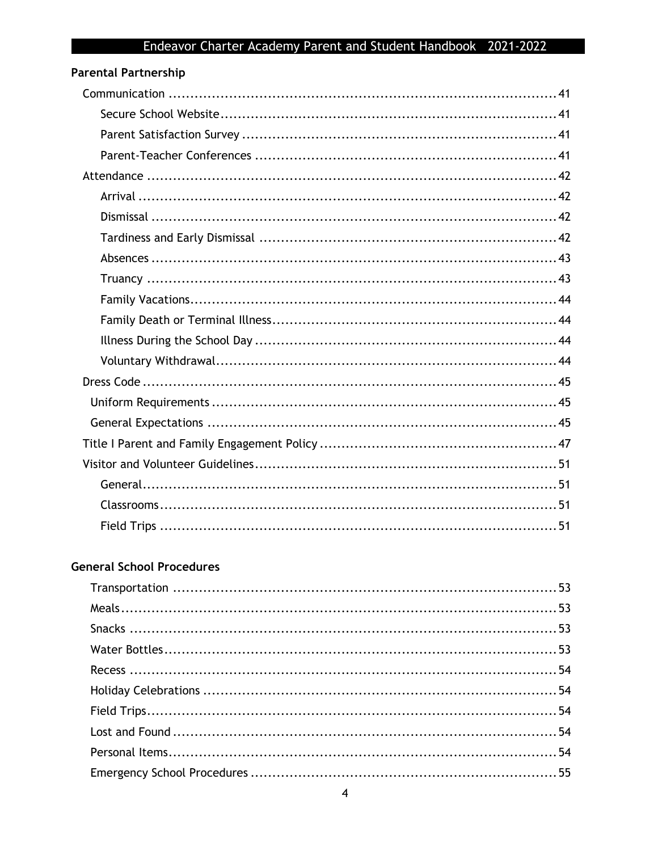| <b>Parental Partnership</b> |  |
|-----------------------------|--|
|                             |  |
|                             |  |
|                             |  |
|                             |  |
|                             |  |
|                             |  |
|                             |  |
|                             |  |
|                             |  |
|                             |  |
|                             |  |
|                             |  |
|                             |  |
|                             |  |
|                             |  |
|                             |  |
|                             |  |
|                             |  |
|                             |  |
|                             |  |
|                             |  |
|                             |  |

## **General School Procedures**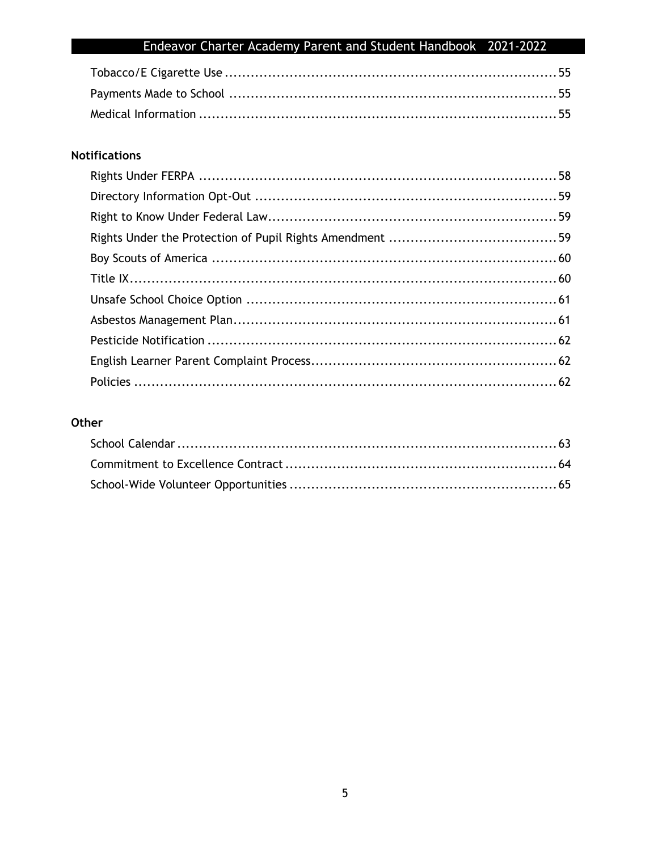## **Notifications**

## Other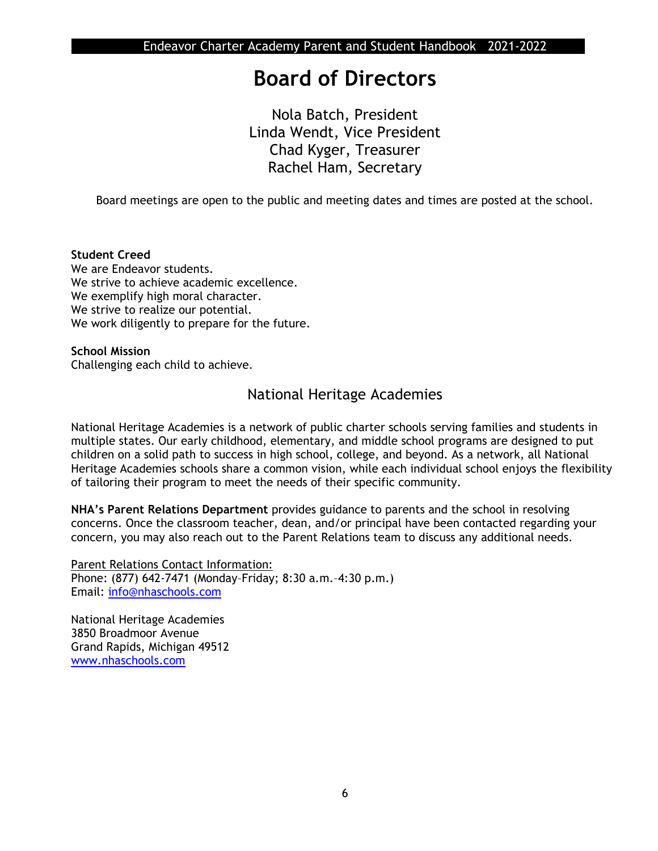## **Board of Directors**

Nola Batch, President Linda Wendt, Vice President Chad Kyger, Treasurer Rachel Ham, Secretary

Board meetings are open to the public and meeting dates and times are posted at the school.

#### **Student Creed**

We are Endeavor students. We strive to achieve academic excellence. We exemplify high moral character. We strive to realize our potential. We work diligently to prepare for the future.

#### **School Mission** Challenging each child to achieve.

## National Heritage Academies

National Heritage Academies is a network of public charter schools serving families and students in multiple states. Our early childhood, elementary, and middle school programs are designed to put children on a solid path to success in high school, college, and beyond. As a network, all National Heritage Academies schools share a common vision, while each individual school enjoys the flexibility of tailoring their program to meet the needs of their specific community.

**NHA's Parent Relations Department** provides guidance to parents and the school in resolving concerns. Once the classroom teacher, dean, and/or principal have been contacted regarding your concern, you may also reach out to the Parent Relations team to discuss any additional needs.

Parent Relations Contact Information: Phone: (877) 642-7471 (Monday–Friday; 8:30 a.m.–4:30 p.m.) Email: [info@nhaschools.com](mailto:info@nhaschools.com)

National Heritage Academies 3850 Broadmoor Avenue Grand Rapids, Michigan 49512 [www.nhaschools.com](http://www.nhaschools.com/)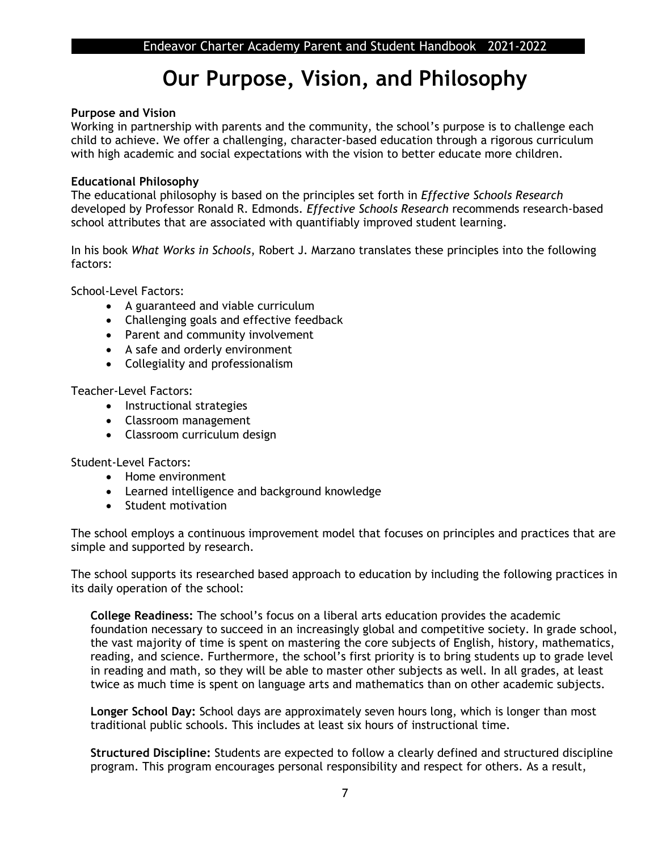## **Our Purpose, Vision, and Philosophy**

#### **Purpose and Vision**

Working in partnership with parents and the community, the school's purpose is to challenge each child to achieve. We offer a challenging, character-based education through a rigorous curriculum with high academic and social expectations with the vision to better educate more children.

#### **Educational Philosophy**

The educational philosophy is based on the principles set forth in *Effective Schools Research*  developed by Professor Ronald R. Edmonds*. Effective Schools Research* recommends research-based school attributes that are associated with quantifiably improved student learning.

In his book *What Works in Schools*, Robert J. Marzano translates these principles into the following factors:

School-Level Factors:

- A guaranteed and viable curriculum
- Challenging goals and effective feedback
- Parent and community involvement
- A safe and orderly environment
- Collegiality and professionalism

Teacher-Level Factors:

- Instructional strategies
- Classroom management
- Classroom curriculum design

Student-Level Factors:

- Home environment
- Learned intelligence and background knowledge
- Student motivation

The school employs a continuous improvement model that focuses on principles and practices that are simple and supported by research.

The school supports its researched based approach to education by including the following practices in its daily operation of the school:

**College Readiness:** The school's focus on a liberal arts education provides the academic foundation necessary to succeed in an increasingly global and competitive society. In grade school, the vast majority of time is spent on mastering the core subjects of English, history, mathematics, reading, and science. Furthermore, the school's first priority is to bring students up to grade level in reading and math, so they will be able to master other subjects as well. In all grades, at least twice as much time is spent on language arts and mathematics than on other academic subjects.

**Longer School Day:** School days are approximately seven hours long, which is longer than most traditional public schools. This includes at least six hours of instructional time.

**Structured Discipline:** Students are expected to follow a clearly defined and structured discipline program. This program encourages personal responsibility and respect for others. As a result,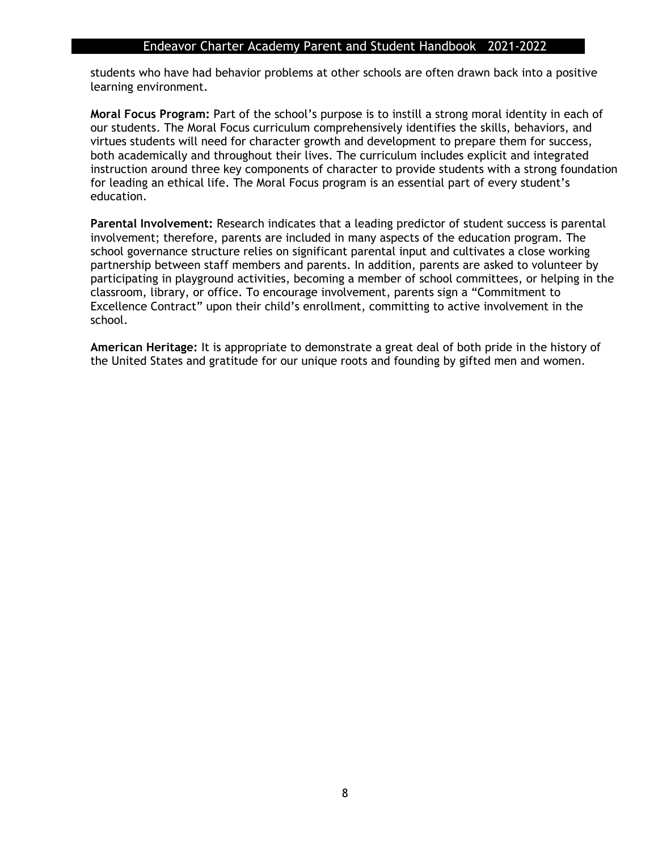students who have had behavior problems at other schools are often drawn back into a positive learning environment.

**Moral Focus Program:** Part of the school's purpose is to instill a strong moral identity in each of our students. The Moral Focus curriculum comprehensively identifies the skills, behaviors, and virtues students will need for character growth and development to prepare them for success, both academically and throughout their lives. The curriculum includes explicit and integrated instruction around three key components of character to provide students with a strong foundation for leading an ethical life. The Moral Focus program is an essential part of every student's education.

**Parental Involvement:** Research indicates that a leading predictor of student success is parental involvement; therefore, parents are included in many aspects of the education program. The school governance structure relies on significant parental input and cultivates a close working partnership between staff members and parents. In addition, parents are asked to volunteer by participating in playground activities, becoming a member of school committees, or helping in the classroom, library, or office. To encourage involvement, parents sign a "Commitment to Excellence Contract" upon their child's enrollment, committing to active involvement in the school.

**American Heritage:** It is appropriate to demonstrate a great deal of both pride in the history of the United States and gratitude for our unique roots and founding by gifted men and women.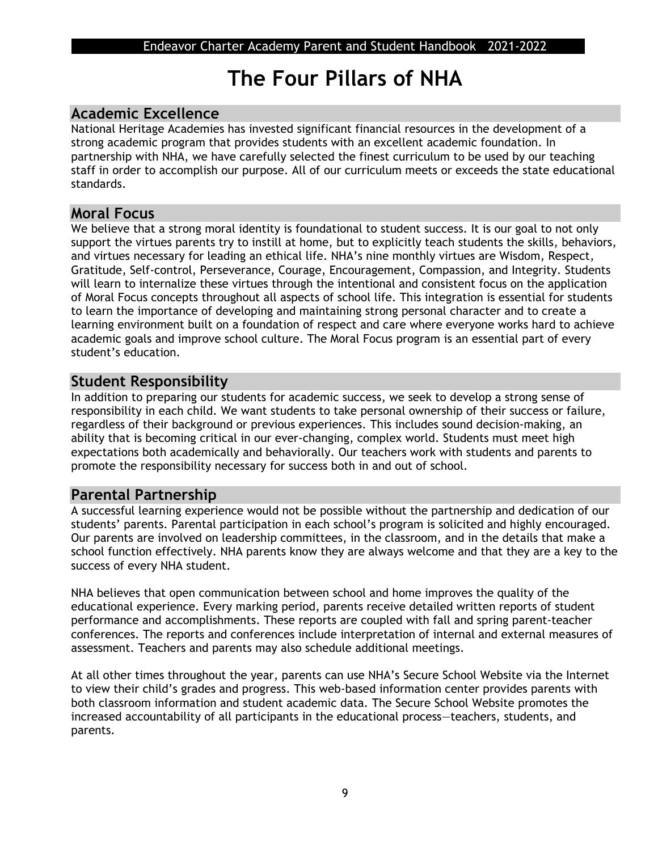## **The Four Pillars of NHA**

## **Academic Excellence**

National Heritage Academies has invested significant financial resources in the development of a strong academic program that provides students with an excellent academic foundation. In partnership with NHA, we have carefully selected the finest curriculum to be used by our teaching staff in order to accomplish our purpose. All of our curriculum meets or exceeds the state educational standards.

### **Moral Focus**

We believe that a strong moral identity is foundational to student success. It is our goal to not only support the virtues parents try to instill at home, but to explicitly teach students the skills, behaviors, and virtues necessary for leading an ethical life. NHA's nine monthly virtues are Wisdom, Respect, Gratitude, Self-control, Perseverance, Courage, Encouragement, Compassion, and Integrity. Students will learn to internalize these virtues through the intentional and consistent focus on the application of Moral Focus concepts throughout all aspects of school life. This integration is essential for students to learn the importance of developing and maintaining strong personal character and to create a learning environment built on a foundation of respect and care where everyone works hard to achieve academic goals and improve school culture. The Moral Focus program is an essential part of every student's education.

## **Student Responsibility**

In addition to preparing our students for academic success, we seek to develop a strong sense of responsibility in each child. We want students to take personal ownership of their success or failure, regardless of their background or previous experiences. This includes sound decision-making, an ability that is becoming critical in our ever-changing, complex world. Students must meet high expectations both academically and behaviorally. Our teachers work with students and parents to promote the responsibility necessary for success both in and out of school.

## **Parental Partnership**

A successful learning experience would not be possible without the partnership and dedication of our students' parents. Parental participation in each school's program is solicited and highly encouraged. Our parents are involved on leadership committees, in the classroom, and in the details that make a school function effectively. NHA parents know they are always welcome and that they are a key to the success of every NHA student.

NHA believes that open communication between school and home improves the quality of the educational experience. Every marking period, parents receive detailed written reports of student performance and accomplishments. These reports are coupled with fall and spring parent-teacher conferences. The reports and conferences include interpretation of internal and external measures of assessment. Teachers and parents may also schedule additional meetings.

At all other times throughout the year, parents can use NHA's Secure School Website via the Internet to view their child's grades and progress. This web-based information center provides parents with both classroom information and student academic data. The Secure School Website promotes the increased accountability of all participants in the educational process—teachers, students, and parents.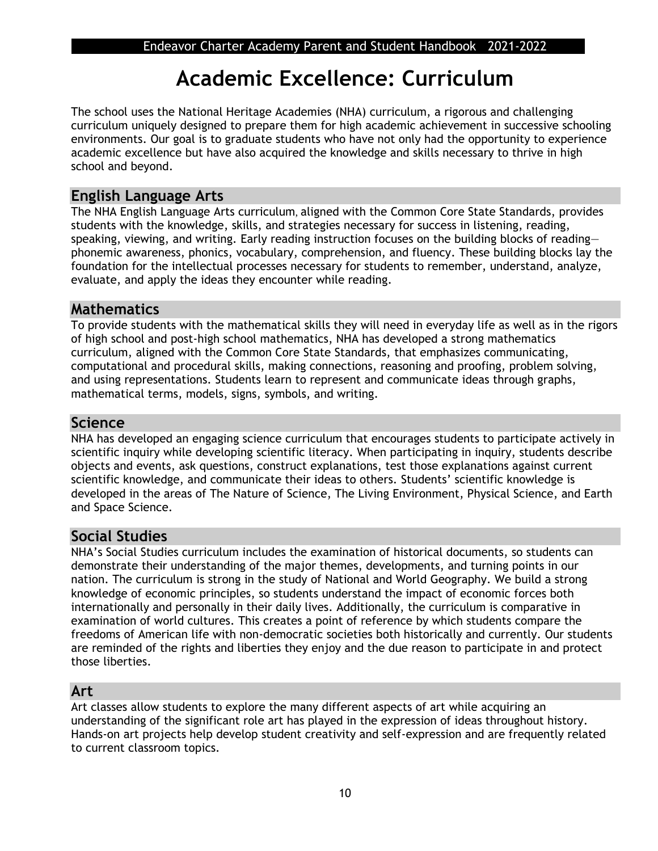## **Academic Excellence: Curriculum**

The school uses the National Heritage Academies (NHA) curriculum, a rigorous and challenging curriculum uniquely designed to prepare them for high academic achievement in successive schooling environments. Our goal is to graduate students who have not only had the opportunity to experience academic excellence but have also acquired the knowledge and skills necessary to thrive in high school and beyond.

## **English Language Arts**

The NHA English Language Arts curriculum, aligned with the Common Core State Standards, provides students with the knowledge, skills, and strategies necessary for success in listening, reading, speaking, viewing, and writing. Early reading instruction focuses on the building blocks of reading phonemic awareness, phonics, vocabulary, comprehension, and fluency. These building blocks lay the foundation for the intellectual processes necessary for students to remember, understand, analyze, evaluate, and apply the ideas they encounter while reading.

## **Mathematics**

To provide students with the mathematical skills they will need in everyday life as well as in the rigors of high school and post-high school mathematics, NHA has developed a strong mathematics curriculum, aligned with the Common Core State Standards, that emphasizes communicating, computational and procedural skills, making connections, reasoning and proofing, problem solving, and using representations. Students learn to represent and communicate ideas through graphs, mathematical terms, models, signs, symbols, and writing.

### **Science**

NHA has developed an engaging science curriculum that encourages students to participate actively in scientific inquiry while developing scientific literacy. When participating in inquiry, students describe objects and events, ask questions, construct explanations, test those explanations against current scientific knowledge, and communicate their ideas to others. Students' scientific knowledge is developed in the areas of The Nature of Science, The Living Environment, Physical Science, and Earth and Space Science.

## **Social Studies**

NHA's Social Studies curriculum includes the examination of historical documents, so students can demonstrate their understanding of the major themes, developments, and turning points in our nation. The curriculum is strong in the study of National and World Geography. We build a strong knowledge of economic principles, so students understand the impact of economic forces both internationally and personally in their daily lives. Additionally, the curriculum is comparative in examination of world cultures. This creates a point of reference by which students compare the freedoms of American life with non-democratic societies both historically and currently. Our students are reminded of the rights and liberties they enjoy and the due reason to participate in and protect those liberties.

## **Art**

Art classes allow students to explore the many different aspects of art while acquiring an understanding of the significant role art has played in the expression of ideas throughout history. Hands-on art projects help develop student creativity and self-expression and are frequently related to current classroom topics.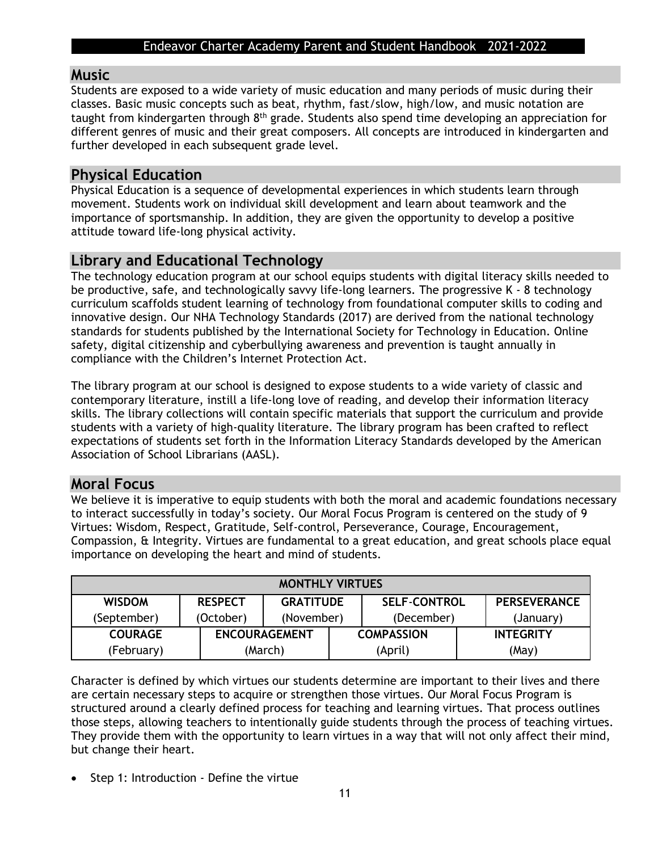#### **Music**

Students are exposed to a wide variety of music education and many periods of music during their classes. Basic music concepts such as beat, rhythm, fast/slow, high/low, and music notation are taught from kindergarten through 8<sup>th</sup> grade. Students also spend time developing an appreciation for different genres of music and their great composers. All concepts are introduced in kindergarten and further developed in each subsequent grade level.

## **Physical Education**

Physical Education is a sequence of developmental experiences in which students learn through movement. Students work on individual skill development and learn about teamwork and the importance of sportsmanship. In addition, they are given the opportunity to develop a positive attitude toward life-long physical activity.

## **Library and Educational Technology**

The technology education program at our school equips students with digital literacy skills needed to be productive, safe, and technologically savvy life-long learners. The progressive K - 8 technology curriculum scaffolds student learning of technology from foundational computer skills to coding and innovative design. Our NHA Technology Standards (2017) are derived from the national technology standards for students published by the International Society for Technology in Education. Online safety, digital citizenship and cyberbullying awareness and prevention is taught annually in compliance with the Children's Internet Protection Act.

The library program at our school is designed to expose students to a wide variety of classic and contemporary literature, instill a life-long love of reading, and develop their information literacy skills. The library collections will contain specific materials that support the curriculum and provide students with a variety of high-quality literature. The library program has been crafted to reflect expectations of students set forth in the Information Literacy Standards developed by the American Association of School Librarians (AASL).

## **Moral Focus**

We believe it is imperative to equip students with both the moral and academic foundations necessary to interact successfully in today's society. Our Moral Focus Program is centered on the study of 9 Virtues: Wisdom, Respect, Gratitude, Self-control, Perseverance, Courage, Encouragement, Compassion, & Integrity. Virtues are fundamental to a great education, and great schools place equal importance on developing the heart and mind of students.

| <b>MONTHLY VIRTUES</b> |                |                      |  |                     |                     |
|------------------------|----------------|----------------------|--|---------------------|---------------------|
| <b>WISDOM</b>          | <b>RESPECT</b> | <b>GRATITUDE</b>     |  | <b>SELF-CONTROL</b> | <b>PERSEVERANCE</b> |
| (September)            | (October)      | (November)           |  | (December)          | (January)           |
| <b>COURAGE</b>         |                | <b>ENCOURAGEMENT</b> |  | <b>COMPASSION</b>   | <b>INTEGRITY</b>    |
| (February)             |                | (March)              |  | (April)             | (May)               |

Character is defined by which virtues our students determine are important to their lives and there are certain necessary steps to acquire or strengthen those virtues. Our Moral Focus Program is structured around a clearly defined process for teaching and learning virtues. That process outlines those steps, allowing teachers to intentionally guide students through the process of teaching virtues. They provide them with the opportunity to learn virtues in a way that will not only affect their mind, but change their heart.

• Step 1: Introduction - Define the virtue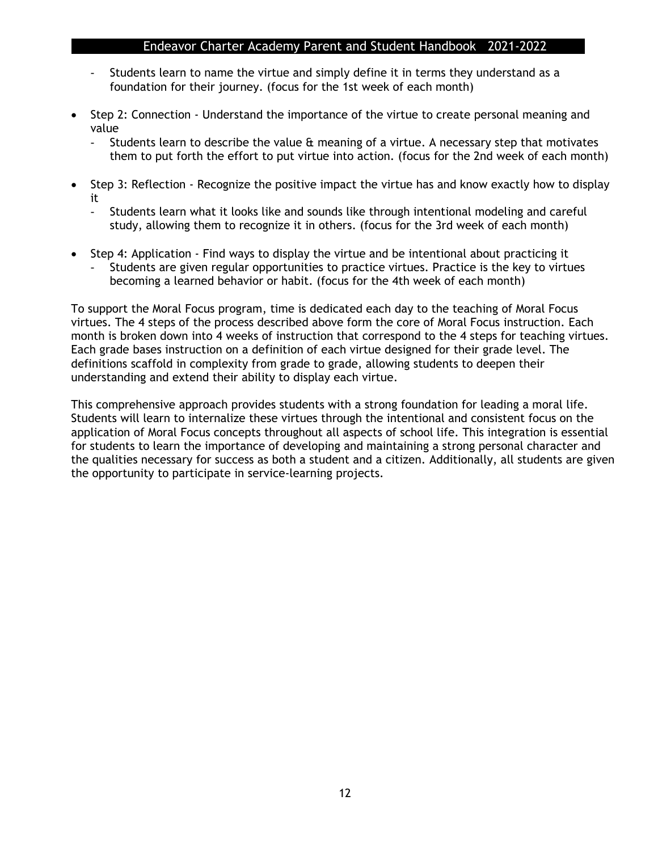- Students learn to name the virtue and simply define it in terms they understand as a foundation for their journey. (focus for the 1st week of each month)
- Step 2: Connection Understand the importance of the virtue to create personal meaning and value
	- Students learn to describe the value & meaning of a virtue. A necessary step that motivates them to put forth the effort to put virtue into action. (focus for the 2nd week of each month)
- Step 3: Reflection Recognize the positive impact the virtue has and know exactly how to display it
	- Students learn what it looks like and sounds like through intentional modeling and careful study, allowing them to recognize it in others. (focus for the 3rd week of each month)
- Step 4: Application Find ways to display the virtue and be intentional about practicing it
	- Students are given regular opportunities to practice virtues. Practice is the key to virtues becoming a learned behavior or habit. (focus for the 4th week of each month)

To support the Moral Focus program, time is dedicated each day to the teaching of Moral Focus virtues. The 4 steps of the process described above form the core of Moral Focus instruction. Each month is broken down into 4 weeks of instruction that correspond to the 4 steps for teaching virtues. Each grade bases instruction on a definition of each virtue designed for their grade level. The definitions scaffold in complexity from grade to grade, allowing students to deepen their understanding and extend their ability to display each virtue.

This comprehensive approach provides students with a strong foundation for leading a moral life. Students will learn to internalize these virtues through the intentional and consistent focus on the application of Moral Focus concepts throughout all aspects of school life. This integration is essential for students to learn the importance of developing and maintaining a strong personal character and the qualities necessary for success as both a student and a citizen. Additionally, all students are given the opportunity to participate in service-learning projects.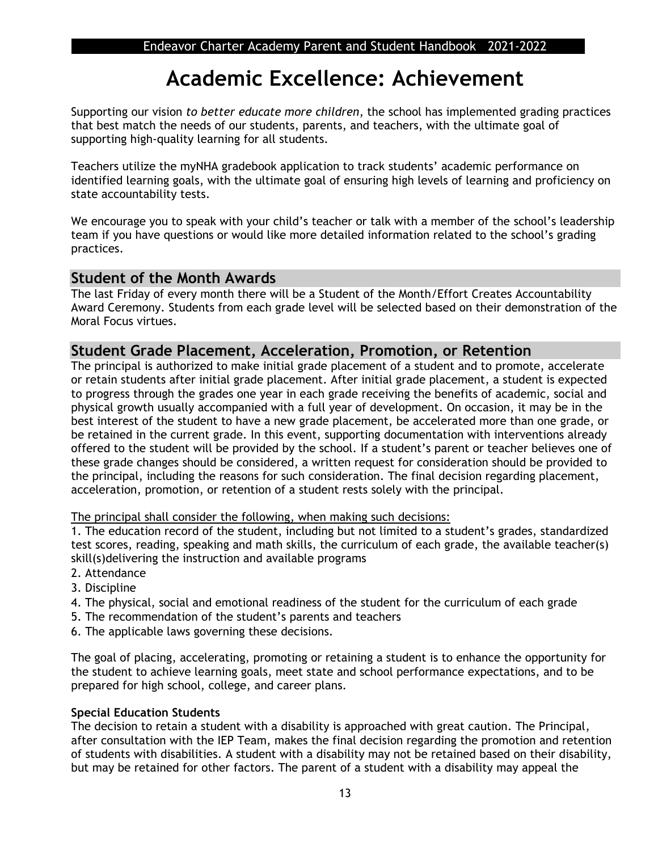## **Academic Excellence: Achievement**

Supporting our vision *to better educate more children*, the school has implemented grading practices that best match the needs of our students, parents, and teachers, with the ultimate goal of supporting high-quality learning for all students.

Teachers utilize the myNHA gradebook application to track students' academic performance on identified learning goals, with the ultimate goal of ensuring high levels of learning and proficiency on state accountability tests.

We encourage you to speak with your child's teacher or talk with a member of the school's leadership team if you have questions or would like more detailed information related to the school's grading practices.

## **Student of the Month Awards**

The last Friday of every month there will be a Student of the Month/Effort Creates Accountability Award Ceremony. Students from each grade level will be selected based on their demonstration of the Moral Focus virtues.

### **Student Grade Placement, Acceleration, Promotion, or Retention**

The principal is authorized to make initial grade placement of a student and to promote, accelerate or retain students after initial grade placement. After initial grade placement, a student is expected to progress through the grades one year in each grade receiving the benefits of academic, social and physical growth usually accompanied with a full year of development. On occasion, it may be in the best interest of the student to have a new grade placement, be accelerated more than one grade, or be retained in the current grade. In this event, supporting documentation with interventions already offered to the student will be provided by the school. If a student's parent or teacher believes one of these grade changes should be considered, a written request for consideration should be provided to the principal, including the reasons for such consideration. The final decision regarding placement, acceleration, promotion, or retention of a student rests solely with the principal.

The principal shall consider the following, when making such decisions:

1. The education record of the student, including but not limited to a student's grades, standardized test scores, reading, speaking and math skills, the curriculum of each grade, the available teacher(s) skill(s)delivering the instruction and available programs

- 2. Attendance
- 3. Discipline
- 4. The physical, social and emotional readiness of the student for the curriculum of each grade
- 5. The recommendation of the student's parents and teachers
- 6. The applicable laws governing these decisions.

The goal of placing, accelerating, promoting or retaining a student is to enhance the opportunity for the student to achieve learning goals, meet state and school performance expectations, and to be prepared for high school, college, and career plans.

#### **Special Education Students**

The decision to retain a student with a disability is approached with great caution. The Principal, after consultation with the IEP Team, makes the final decision regarding the promotion and retention of students with disabilities. A student with a disability may not be retained based on their disability, but may be retained for other factors. The parent of a student with a disability may appeal the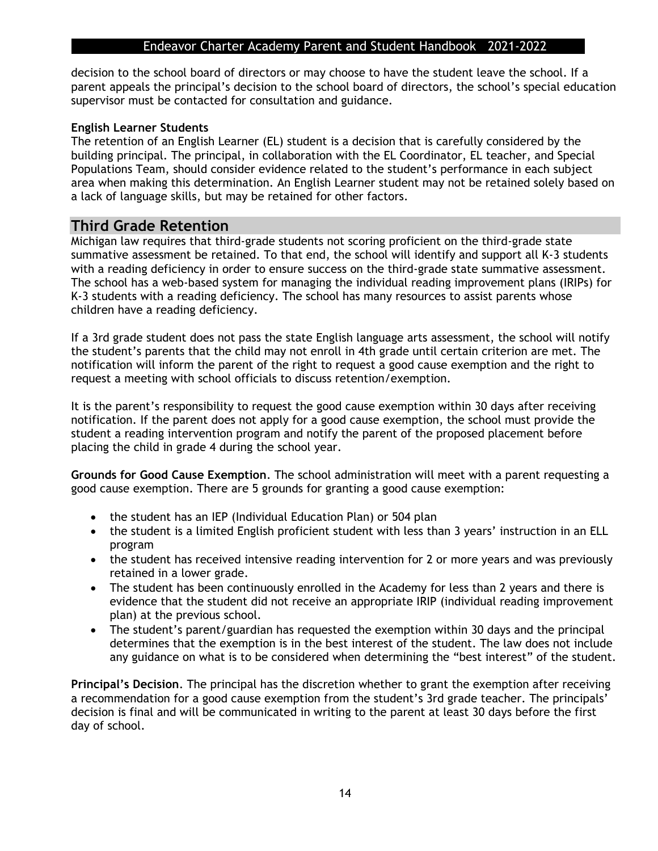decision to the school board of directors or may choose to have the student leave the school. If a parent appeals the principal's decision to the school board of directors, the school's special education supervisor must be contacted for consultation and guidance.

#### **English Learner Students**

The retention of an English Learner (EL) student is a decision that is carefully considered by the building principal. The principal, in collaboration with the EL Coordinator, EL teacher, and Special Populations Team, should consider evidence related to the student's performance in each subject area when making this determination. An English Learner student may not be retained solely based on a lack of language skills, but may be retained for other factors.

## **Third Grade Retention**

Michigan law requires that third-grade students not scoring proficient on the third-grade state summative assessment be retained. To that end, the school will identify and support all K-3 students with a reading deficiency in order to ensure success on the third-grade state summative assessment. The school has a web-based system for managing the individual reading improvement plans (IRIPs) for K-3 students with a reading deficiency. The school has many resources to assist parents whose children have a reading deficiency.

If a 3rd grade student does not pass the state English language arts assessment, the school will notify the student's parents that the child may not enroll in 4th grade until certain criterion are met. The notification will inform the parent of the right to request a good cause exemption and the right to request a meeting with school officials to discuss retention/exemption.

It is the parent's responsibility to request the good cause exemption within 30 days after receiving notification. If the parent does not apply for a good cause exemption, the school must provide the student a reading intervention program and notify the parent of the proposed placement before placing the child in grade 4 during the school year.

**Grounds for Good Cause Exemption**. The school administration will meet with a parent requesting a good cause exemption. There are 5 grounds for granting a good cause exemption:

- the student has an IEP (Individual Education Plan) or 504 plan
- the student is a limited English proficient student with less than 3 years' instruction in an ELL program
- the student has received intensive reading intervention for 2 or more years and was previously retained in a lower grade.
- The student has been continuously enrolled in the Academy for less than 2 years and there is evidence that the student did not receive an appropriate IRIP (individual reading improvement plan) at the previous school.
- The student's parent/guardian has requested the exemption within 30 days and the principal determines that the exemption is in the best interest of the student. The law does not include any guidance on what is to be considered when determining the "best interest" of the student.

**Principal's Decision**. The principal has the discretion whether to grant the exemption after receiving a recommendation for a good cause exemption from the student's 3rd grade teacher. The principals' decision is final and will be communicated in writing to the parent at least 30 days before the first day of school.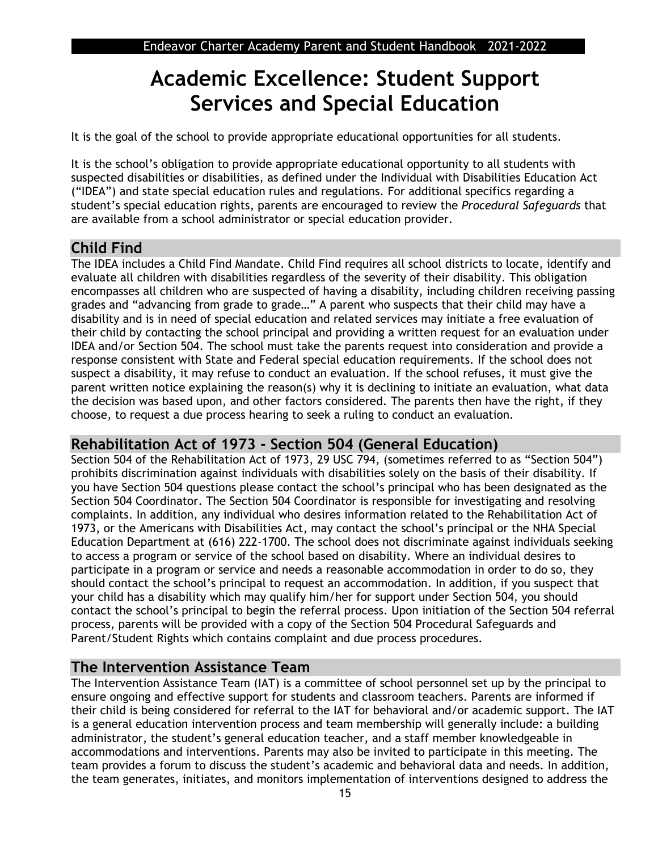## **Academic Excellence: Student Support Services and Special Education**

It is the goal of the school to provide appropriate educational opportunities for all students.

It is the school's obligation to provide appropriate educational opportunity to all students with suspected disabilities or disabilities, as defined under the Individual with Disabilities Education Act ("IDEA") and state special education rules and regulations. For additional specifics regarding a student's special education rights, parents are encouraged to review the *Procedural Safeguards* that are available from a school administrator or special education provider.

## **Child Find**

The IDEA includes a Child Find Mandate. Child Find requires all school districts to locate, identify and evaluate all children with disabilities regardless of the severity of their disability. This obligation encompasses all children who are suspected of having a disability, including children receiving passing grades and "advancing from grade to grade…" A parent who suspects that their child may have a disability and is in need of special education and related services may initiate a free evaluation of their child by contacting the school principal and providing a written request for an evaluation under IDEA and/or Section 504. The school must take the parents request into consideration and provide a response consistent with State and Federal special education requirements. If the school does not suspect a disability, it may refuse to conduct an evaluation. If the school refuses, it must give the parent written notice explaining the reason(s) why it is declining to initiate an evaluation, what data the decision was based upon, and other factors considered. The parents then have the right, if they choose, to request a due process hearing to seek a ruling to conduct an evaluation.

## **Rehabilitation Act of 1973 - Section 504 (General Education)**

Section 504 of the Rehabilitation Act of 1973, 29 USC 794, (sometimes referred to as "Section 504") prohibits discrimination against individuals with disabilities solely on the basis of their disability. If you have Section 504 questions please contact the school's principal who has been designated as the Section 504 Coordinator. The Section 504 Coordinator is responsible for investigating and resolving complaints. In addition, any individual who desires information related to the Rehabilitation Act of 1973, or the Americans with Disabilities Act, may contact the school's principal or the NHA Special Education Department at (616) 222-1700. The school does not discriminate against individuals seeking to access a program or service of the school based on disability. Where an individual desires to participate in a program or service and needs a reasonable accommodation in order to do so, they should contact the school's principal to request an accommodation. In addition, if you suspect that your child has a disability which may qualify him/her for support under Section 504, you should contact the school's principal to begin the referral process. Upon initiation of the Section 504 referral process, parents will be provided with a copy of the Section 504 Procedural Safeguards and Parent/Student Rights which contains complaint and due process procedures.

## **The Intervention Assistance Team**

The Intervention Assistance Team (IAT) is a committee of school personnel set up by the principal to ensure ongoing and effective support for students and classroom teachers. Parents are informed if their child is being considered for referral to the IAT for behavioral and/or academic support. The IAT is a general education intervention process and team membership will generally include: a building administrator, the student's general education teacher, and a staff member knowledgeable in accommodations and interventions. Parents may also be invited to participate in this meeting. The team provides a forum to discuss the student's academic and behavioral data and needs. In addition, the team generates, initiates, and monitors implementation of interventions designed to address the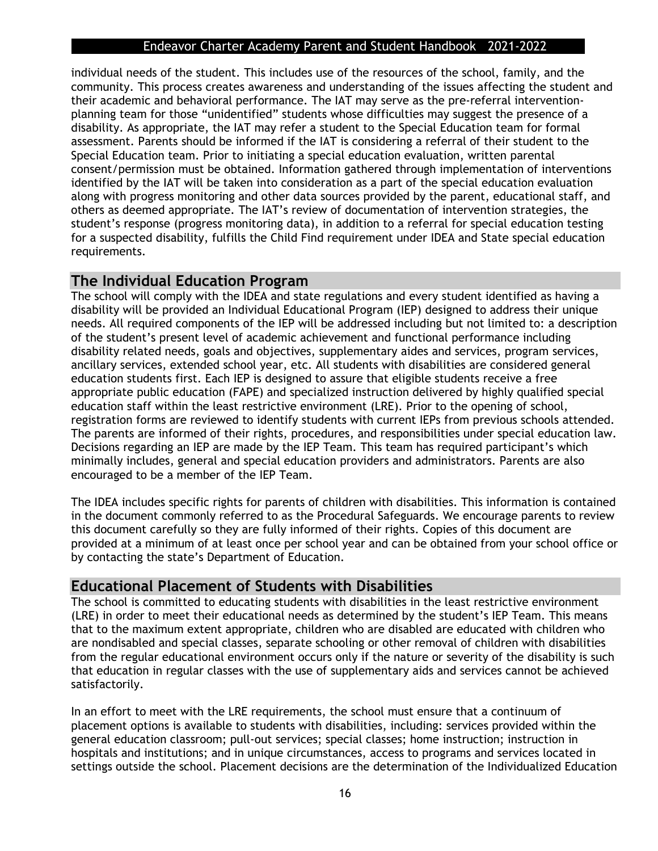individual needs of the student. This includes use of the resources of the school, family, and the community. This process creates awareness and understanding of the issues affecting the student and their academic and behavioral performance. The IAT may serve as the pre-referral interventionplanning team for those "unidentified" students whose difficulties may suggest the presence of a disability. As appropriate, the IAT may refer a student to the Special Education team for formal assessment. Parents should be informed if the IAT is considering a referral of their student to the Special Education team. Prior to initiating a special education evaluation, written parental consent/permission must be obtained. Information gathered through implementation of interventions identified by the IAT will be taken into consideration as a part of the special education evaluation along with progress monitoring and other data sources provided by the parent, educational staff, and others as deemed appropriate. The IAT's review of documentation of intervention strategies, the student's response (progress monitoring data), in addition to a referral for special education testing for a suspected disability, fulfills the Child Find requirement under IDEA and State special education requirements.

### **The Individual Education Program**

The school will comply with the IDEA and state regulations and every student identified as having a disability will be provided an Individual Educational Program (IEP) designed to address their unique needs. All required components of the IEP will be addressed including but not limited to: a description of the student's present level of academic achievement and functional performance including disability related needs, goals and objectives, supplementary aides and services, program services, ancillary services, extended school year, etc. All students with disabilities are considered general education students first. Each IEP is designed to assure that eligible students receive a free appropriate public education (FAPE) and specialized instruction delivered by highly qualified special education staff within the least restrictive environment (LRE). Prior to the opening of school, registration forms are reviewed to identify students with current IEPs from previous schools attended. The parents are informed of their rights, procedures, and responsibilities under special education law. Decisions regarding an IEP are made by the IEP Team. This team has required participant's which minimally includes, general and special education providers and administrators. Parents are also encouraged to be a member of the IEP Team.

The IDEA includes specific rights for parents of children with disabilities. This information is contained in the document commonly referred to as the Procedural Safeguards. We encourage parents to review this document carefully so they are fully informed of their rights. Copies of this document are provided at a minimum of at least once per school year and can be obtained from your school office or by contacting the state's Department of Education.

## **Educational Placement of Students with Disabilities**

The school is committed to educating students with disabilities in the least restrictive environment (LRE) in order to meet their educational needs as determined by the student's IEP Team. This means that to the maximum extent appropriate, children who are disabled are educated with children who are nondisabled and special classes, separate schooling or other removal of children with disabilities from the regular educational environment occurs only if the nature or severity of the disability is such that education in regular classes with the use of supplementary aids and services cannot be achieved satisfactorily.

In an effort to meet with the LRE requirements, the school must ensure that a continuum of placement options is available to students with disabilities, including: services provided within the general education classroom; pull-out services; special classes; home instruction; instruction in hospitals and institutions; and in unique circumstances, access to programs and services located in settings outside the school. Placement decisions are the determination of the Individualized Education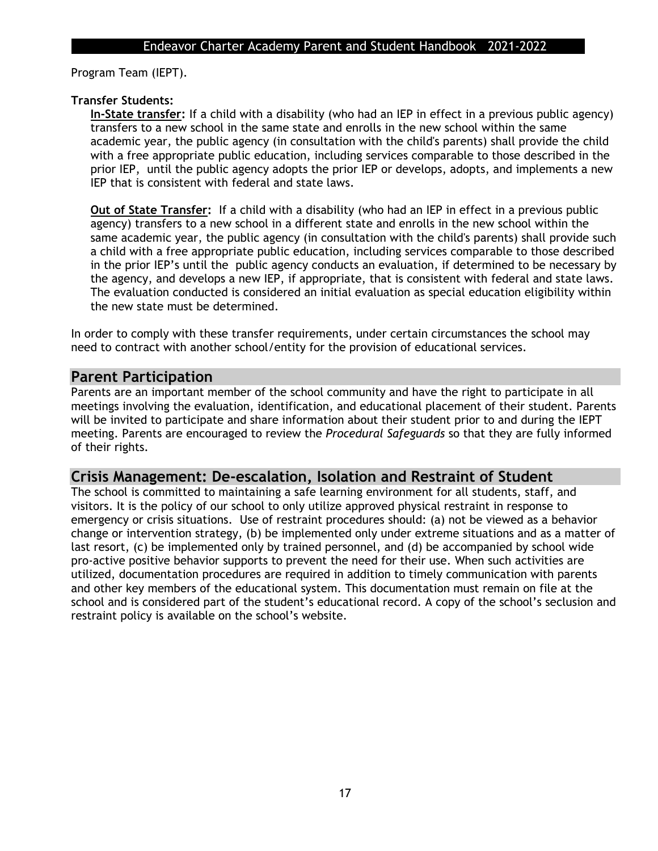Program Team (IEPT).

#### **Transfer Students:**

**In-State transfer:** If a child with a disability (who had an IEP in effect in a previous public agency) transfers to a new school in the same state and enrolls in the new school within the same academic year, the public agency (in consultation with the child's parents) shall provide the child with a free appropriate public education, including services comparable to those described in the prior IEP, until the public agency adopts the prior IEP or develops, adopts, and implements a new IEP that is consistent with federal and state laws.

**Out of State Transfer:** If a child with a disability (who had an IEP in effect in a previous public agency) transfers to a new school in a different state and enrolls in the new school within the same academic year, the public agency (in consultation with the child's parents) shall provide such a child with a free appropriate public education, including services comparable to those described in the prior IEP's until the public agency conducts an evaluation, if determined to be necessary by the agency, and develops a new IEP, if appropriate, that is consistent with federal and state laws. The evaluation conducted is considered an initial evaluation as special education eligibility within the new state must be determined.

In order to comply with these transfer requirements, under certain circumstances the school may need to contract with another school/entity for the provision of educational services.

## **Parent Participation**

Parents are an important member of the school community and have the right to participate in all meetings involving the evaluation, identification, and educational placement of their student. Parents will be invited to participate and share information about their student prior to and during the IEPT meeting. Parents are encouraged to review the *Procedural Safeguards* so that they are fully informed of their rights.

### **Crisis Management: De-escalation, Isolation and Restraint of Student**

The school is committed to maintaining a safe learning environment for all students, staff, and visitors. It is the policy of our school to only utilize approved physical restraint in response to emergency or crisis situations. Use of restraint procedures should: (a) not be viewed as a behavior change or intervention strategy, (b) be implemented only under extreme situations and as a matter of last resort, (c) be implemented only by trained personnel, and (d) be accompanied by school wide pro-active positive behavior supports to prevent the need for their use. When such activities are utilized, documentation procedures are required in addition to timely communication with parents and other key members of the educational system. This documentation must remain on file at the school and is considered part of the student's educational record. A copy of the school's seclusion and restraint policy is available on the school's website.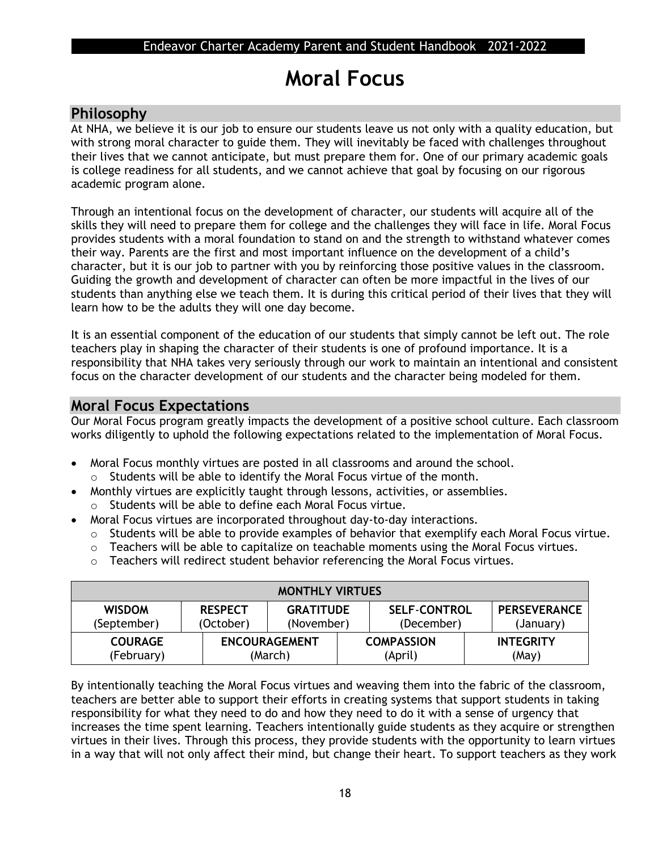## **Moral Focus**

## **Philosophy**

At NHA, we believe it is our job to ensure our students leave us not only with a quality education, but with strong moral character to guide them. They will inevitably be faced with challenges throughout their lives that we cannot anticipate, but must prepare them for. One of our primary academic goals is college readiness for all students, and we cannot achieve that goal by focusing on our rigorous academic program alone.

Through an intentional focus on the development of character, our students will acquire all of the skills they will need to prepare them for college and the challenges they will face in life. Moral Focus provides students with a moral foundation to stand on and the strength to withstand whatever comes their way. Parents are the first and most important influence on the development of a child's character, but it is our job to partner with you by reinforcing those positive values in the classroom. Guiding the growth and development of character can often be more impactful in the lives of our students than anything else we teach them. It is during this critical period of their lives that they will learn how to be the adults they will one day become.

It is an essential component of the education of our students that simply cannot be left out. The role teachers play in shaping the character of their students is one of profound importance. It is a responsibility that NHA takes very seriously through our work to maintain an intentional and consistent focus on the character development of our students and the character being modeled for them.

## **Moral Focus Expectations**

Our Moral Focus program greatly impacts the development of a positive school culture. Each classroom works diligently to uphold the following expectations related to the implementation of Moral Focus.

- Moral Focus monthly virtues are posted in all classrooms and around the school. o Students will be able to identify the Moral Focus virtue of the month.
- Monthly virtues are explicitly taught through lessons, activities, or assemblies.
- o Students will be able to define each Moral Focus virtue.
- Moral Focus virtues are incorporated throughout day-to-day interactions.
	- o Students will be able to provide examples of behavior that exemplify each Moral Focus virtue.
	- o Teachers will be able to capitalize on teachable moments using the Moral Focus virtues.
	- o Teachers will redirect student behavior referencing the Moral Focus virtues.

| <b>MONTHLY VIRTUES</b>       |                             |                                 |  |                                   |  |                                  |
|------------------------------|-----------------------------|---------------------------------|--|-----------------------------------|--|----------------------------------|
| <b>WISDOM</b><br>(September) | <b>RESPECT</b><br>(October) | <b>GRATITUDE</b><br>(November)  |  | <b>SELF-CONTROL</b><br>(December) |  | <b>PERSEVERANCE</b><br>(January) |
| <b>COURAGE</b><br>(February) |                             | <b>ENCOURAGEMENT</b><br>(March) |  | <b>COMPASSION</b><br>(April)      |  | <b>INTEGRITY</b><br>(May)        |

By intentionally teaching the Moral Focus virtues and weaving them into the fabric of the classroom, teachers are better able to support their efforts in creating systems that support students in taking responsibility for what they need to do and how they need to do it with a sense of urgency that increases the time spent learning. Teachers intentionally guide students as they acquire or strengthen virtues in their lives. Through this process, they provide students with the opportunity to learn virtues in a way that will not only affect their mind, but change their heart. To support teachers as they work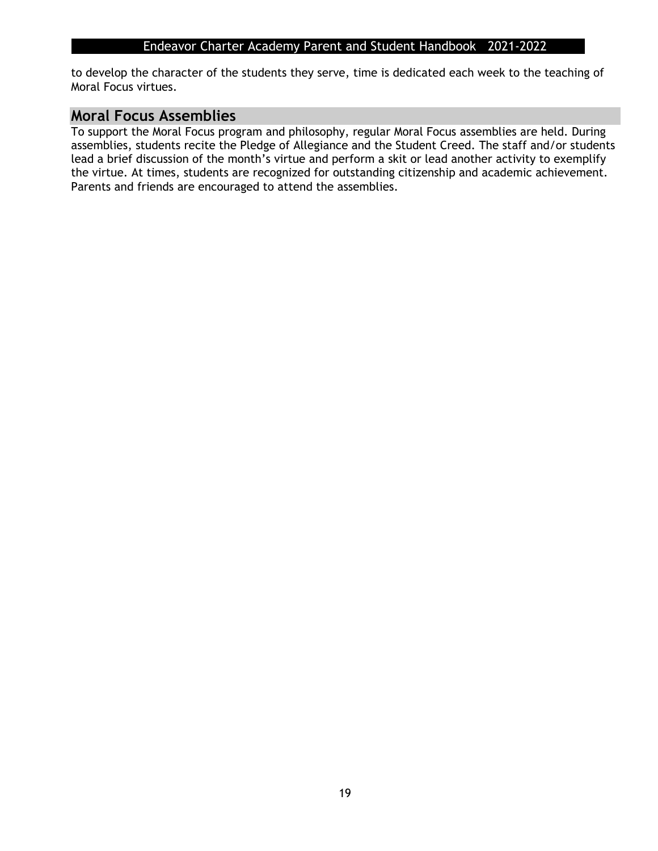to develop the character of the students they serve, time is dedicated each week to the teaching of Moral Focus virtues.

## **Moral Focus Assemblies**

To support the Moral Focus program and philosophy, regular Moral Focus assemblies are held. During assemblies, students recite the Pledge of Allegiance and the Student Creed. The staff and/or students lead a brief discussion of the month's virtue and perform a skit or lead another activity to exemplify the virtue. At times, students are recognized for outstanding citizenship and academic achievement. Parents and friends are encouraged to attend the assemblies.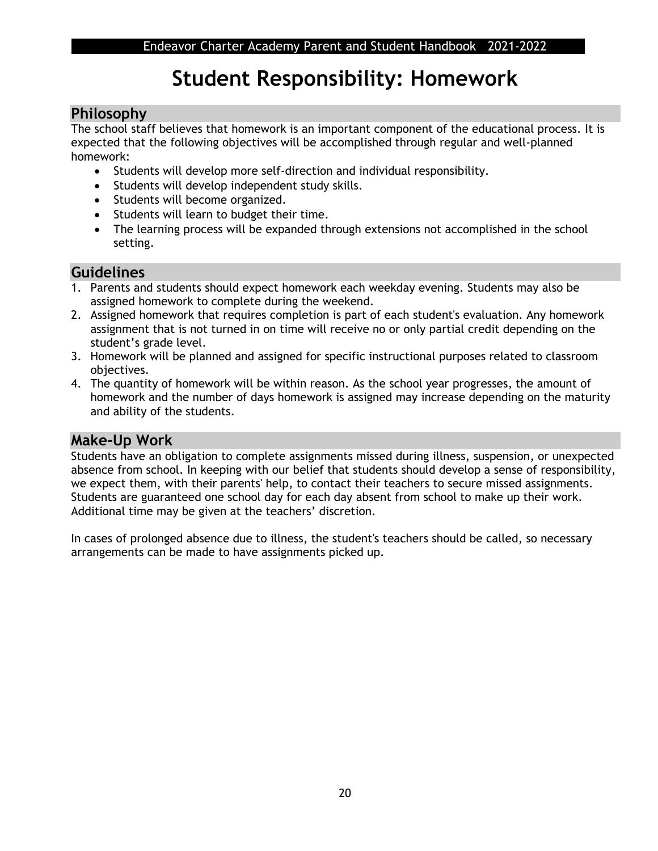## **Student Responsibility: Homework**

## **Philosophy**

The school staff believes that homework is an important component of the educational process. It is expected that the following objectives will be accomplished through regular and well-planned homework:

- Students will develop more self-direction and individual responsibility.
- Students will develop independent study skills.
- Students will become organized.
- Students will learn to budget their time.
- The learning process will be expanded through extensions not accomplished in the school setting.

## **Guidelines**

- 1. Parents and students should expect homework each weekday evening. Students may also be assigned homework to complete during the weekend.
- 2. Assigned homework that requires completion is part of each student's evaluation. Any homework assignment that is not turned in on time will receive no or only partial credit depending on the student's grade level.
- 3. Homework will be planned and assigned for specific instructional purposes related to classroom objectives.
- 4. The quantity of homework will be within reason. As the school year progresses, the amount of homework and the number of days homework is assigned may increase depending on the maturity and ability of the students.

## **Make-Up Work**

Students have an obligation to complete assignments missed during illness, suspension, or unexpected absence from school. In keeping with our belief that students should develop a sense of responsibility, we expect them, with their parents' help, to contact their teachers to secure missed assignments. Students are guaranteed one school day for each day absent from school to make up their work. Additional time may be given at the teachers' discretion.

In cases of prolonged absence due to illness, the student's teachers should be called, so necessary arrangements can be made to have assignments picked up.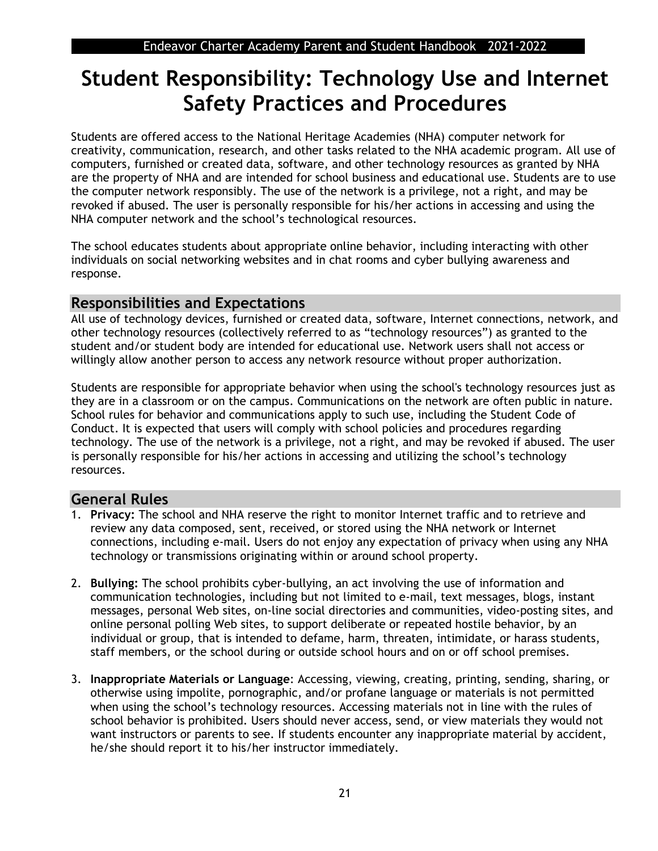## **Student Responsibility: Technology Use and Internet Safety Practices and Procedures**

Students are offered access to the National Heritage Academies (NHA) computer network for creativity, communication, research, and other tasks related to the NHA academic program. All use of computers, furnished or created data, software, and other technology resources as granted by NHA are the property of NHA and are intended for school business and educational use. Students are to use the computer network responsibly. The use of the network is a privilege, not a right, and may be revoked if abused. The user is personally responsible for his/her actions in accessing and using the NHA computer network and the school's technological resources.

The school educates students about appropriate online behavior, including interacting with other individuals on social networking websites and in chat rooms and cyber bullying awareness and response.

## **Responsibilities and Expectations**

All use of technology devices, furnished or created data, software, Internet connections, network, and other technology resources (collectively referred to as "technology resources") as granted to the student and/or student body are intended for educational use. Network users shall not access or willingly allow another person to access any network resource without proper authorization.

Students are responsible for appropriate behavior when using the school's technology resources just as they are in a classroom or on the campus. Communications on the network are often public in nature. School rules for behavior and communications apply to such use, including the Student Code of Conduct. It is expected that users will comply with school policies and procedures regarding technology. The use of the network is a privilege, not a right, and may be revoked if abused. The user is personally responsible for his/her actions in accessing and utilizing the school's technology resources.

## **General Rules**

- 1. **Privacy:** The school and NHA reserve the right to monitor Internet traffic and to retrieve and review any data composed, sent, received, or stored using the NHA network or Internet connections, including e-mail. Users do not enjoy any expectation of privacy when using any NHA technology or transmissions originating within or around school property.
- 2. **Bullying:** The school prohibits cyber-bullying, an act involving the use of information and communication technologies, including but not limited to e-mail, text messages, blogs, instant messages, personal Web sites, on-line social directories and communities, video-posting sites, and online personal polling Web sites, to support deliberate or repeated hostile behavior, by an individual or group, that is intended to defame, harm, threaten, intimidate, or harass students, staff members, or the school during or outside school hours and on or off school premises.
- 3. **Inappropriate Materials or Language**: Accessing, viewing, creating, printing, sending, sharing, or otherwise using impolite, pornographic, and/or profane language or materials is not permitted when using the school's technology resources. Accessing materials not in line with the rules of school behavior is prohibited. Users should never access, send, or view materials they would not want instructors or parents to see. If students encounter any inappropriate material by accident, he/she should report it to his/her instructor immediately.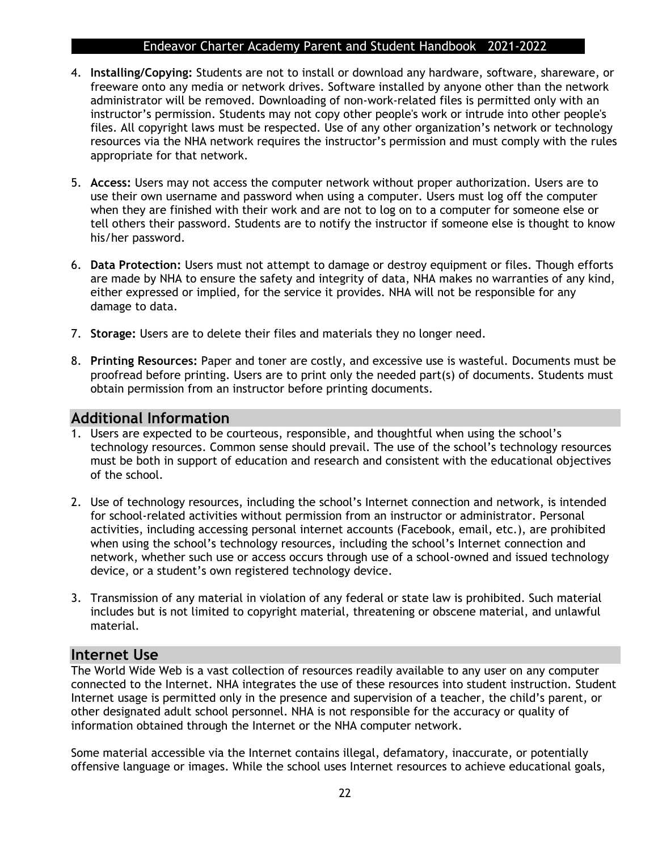- 4. **Installing/Copying:** Students are not to install or download any hardware, software, shareware, or freeware onto any media or network drives. Software installed by anyone other than the network administrator will be removed. Downloading of non-work-related files is permitted only with an instructor's permission. Students may not copy other people's work or intrude into other people's files. All copyright laws must be respected. Use of any other organization's network or technology resources via the NHA network requires the instructor's permission and must comply with the rules appropriate for that network.
- 5. **Access:** Users may not access the computer network without proper authorization. Users are to use their own username and password when using a computer. Users must log off the computer when they are finished with their work and are not to log on to a computer for someone else or tell others their password. Students are to notify the instructor if someone else is thought to know his/her password.
- 6. **Data Protection:** Users must not attempt to damage or destroy equipment or files. Though efforts are made by NHA to ensure the safety and integrity of data, NHA makes no warranties of any kind, either expressed or implied, for the service it provides. NHA will not be responsible for any damage to data.
- 7. **Storage:** Users are to delete their files and materials they no longer need.
- 8. **Printing Resources:** Paper and toner are costly, and excessive use is wasteful. Documents must be proofread before printing. Users are to print only the needed part(s) of documents. Students must obtain permission from an instructor before printing documents.

### **Additional Information**

- 1. Users are expected to be courteous, responsible, and thoughtful when using the school's technology resources. Common sense should prevail. The use of the school's technology resources must be both in support of education and research and consistent with the educational objectives of the school.
- 2. Use of technology resources, including the school's Internet connection and network, is intended for school-related activities without permission from an instructor or administrator. Personal activities, including accessing personal internet accounts (Facebook, email, etc.), are prohibited when using the school's technology resources, including the school's Internet connection and network, whether such use or access occurs through use of a school-owned and issued technology device, or a student's own registered technology device.
- 3. Transmission of any material in violation of any federal or state law is prohibited. Such material includes but is not limited to copyright material, threatening or obscene material, and unlawful material.

#### **Internet Use**

The World Wide Web is a vast collection of resources readily available to any user on any computer connected to the Internet. NHA integrates the use of these resources into student instruction. Student Internet usage is permitted only in the presence and supervision of a teacher, the child's parent, or other designated adult school personnel. NHA is not responsible for the accuracy or quality of information obtained through the Internet or the NHA computer network.

Some material accessible via the Internet contains illegal, defamatory, inaccurate, or potentially offensive language or images. While the school uses Internet resources to achieve educational goals,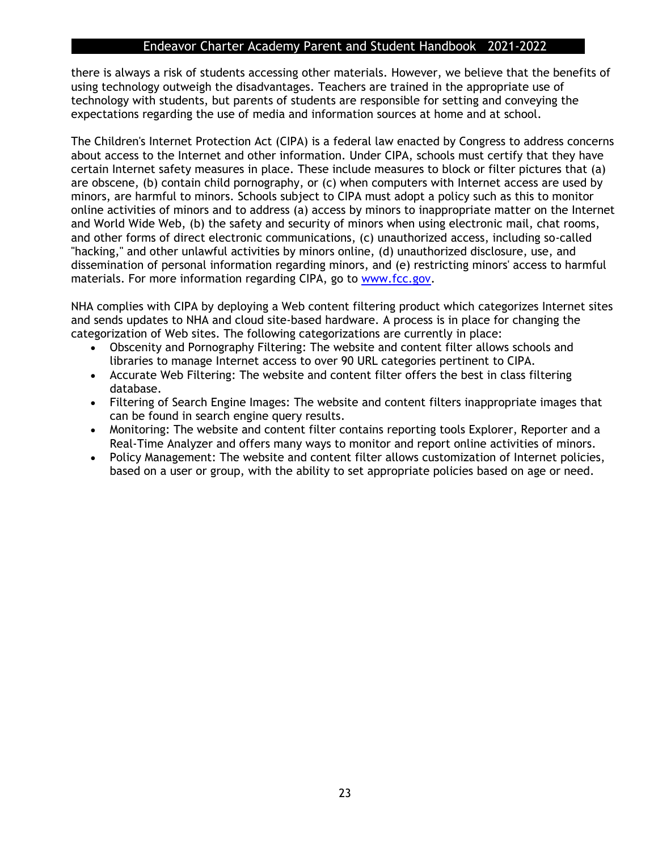there is always a risk of students accessing other materials. However, we believe that the benefits of using technology outweigh the disadvantages. Teachers are trained in the appropriate use of technology with students, but parents of students are responsible for setting and conveying the expectations regarding the use of media and information sources at home and at school.

The Children's Internet Protection Act (CIPA) is a federal law enacted by Congress to address concerns about access to the Internet and other information. Under CIPA, schools must certify that they have certain Internet safety measures in place. These include measures to block or filter pictures that (a) are obscene, (b) contain child pornography, or (c) when computers with Internet access are used by minors, are harmful to minors. Schools subject to CIPA must adopt a policy such as this to monitor online activities of minors and to address (a) access by minors to inappropriate matter on the Internet and World Wide Web, (b) the safety and security of minors when using electronic mail, chat rooms, and other forms of direct electronic communications, (c) unauthorized access, including so-called "hacking," and other unlawful activities by minors online, (d) unauthorized disclosure, use, and dissemination of personal information regarding minors, and (e) restricting minors' access to harmful materials. For more information regarding CIPA, go to [www.fcc.gov.](http://www.fcc.gov/)

NHA complies with CIPA by deploying a Web content filtering product which categorizes Internet sites and sends updates to NHA and cloud site-based hardware. A process is in place for changing the categorization of Web sites. The following categorizations are currently in place:

- Obscenity and Pornography Filtering: The website and content filter allows schools and libraries to manage Internet access to over 90 URL categories pertinent to CIPA.
- Accurate Web Filtering: The website and content filter offers the best in class filtering database.
- Filtering of Search Engine Images: The website and content filters inappropriate images that can be found in search engine query results.
- Monitoring: The website and content filter contains reporting tools Explorer, Reporter and a Real-Time Analyzer and offers many ways to monitor and report online activities of minors.
- Policy Management: The website and content filter allows customization of Internet policies, based on a user or group, with the ability to set appropriate policies based on age or need.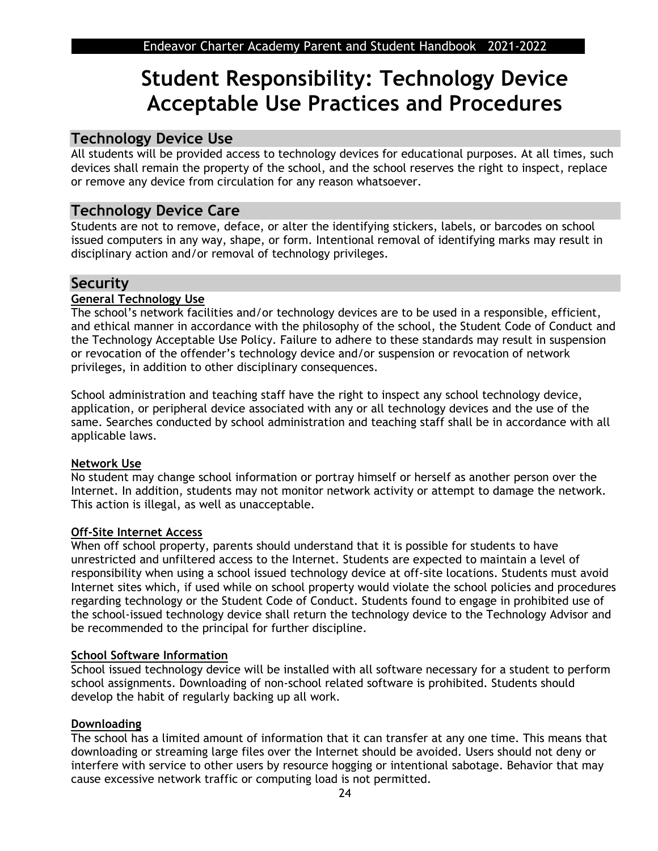## **Student Responsibility: Technology Device Acceptable Use Practices and Procedures**

## **Technology Device Use**

All students will be provided access to technology devices for educational purposes. At all times, such devices shall remain the property of the school, and the school reserves the right to inspect, replace or remove any device from circulation for any reason whatsoever.

## **Technology Device Care**

Students are not to remove, deface, or alter the identifying stickers, labels, or barcodes on school issued computers in any way, shape, or form. Intentional removal of identifying marks may result in disciplinary action and/or removal of technology privileges.

### **Security**

#### **General Technology Use**

The school's network facilities and/or technology devices are to be used in a responsible, efficient, and ethical manner in accordance with the philosophy of the school, the Student Code of Conduct and the Technology Acceptable Use Policy. Failure to adhere to these standards may result in suspension or revocation of the offender's technology device and/or suspension or revocation of network privileges, in addition to other disciplinary consequences.

School administration and teaching staff have the right to inspect any school technology device, application, or peripheral device associated with any or all technology devices and the use of the same. Searches conducted by school administration and teaching staff shall be in accordance with all applicable laws.

#### **Network Use**

No student may change school information or portray himself or herself as another person over the Internet. In addition, students may not monitor network activity or attempt to damage the network. This action is illegal, as well as unacceptable.

#### **Off-Site Internet Access**

When off school property, parents should understand that it is possible for students to have unrestricted and unfiltered access to the Internet. Students are expected to maintain a level of responsibility when using a school issued technology device at off-site locations. Students must avoid Internet sites which, if used while on school property would violate the school policies and procedures regarding technology or the Student Code of Conduct. Students found to engage in prohibited use of the school-issued technology device shall return the technology device to the Technology Advisor and be recommended to the principal for further discipline.

#### **School Software Information**

School issued technology device will be installed with all software necessary for a student to perform school assignments. Downloading of non-school related software is prohibited. Students should develop the habit of regularly backing up all work.

#### **Downloading**

The school has a limited amount of information that it can transfer at any one time. This means that downloading or streaming large files over the Internet should be avoided. Users should not deny or interfere with service to other users by resource hogging or intentional sabotage. Behavior that may cause excessive network traffic or computing load is not permitted.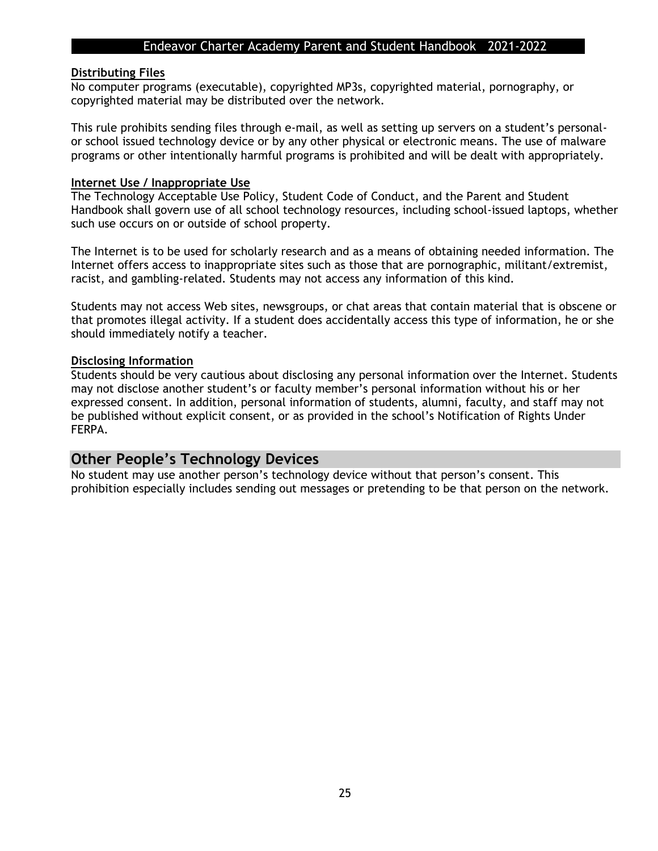#### **Distributing Files**

No computer programs (executable), copyrighted MP3s, copyrighted material, pornography, or copyrighted material may be distributed over the network.

This rule prohibits sending files through e-mail, as well as setting up servers on a student's personalor school issued technology device or by any other physical or electronic means. The use of malware programs or other intentionally harmful programs is prohibited and will be dealt with appropriately.

#### **Internet Use / Inappropriate Use**

The Technology Acceptable Use Policy, Student Code of Conduct, and the Parent and Student Handbook shall govern use of all school technology resources, including school-issued laptops, whether such use occurs on or outside of school property.

The Internet is to be used for scholarly research and as a means of obtaining needed information. The Internet offers access to inappropriate sites such as those that are pornographic, militant/extremist, racist, and gambling-related. Students may not access any information of this kind.

Students may not access Web sites, newsgroups, or chat areas that contain material that is obscene or that promotes illegal activity. If a student does accidentally access this type of information, he or she should immediately notify a teacher.

#### **Disclosing Information**

Students should be very cautious about disclosing any personal information over the Internet. Students may not disclose another student's or faculty member's personal information without his or her expressed consent. In addition, personal information of students, alumni, faculty, and staff may not be published without explicit consent, or as provided in the school's Notification of Rights Under FERPA.

### **Other People's Technology Devices**

No student may use another person's technology device without that person's consent. This prohibition especially includes sending out messages or pretending to be that person on the network.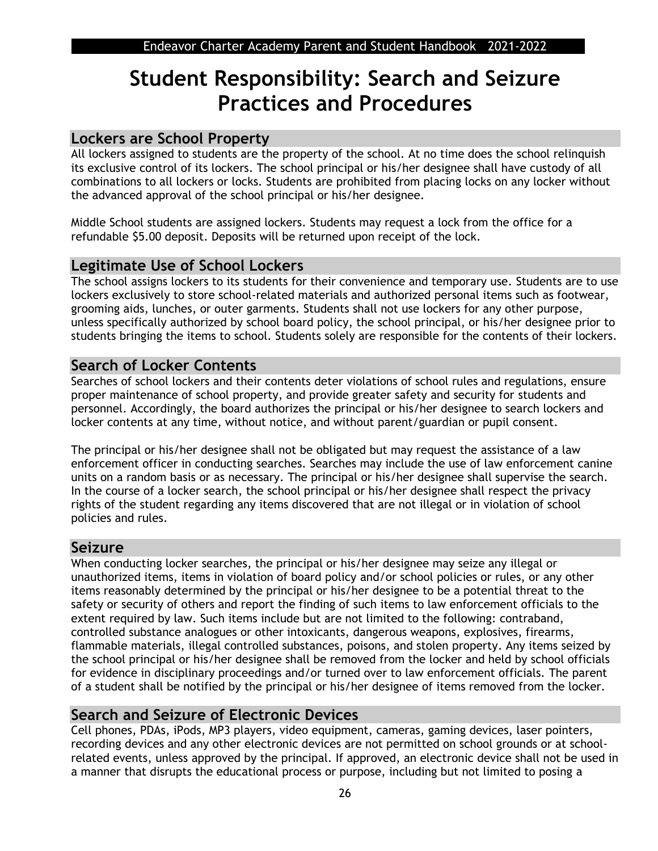## **Student Responsibility: Search and Seizure Practices and Procedures**

## **Lockers are School Property**

All lockers assigned to students are the property of the school. At no time does the school relinquish its exclusive control of its lockers. The school principal or his/her designee shall have custody of all combinations to all lockers or locks. Students are prohibited from placing locks on any locker without the advanced approval of the school principal or his/her designee.

Middle School students are assigned lockers. Students may request a lock from the office for a refundable \$5.00 deposit. Deposits will be returned upon receipt of the lock.

## **Legitimate Use of School Lockers**

The school assigns lockers to its students for their convenience and temporary use. Students are to use lockers exclusively to store school-related materials and authorized personal items such as footwear, grooming aids, lunches, or outer garments. Students shall not use lockers for any other purpose, unless specifically authorized by school board policy, the school principal, or his/her designee prior to students bringing the items to school. Students solely are responsible for the contents of their lockers.

## **Search of Locker Contents**

Searches of school lockers and their contents deter violations of school rules and regulations, ensure proper maintenance of school property, and provide greater safety and security for students and personnel. Accordingly, the board authorizes the principal or his/her designee to search lockers and locker contents at any time, without notice, and without parent/guardian or pupil consent.

The principal or his/her designee shall not be obligated but may request the assistance of a law enforcement officer in conducting searches. Searches may include the use of law enforcement canine units on a random basis or as necessary. The principal or his/her designee shall supervise the search. In the course of a locker search, the school principal or his/her designee shall respect the privacy rights of the student regarding any items discovered that are not illegal or in violation of school policies and rules.

## **Seizure**

When conducting locker searches, the principal or his/her designee may seize any illegal or unauthorized items, items in violation of board policy and/or school policies or rules, or any other items reasonably determined by the principal or his/her designee to be a potential threat to the safety or security of others and report the finding of such items to law enforcement officials to the extent required by law. Such items include but are not limited to the following: contraband, controlled substance analogues or other intoxicants, dangerous weapons, explosives, firearms, flammable materials, illegal controlled substances, poisons, and stolen property. Any items seized by the school principal or his/her designee shall be removed from the locker and held by school officials for evidence in disciplinary proceedings and/or turned over to law enforcement officials. The parent of a student shall be notified by the principal or his/her designee of items removed from the locker.

## **Search and Seizure of Electronic Devices**

Cell phones, PDAs, iPods, MP3 players, video equipment, cameras, gaming devices, laser pointers, recording devices and any other electronic devices are not permitted on school grounds or at schoolrelated events, unless approved by the principal. If approved, an electronic device shall not be used in a manner that disrupts the educational process or purpose, including but not limited to posing a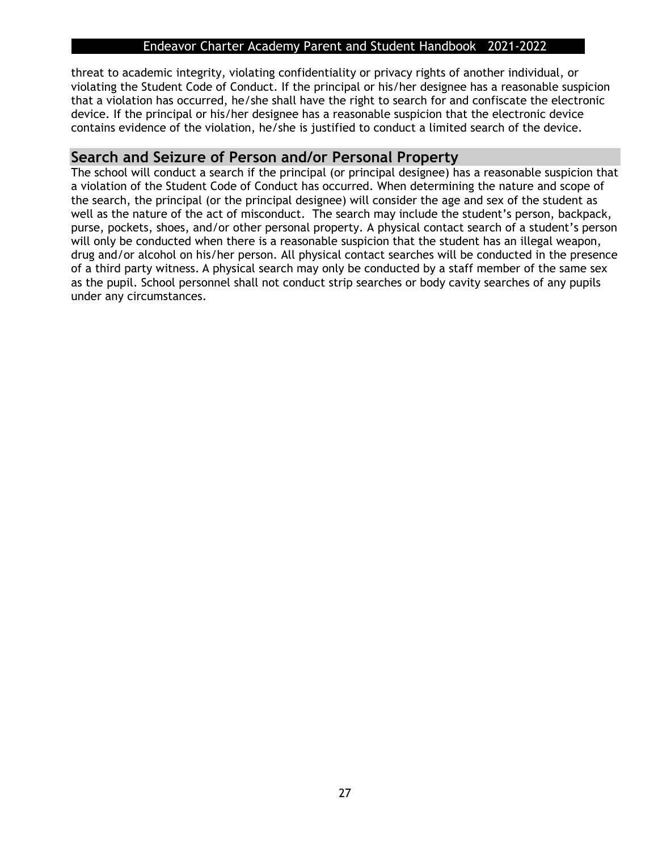threat to academic integrity, violating confidentiality or privacy rights of another individual, or violating the Student Code of Conduct. If the principal or his/her designee has a reasonable suspicion that a violation has occurred, he/she shall have the right to search for and confiscate the electronic device. If the principal or his/her designee has a reasonable suspicion that the electronic device contains evidence of the violation, he/she is justified to conduct a limited search of the device.

## **Search and Seizure of Person and/or Personal Property**

The school will conduct a search if the principal (or principal designee) has a reasonable suspicion that a violation of the Student Code of Conduct has occurred. When determining the nature and scope of the search, the principal (or the principal designee) will consider the age and sex of the student as well as the nature of the act of misconduct. The search may include the student's person, backpack, purse, pockets, shoes, and/or other personal property. A physical contact search of a student's person will only be conducted when there is a reasonable suspicion that the student has an illegal weapon, drug and/or alcohol on his/her person. All physical contact searches will be conducted in the presence of a third party witness. A physical search may only be conducted by a staff member of the same sex as the pupil. School personnel shall not conduct strip searches or body cavity searches of any pupils under any circumstances.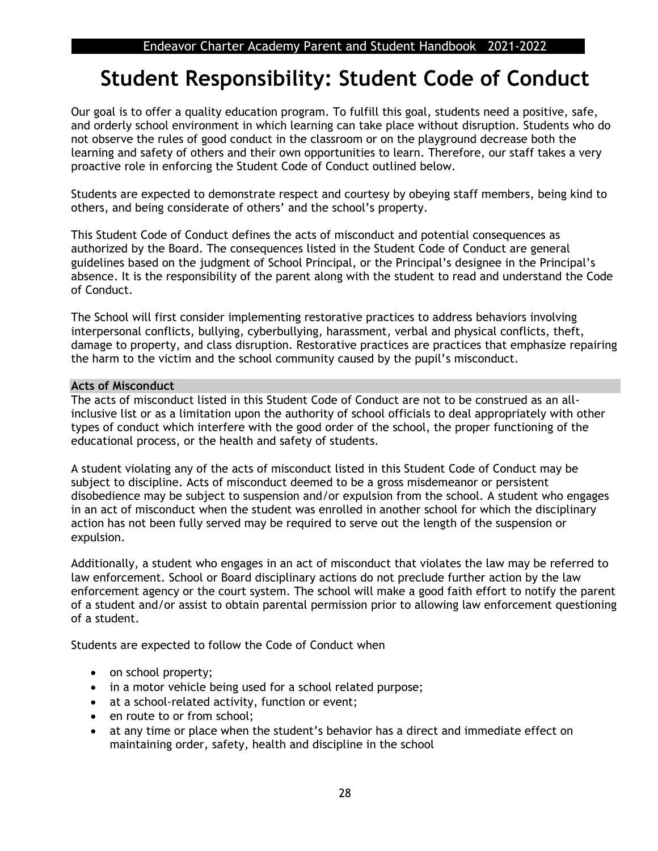## **Student Responsibility: Student Code of Conduct**

Our goal is to offer a quality education program. To fulfill this goal, students need a positive, safe, and orderly school environment in which learning can take place without disruption. Students who do not observe the rules of good conduct in the classroom or on the playground decrease both the learning and safety of others and their own opportunities to learn. Therefore, our staff takes a very proactive role in enforcing the Student Code of Conduct outlined below.

Students are expected to demonstrate respect and courtesy by obeying staff members, being kind to others, and being considerate of others' and the school's property.

This Student Code of Conduct defines the acts of misconduct and potential consequences as authorized by the Board. The consequences listed in the Student Code of Conduct are general guidelines based on the judgment of School Principal, or the Principal's designee in the Principal's absence. It is the responsibility of the parent along with the student to read and understand the Code of Conduct.

The School will first consider implementing restorative practices to address behaviors involving interpersonal conflicts, bullying, cyberbullying, harassment, verbal and physical conflicts, theft, damage to property, and class disruption. Restorative practices are practices that emphasize repairing the harm to the victim and the school community caused by the pupil's misconduct.

#### **Acts of Misconduct**

The acts of misconduct listed in this Student Code of Conduct are not to be construed as an allinclusive list or as a limitation upon the authority of school officials to deal appropriately with other types of conduct which interfere with the good order of the school, the proper functioning of the educational process, or the health and safety of students.

A student violating any of the acts of misconduct listed in this Student Code of Conduct may be subject to discipline. Acts of misconduct deemed to be a gross misdemeanor or persistent disobedience may be subject to suspension and/or expulsion from the school. A student who engages in an act of misconduct when the student was enrolled in another school for which the disciplinary action has not been fully served may be required to serve out the length of the suspension or expulsion.

Additionally, a student who engages in an act of misconduct that violates the law may be referred to law enforcement. School or Board disciplinary actions do not preclude further action by the law enforcement agency or the court system. The school will make a good faith effort to notify the parent of a student and/or assist to obtain parental permission prior to allowing law enforcement questioning of a student.

Students are expected to follow the Code of Conduct when

- on school property;
- in a motor vehicle being used for a school related purpose;
- at a school-related activity, function or event;
- en route to or from school:
- at any time or place when the student's behavior has a direct and immediate effect on maintaining order, safety, health and discipline in the school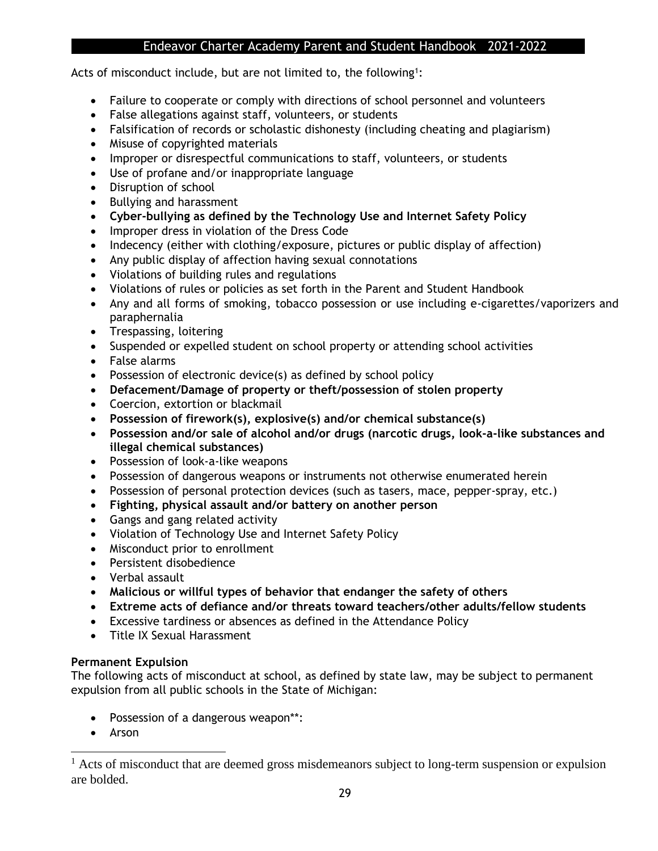Acts of misconduct include, but are not limited to, the following<sup>1</sup>:

- Failure to cooperate or comply with directions of school personnel and volunteers
- False allegations against staff, volunteers, or students
- Falsification of records or scholastic dishonesty (including cheating and plagiarism)
- Misuse of copyrighted materials
- Improper or disrespectful communications to staff, volunteers, or students
- Use of profane and/or inappropriate language
- Disruption of school
- Bullying and harassment
- **Cyber-bullying as defined by the Technology Use and Internet Safety Policy**
- Improper dress in violation of the Dress Code
- Indecency (either with clothing/exposure, pictures or public display of affection)
- Any public display of affection having sexual connotations
- Violations of building rules and regulations
- Violations of rules or policies as set forth in the Parent and Student Handbook
- Any and all forms of smoking, tobacco possession or use including e-cigarettes/vaporizers and paraphernalia
- Trespassing, loitering
- Suspended or expelled student on school property or attending school activities
- False alarms
- Possession of electronic device(s) as defined by school policy
- **Defacement/Damage of property or theft/possession of stolen property**
- Coercion, extortion or blackmail
- **Possession of firework(s), explosive(s) and/or chemical substance(s)**
- **Possession and/or sale of alcohol and/or drugs (narcotic drugs, look-a-like substances and illegal chemical substances)**
- Possession of look-a-like weapons
- Possession of dangerous weapons or instruments not otherwise enumerated herein
- Possession of personal protection devices (such as tasers, mace, pepper-spray, etc.)
- **Fighting, physical assault and/or battery on another person**
- Gangs and gang related activity
- Violation of Technology Use and Internet Safety Policy
- Misconduct prior to enrollment
- Persistent disobedience
- Verbal assault
- **Malicious or willful types of behavior that endanger the safety of others**
- **Extreme acts of defiance and/or threats toward teachers/other adults/fellow students**
- Excessive tardiness or absences as defined in the Attendance Policy
- Title IX Sexual Harassment

#### **Permanent Expulsion**

The following acts of misconduct at school, as defined by state law, may be subject to permanent expulsion from all public schools in the State of Michigan:

- Possession of a dangerous weapon\*\*:
- Arson

 $<sup>1</sup>$  Acts of misconduct that are deemed gross misdemeanors subject to long-term suspension or expulsion</sup> are bolded.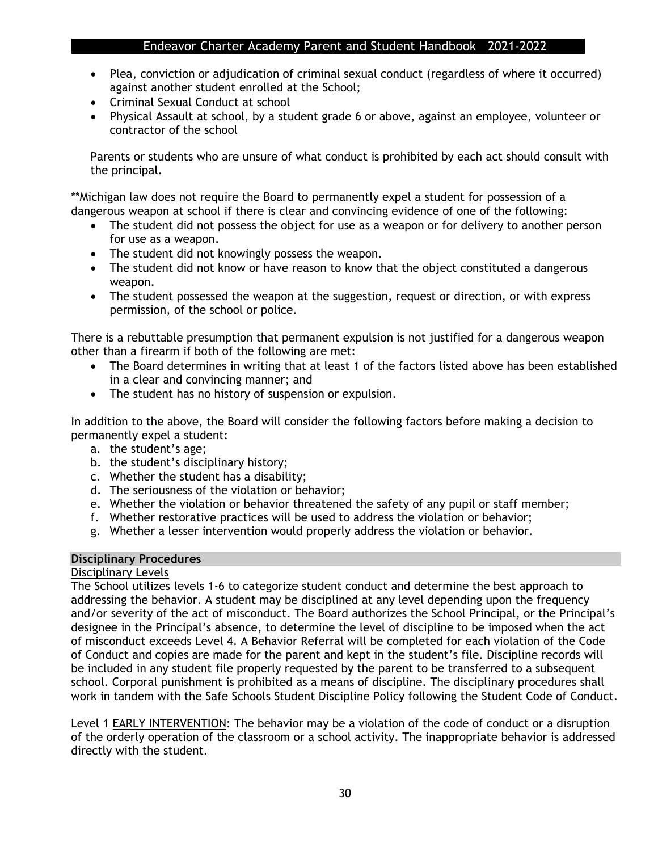- Plea, conviction or adjudication of criminal sexual conduct (regardless of where it occurred) against another student enrolled at the School;
- Criminal Sexual Conduct at school
- Physical Assault at school, by a student grade 6 or above, against an employee, volunteer or contractor of the school

Parents or students who are unsure of what conduct is prohibited by each act should consult with the principal.

\*\*Michigan law does not require the Board to permanently expel a student for possession of a dangerous weapon at school if there is clear and convincing evidence of one of the following:

- The student did not possess the object for use as a weapon or for delivery to another person for use as a weapon.
- The student did not knowingly possess the weapon.
- The student did not know or have reason to know that the object constituted a dangerous weapon.
- The student possessed the weapon at the suggestion, request or direction, or with express permission, of the school or police.

There is a rebuttable presumption that permanent expulsion is not justified for a dangerous weapon other than a firearm if both of the following are met:

- The Board determines in writing that at least 1 of the factors listed above has been established in a clear and convincing manner; and
- The student has no history of suspension or expulsion.

In addition to the above, the Board will consider the following factors before making a decision to permanently expel a student:

- a. the student's age;
- b. the student's disciplinary history;
- c. Whether the student has a disability;
- d. The seriousness of the violation or behavior;
- e. Whether the violation or behavior threatened the safety of any pupil or staff member;
- f. Whether restorative practices will be used to address the violation or behavior;
- g. Whether a lesser intervention would properly address the violation or behavior.

#### **Disciplinary Procedures**

#### Disciplinary Levels

The School utilizes levels 1-6 to categorize student conduct and determine the best approach to addressing the behavior. A student may be disciplined at any level depending upon the frequency and/or severity of the act of misconduct. The Board authorizes the School Principal, or the Principal's designee in the Principal's absence, to determine the level of discipline to be imposed when the act of misconduct exceeds Level 4. A Behavior Referral will be completed for each violation of the Code of Conduct and copies are made for the parent and kept in the student's file. Discipline records will be included in any student file properly requested by the parent to be transferred to a subsequent school. Corporal punishment is prohibited as a means of discipline. The disciplinary procedures shall work in tandem with the Safe Schools Student Discipline Policy following the Student Code of Conduct.

Level 1 EARLY INTERVENTION: The behavior may be a violation of the code of conduct or a disruption of the orderly operation of the classroom or a school activity. The inappropriate behavior is addressed directly with the student.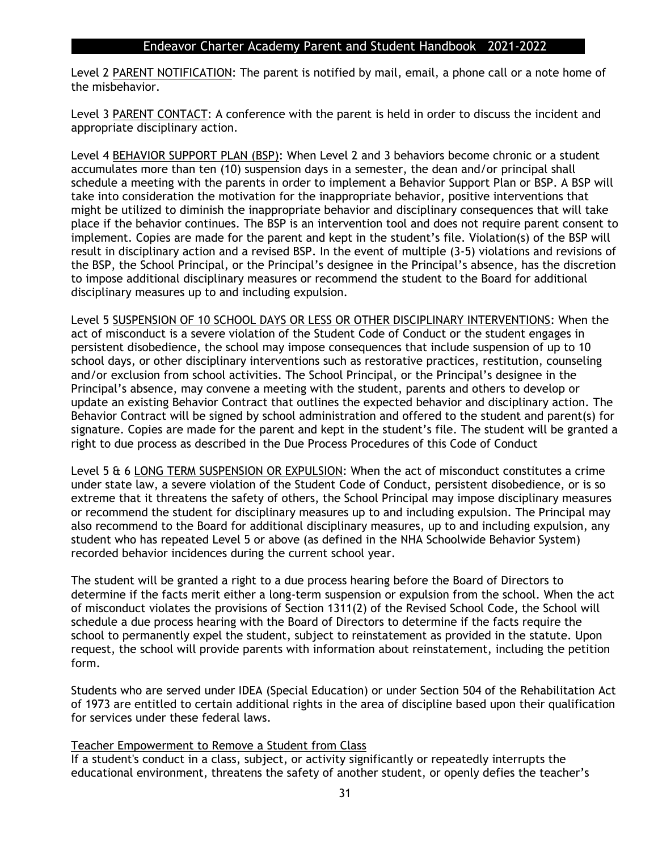Level 2 PARENT NOTIFICATION: The parent is notified by mail, email, a phone call or a note home of the misbehavior.

Level 3 PARENT CONTACT: A conference with the parent is held in order to discuss the incident and appropriate disciplinary action.

Level 4 BEHAVIOR SUPPORT PLAN (BSP): When Level 2 and 3 behaviors become chronic or a student accumulates more than ten (10) suspension days in a semester, the dean and/or principal shall schedule a meeting with the parents in order to implement a Behavior Support Plan or BSP. A BSP will take into consideration the motivation for the inappropriate behavior, positive interventions that might be utilized to diminish the inappropriate behavior and disciplinary consequences that will take place if the behavior continues. The BSP is an intervention tool and does not require parent consent to implement. Copies are made for the parent and kept in the student's file. Violation(s) of the BSP will result in disciplinary action and a revised BSP. In the event of multiple (3-5) violations and revisions of the BSP, the School Principal, or the Principal's designee in the Principal's absence, has the discretion to impose additional disciplinary measures or recommend the student to the Board for additional disciplinary measures up to and including expulsion.

Level 5 SUSPENSION OF 10 SCHOOL DAYS OR LESS OR OTHER DISCIPLINARY INTERVENTIONS: When the act of misconduct is a severe violation of the Student Code of Conduct or the student engages in persistent disobedience, the school may impose consequences that include suspension of up to 10 school days, or other disciplinary interventions such as restorative practices, restitution, counseling and/or exclusion from school activities. The School Principal, or the Principal's designee in the Principal's absence, may convene a meeting with the student, parents and others to develop or update an existing Behavior Contract that outlines the expected behavior and disciplinary action. The Behavior Contract will be signed by school administration and offered to the student and parent(s) for signature. Copies are made for the parent and kept in the student's file. The student will be granted a right to due process as described in the Due Process Procedures of this Code of Conduct

Level 5 & 6 LONG TERM SUSPENSION OR EXPULSION: When the act of misconduct constitutes a crime under state law, a severe violation of the Student Code of Conduct, persistent disobedience, or is so extreme that it threatens the safety of others, the School Principal may impose disciplinary measures or recommend the student for disciplinary measures up to and including expulsion. The Principal may also recommend to the Board for additional disciplinary measures, up to and including expulsion, any student who has repeated Level 5 or above (as defined in the NHA Schoolwide Behavior System) recorded behavior incidences during the current school year.

The student will be granted a right to a due process hearing before the Board of Directors to determine if the facts merit either a long-term suspension or expulsion from the school. When the act of misconduct violates the provisions of Section 1311(2) of the Revised School Code, the School will schedule a due process hearing with the Board of Directors to determine if the facts require the school to permanently expel the student, subject to reinstatement as provided in the statute. Upon request, the school will provide parents with information about reinstatement, including the petition form.

Students who are served under IDEA (Special Education) or under Section 504 of the Rehabilitation Act of 1973 are entitled to certain additional rights in the area of discipline based upon their qualification for services under these federal laws.

#### Teacher Empowerment to Remove a Student from Class

If a student's conduct in a class, subject, or activity significantly or repeatedly interrupts the educational environment, threatens the safety of another student, or openly defies the teacher's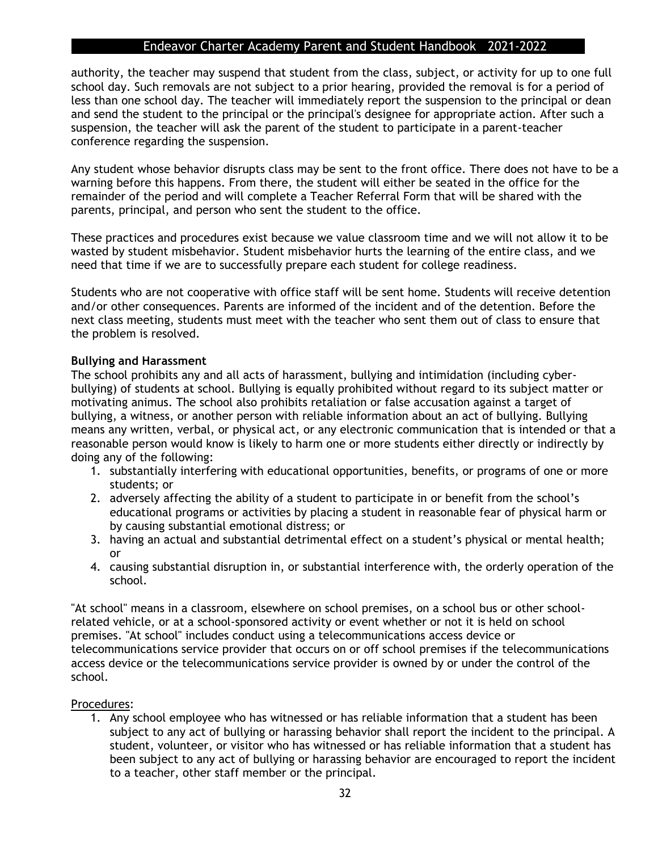authority, the teacher may suspend that student from the class, subject, or activity for up to one full school day. Such removals are not subject to a prior hearing, provided the removal is for a period of less than one school day. The teacher will immediately report the suspension to the principal or dean and send the student to the principal or the principal's designee for appropriate action. After such a suspension, the teacher will ask the parent of the student to participate in a parent-teacher conference regarding the suspension.

Any student whose behavior disrupts class may be sent to the front office. There does not have to be a warning before this happens. From there, the student will either be seated in the office for the remainder of the period and will complete a Teacher Referral Form that will be shared with the parents, principal, and person who sent the student to the office.

These practices and procedures exist because we value classroom time and we will not allow it to be wasted by student misbehavior. Student misbehavior hurts the learning of the entire class, and we need that time if we are to successfully prepare each student for college readiness.

Students who are not cooperative with office staff will be sent home. Students will receive detention and/or other consequences. Parents are informed of the incident and of the detention. Before the next class meeting, students must meet with the teacher who sent them out of class to ensure that the problem is resolved.

#### **Bullying and Harassment**

The school prohibits any and all acts of harassment, bullying and intimidation (including cyberbullying) of students at school. Bullying is equally prohibited without regard to its subject matter or motivating animus. The school also prohibits retaliation or false accusation against a target of bullying, a witness, or another person with reliable information about an act of bullying. Bullying means any written, verbal, or physical act, or any electronic communication that is intended or that a reasonable person would know is likely to harm one or more students either directly or indirectly by doing any of the following:

- 1. substantially interfering with educational opportunities, benefits, or programs of one or more students; or
- 2. adversely affecting the ability of a student to participate in or benefit from the school's educational programs or activities by placing a student in reasonable fear of physical harm or by causing substantial emotional distress; or
- 3. having an actual and substantial detrimental effect on a student's physical or mental health; or
- 4. causing substantial disruption in, or substantial interference with, the orderly operation of the school.

"At school" means in a classroom, elsewhere on school premises, on a school bus or other schoolrelated vehicle, or at a school-sponsored activity or event whether or not it is held on school premises. "At school" includes conduct using a telecommunications access device or telecommunications service provider that occurs on or off school premises if the telecommunications access device or the telecommunications service provider is owned by or under the control of the school.

#### Procedures:

1. Any school employee who has witnessed or has reliable information that a student has been subject to any act of bullying or harassing behavior shall report the incident to the principal. A student, volunteer, or visitor who has witnessed or has reliable information that a student has been subject to any act of bullying or harassing behavior are encouraged to report the incident to a teacher, other staff member or the principal.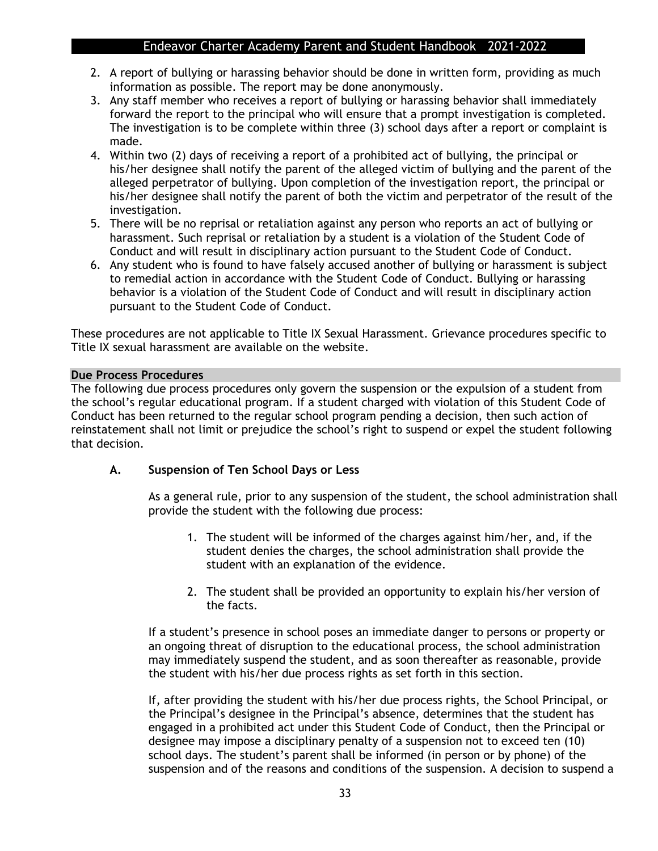- 2. A report of bullying or harassing behavior should be done in written form, providing as much information as possible. The report may be done anonymously.
- 3. Any staff member who receives a report of bullying or harassing behavior shall immediately forward the report to the principal who will ensure that a prompt investigation is completed. The investigation is to be complete within three (3) school days after a report or complaint is made.
- 4. Within two (2) days of receiving a report of a prohibited act of bullying, the principal or his/her designee shall notify the parent of the alleged victim of bullying and the parent of the alleged perpetrator of bullying. Upon completion of the investigation report, the principal or his/her designee shall notify the parent of both the victim and perpetrator of the result of the investigation.
- 5. There will be no reprisal or retaliation against any person who reports an act of bullying or harassment. Such reprisal or retaliation by a student is a violation of the Student Code of Conduct and will result in disciplinary action pursuant to the Student Code of Conduct.
- 6. Any student who is found to have falsely accused another of bullying or harassment is subject to remedial action in accordance with the Student Code of Conduct. Bullying or harassing behavior is a violation of the Student Code of Conduct and will result in disciplinary action pursuant to the Student Code of Conduct.

These procedures are not applicable to Title IX Sexual Harassment. Grievance procedures specific to Title IX sexual harassment are available on the website.

#### **Due Process Procedures**

The following due process procedures only govern the suspension or the expulsion of a student from the school's regular educational program. If a student charged with violation of this Student Code of Conduct has been returned to the regular school program pending a decision, then such action of reinstatement shall not limit or prejudice the school's right to suspend or expel the student following that decision.

#### **A. Suspension of Ten School Days or Less**

As a general rule, prior to any suspension of the student, the school administration shall provide the student with the following due process:

- 1. The student will be informed of the charges against him/her, and, if the student denies the charges, the school administration shall provide the student with an explanation of the evidence.
- 2. The student shall be provided an opportunity to explain his/her version of the facts.

If a student's presence in school poses an immediate danger to persons or property or an ongoing threat of disruption to the educational process, the school administration may immediately suspend the student, and as soon thereafter as reasonable, provide the student with his/her due process rights as set forth in this section.

If, after providing the student with his/her due process rights, the School Principal, or the Principal's designee in the Principal's absence, determines that the student has engaged in a prohibited act under this Student Code of Conduct, then the Principal or designee may impose a disciplinary penalty of a suspension not to exceed ten (10) school days. The student's parent shall be informed (in person or by phone) of the suspension and of the reasons and conditions of the suspension. A decision to suspend a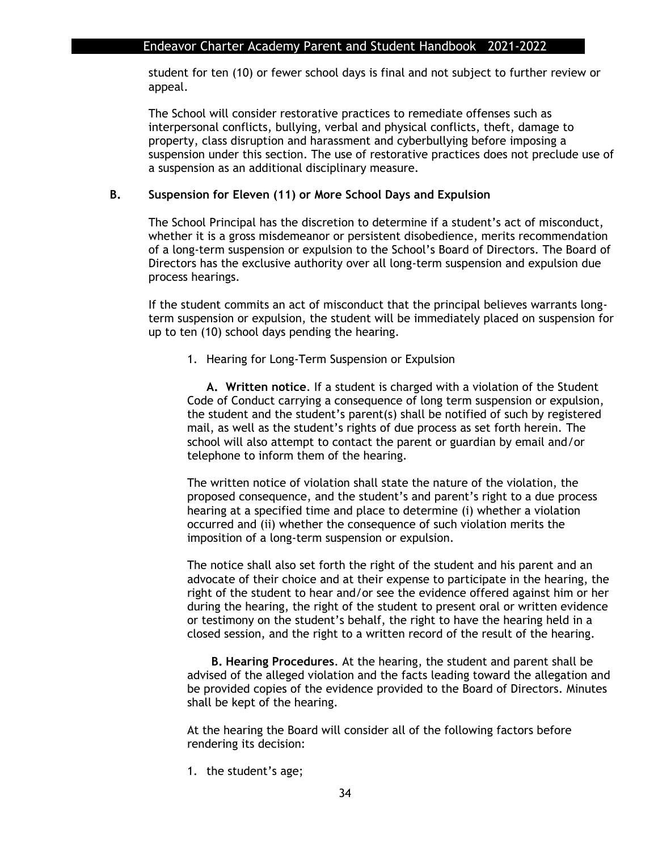student for ten (10) or fewer school days is final and not subject to further review or appeal.

The School will consider restorative practices to remediate offenses such as interpersonal conflicts, bullying, verbal and physical conflicts, theft, damage to property, class disruption and harassment and cyberbullying before imposing a suspension under this section. The use of restorative practices does not preclude use of a suspension as an additional disciplinary measure.

#### **B. Suspension for Eleven (11) or More School Days and Expulsion**

The School Principal has the discretion to determine if a student's act of misconduct, whether it is a gross misdemeanor or persistent disobedience, merits recommendation of a long-term suspension or expulsion to the School's Board of Directors. The Board of Directors has the exclusive authority over all long-term suspension and expulsion due process hearings.

If the student commits an act of misconduct that the principal believes warrants longterm suspension or expulsion, the student will be immediately placed on suspension for up to ten (10) school days pending the hearing.

1. Hearing for Long-Term Suspension or Expulsion

**A. Written notice**. If a student is charged with a violation of the Student Code of Conduct carrying a consequence of long term suspension or expulsion, the student and the student's parent(s) shall be notified of such by registered mail, as well as the student's rights of due process as set forth herein. The school will also attempt to contact the parent or guardian by email and/or telephone to inform them of the hearing.

The written notice of violation shall state the nature of the violation, the proposed consequence, and the student's and parent's right to a due process hearing at a specified time and place to determine (i) whether a violation occurred and (ii) whether the consequence of such violation merits the imposition of a long-term suspension or expulsion.

The notice shall also set forth the right of the student and his parent and an advocate of their choice and at their expense to participate in the hearing, the right of the student to hear and/or see the evidence offered against him or her during the hearing, the right of the student to present oral or written evidence or testimony on the student's behalf, the right to have the hearing held in a closed session, and the right to a written record of the result of the hearing.

**B. Hearing Procedures**. At the hearing, the student and parent shall be advised of the alleged violation and the facts leading toward the allegation and be provided copies of the evidence provided to the Board of Directors. Minutes shall be kept of the hearing.

At the hearing the Board will consider all of the following factors before rendering its decision:

1. the student's age;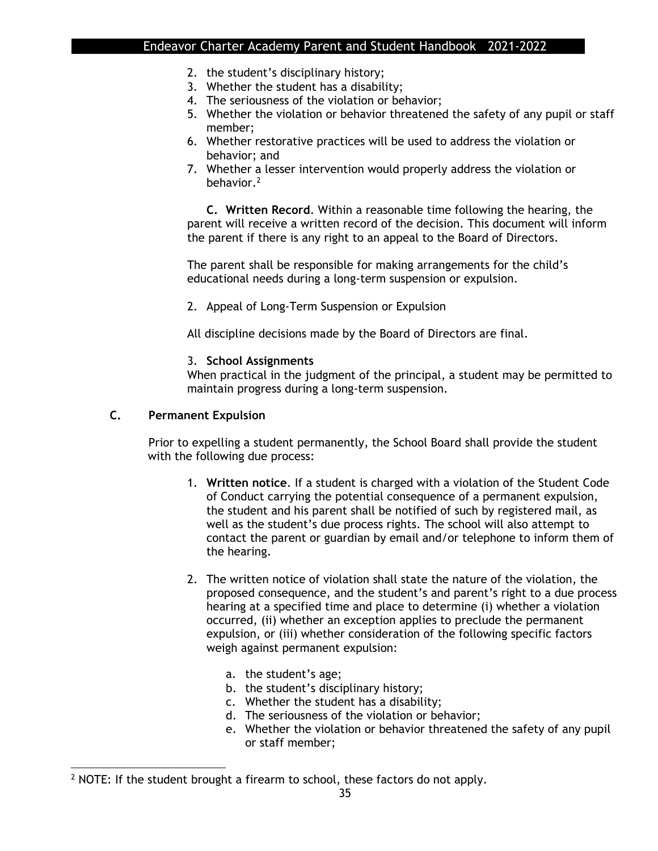- 2. the student's disciplinary history;
- 3. Whether the student has a disability;
- 4. The seriousness of the violation or behavior;
- 5. Whether the violation or behavior threatened the safety of any pupil or staff member;
- 6. Whether restorative practices will be used to address the violation or behavior; and
- 7. Whether a lesser intervention would properly address the violation or behavior.<sup>2</sup>

**C. Written Record**. Within a reasonable time following the hearing, the parent will receive a written record of the decision. This document will inform the parent if there is any right to an appeal to the Board of Directors.

The parent shall be responsible for making arrangements for the child's educational needs during a long-term suspension or expulsion.

2. Appeal of Long-Term Suspension or Expulsion

All discipline decisions made by the Board of Directors are final.

#### 3. **School Assignments**

When practical in the judgment of the principal, a student may be permitted to maintain progress during a long-term suspension.

#### **C. Permanent Expulsion**

Prior to expelling a student permanently, the School Board shall provide the student with the following due process:

- 1. **Written notice**. If a student is charged with a violation of the Student Code of Conduct carrying the potential consequence of a permanent expulsion, the student and his parent shall be notified of such by registered mail, as well as the student's due process rights. The school will also attempt to contact the parent or guardian by email and/or telephone to inform them of the hearing.
- 2. The written notice of violation shall state the nature of the violation, the proposed consequence, and the student's and parent's right to a due process hearing at a specified time and place to determine (i) whether a violation occurred, (ii) whether an exception applies to preclude the permanent expulsion, or (iii) whether consideration of the following specific factors weigh against permanent expulsion:
	- a. the student's age;
	- b. the student's disciplinary history;
	- c. Whether the student has a disability;
	- d. The seriousness of the violation or behavior;
	- e. Whether the violation or behavior threatened the safety of any pupil or staff member;

<sup>&</sup>lt;sup>2</sup> NOTE: If the student brought a firearm to school, these factors do not apply.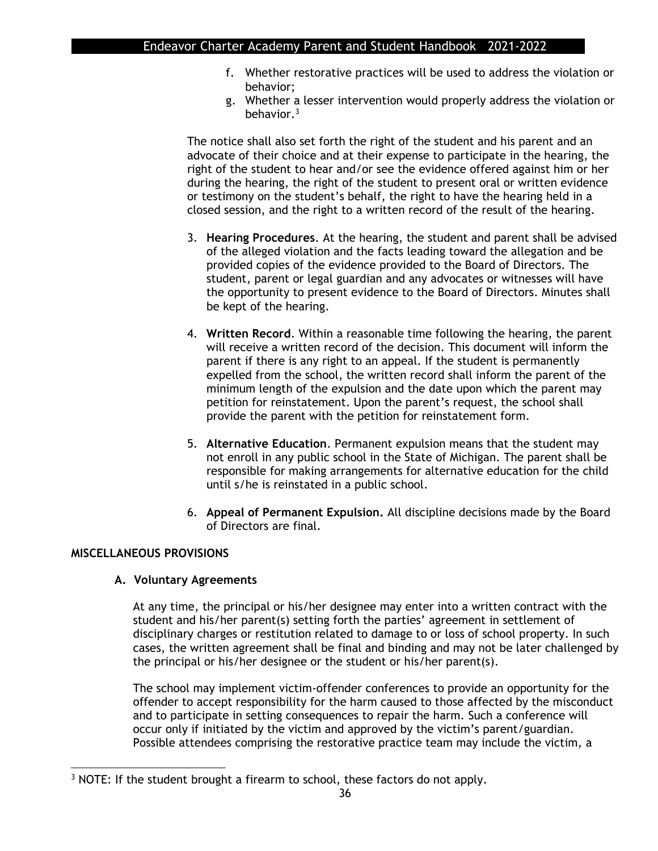- f. Whether restorative practices will be used to address the violation or behavior;
- g. Whether a lesser intervention would properly address the violation or behavior.<sup>3</sup>

The notice shall also set forth the right of the student and his parent and an advocate of their choice and at their expense to participate in the hearing, the right of the student to hear and/or see the evidence offered against him or her during the hearing, the right of the student to present oral or written evidence or testimony on the student's behalf, the right to have the hearing held in a closed session, and the right to a written record of the result of the hearing.

- 3. **Hearing Procedures**. At the hearing, the student and parent shall be advised of the alleged violation and the facts leading toward the allegation and be provided copies of the evidence provided to the Board of Directors. The student, parent or legal guardian and any advocates or witnesses will have the opportunity to present evidence to the Board of Directors. Minutes shall be kept of the hearing.
- 4. **Written Record**. Within a reasonable time following the hearing, the parent will receive a written record of the decision. This document will inform the parent if there is any right to an appeal. If the student is permanently expelled from the school, the written record shall inform the parent of the minimum length of the expulsion and the date upon which the parent may petition for reinstatement. Upon the parent's request, the school shall provide the parent with the petition for reinstatement form.
- 5. **Alternative Education**. Permanent expulsion means that the student may not enroll in any public school in the State of Michigan. The parent shall be responsible for making arrangements for alternative education for the child until s/he is reinstated in a public school.
- 6. **Appeal of Permanent Expulsion.** All discipline decisions made by the Board of Directors are final.

#### **MISCELLANEOUS PROVISIONS**

#### **A. Voluntary Agreements**

At any time, the principal or his/her designee may enter into a written contract with the student and his/her parent(s) setting forth the parties' agreement in settlement of disciplinary charges or restitution related to damage to or loss of school property. In such cases, the written agreement shall be final and binding and may not be later challenged by the principal or his/her designee or the student or his/her parent(s).

The school may implement victim-offender conferences to provide an opportunity for the offender to accept responsibility for the harm caused to those affected by the misconduct and to participate in setting consequences to repair the harm. Such a conference will occur only if initiated by the victim and approved by the victim's parent/guardian. Possible attendees comprising the restorative practice team may include the victim, a

<sup>&</sup>lt;sup>3</sup> NOTE: If the student brought a firearm to school, these factors do not apply.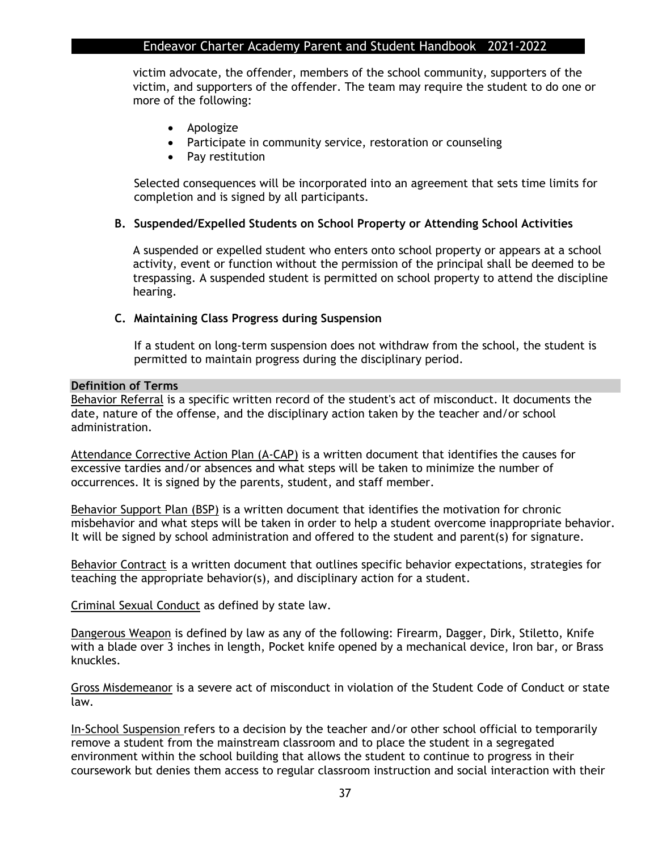victim advocate, the offender, members of the school community, supporters of the victim, and supporters of the offender. The team may require the student to do one or more of the following:

- Apologize
- Participate in community service, restoration or counseling
- Pay restitution

Selected consequences will be incorporated into an agreement that sets time limits for completion and is signed by all participants.

#### **B. Suspended/Expelled Students on School Property or Attending School Activities**

A suspended or expelled student who enters onto school property or appears at a school activity, event or function without the permission of the principal shall be deemed to be trespassing. A suspended student is permitted on school property to attend the discipline hearing.

#### **C. Maintaining Class Progress during Suspension**

If a student on long-term suspension does not withdraw from the school, the student is permitted to maintain progress during the disciplinary period.

#### **Definition of Terms**

Behavior Referral is a specific written record of the student's act of misconduct. It documents the date, nature of the offense, and the disciplinary action taken by the teacher and/or school administration.

Attendance Corrective Action Plan (A-CAP) is a written document that identifies the causes for excessive tardies and/or absences and what steps will be taken to minimize the number of occurrences. It is signed by the parents, student, and staff member.

Behavior Support Plan (BSP) is a written document that identifies the motivation for chronic misbehavior and what steps will be taken in order to help a student overcome inappropriate behavior. It will be signed by school administration and offered to the student and parent(s) for signature.

Behavior Contract is a written document that outlines specific behavior expectations, strategies for teaching the appropriate behavior(s), and disciplinary action for a student.

Criminal Sexual Conduct as defined by state law.

Dangerous Weapon is defined by law as any of the following: Firearm, Dagger, Dirk, Stiletto, Knife with a blade over 3 inches in length, Pocket knife opened by a mechanical device, Iron bar, or Brass knuckles.

Gross Misdemeanor is a severe act of misconduct in violation of the Student Code of Conduct or state law.

In-School Suspension refers to a decision by the teacher and/or other school official to temporarily remove a student from the mainstream classroom and to place the student in a segregated environment within the school building that allows the student to continue to progress in their coursework but denies them access to regular classroom instruction and social interaction with their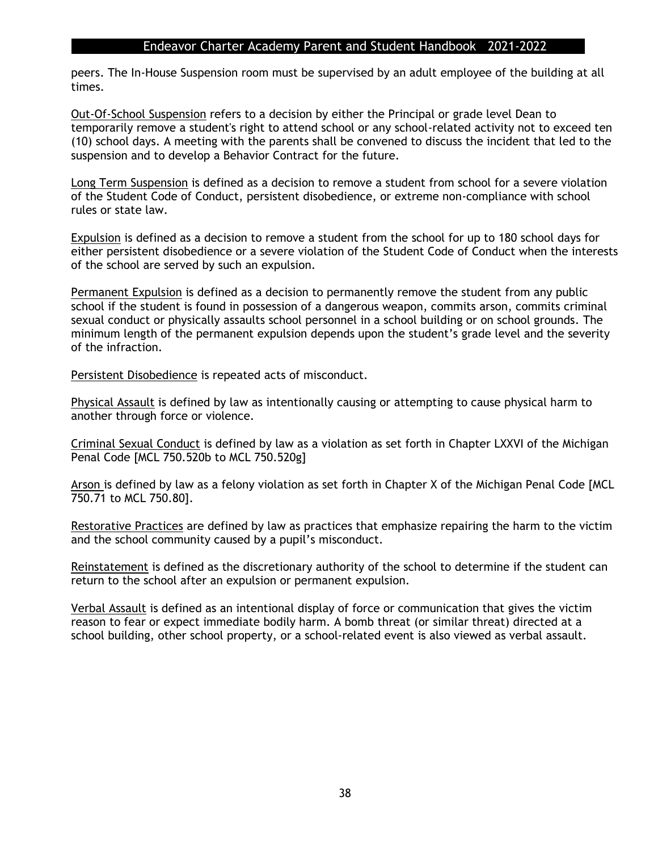peers. The In-House Suspension room must be supervised by an adult employee of the building at all times.

Out-Of-School Suspension refers to a decision by either the Principal or grade level Dean to temporarily remove a student's right to attend school or any school-related activity not to exceed ten (10) school days. A meeting with the parents shall be convened to discuss the incident that led to the suspension and to develop a Behavior Contract for the future.

Long Term Suspension is defined as a decision to remove a student from school for a severe violation of the Student Code of Conduct, persistent disobedience, or extreme non-compliance with school rules or state law.

Expulsion is defined as a decision to remove a student from the school for up to 180 school days for either persistent disobedience or a severe violation of the Student Code of Conduct when the interests of the school are served by such an expulsion.

Permanent Expulsion is defined as a decision to permanently remove the student from any public school if the student is found in possession of a dangerous weapon, commits arson, commits criminal sexual conduct or physically assaults school personnel in a school building or on school grounds. The minimum length of the permanent expulsion depends upon the student's grade level and the severity of the infraction.

Persistent Disobedience is repeated acts of misconduct.

Physical Assault is defined by law as intentionally causing or attempting to cause physical harm to another through force or violence.

Criminal Sexual Conduct is defined by law as a violation as set forth in Chapter LXXVI of the Michigan Penal Code [MCL 750.520b to MCL 750.520g]

Arson is defined by law as a felony violation as set forth in Chapter X of the Michigan Penal Code [MCL 750.71 to MCL 750.80].

Restorative Practices are defined by law as practices that emphasize repairing the harm to the victim and the school community caused by a pupil's misconduct.

Reinstatement is defined as the discretionary authority of the school to determine if the student can return to the school after an expulsion or permanent expulsion.

Verbal Assault is defined as an intentional display of force or communication that gives the victim reason to fear or expect immediate bodily harm. A bomb threat (or similar threat) directed at a school building, other school property, or a school-related event is also viewed as verbal assault.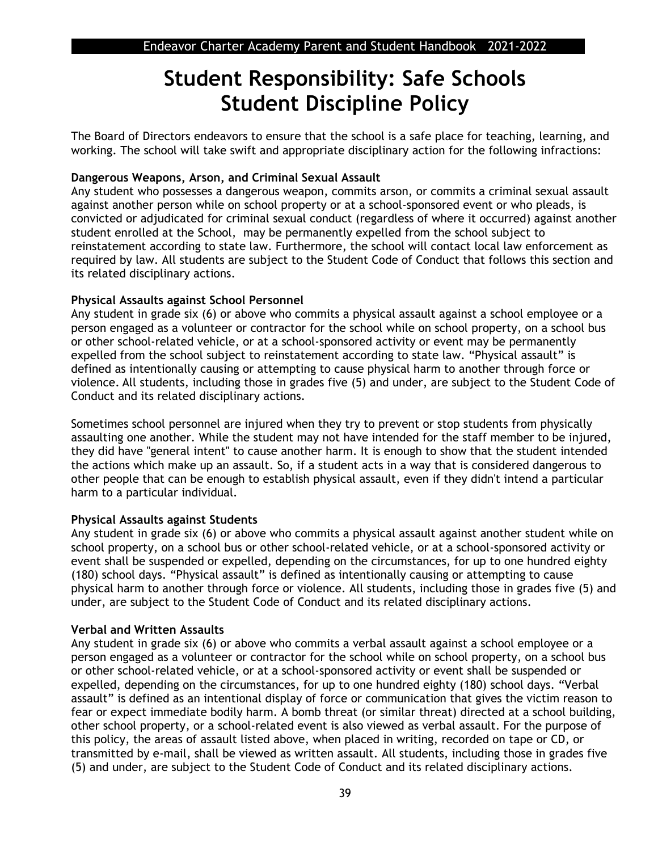## **Student Responsibility: Safe Schools Student Discipline Policy**

The Board of Directors endeavors to ensure that the school is a safe place for teaching, learning, and working. The school will take swift and appropriate disciplinary action for the following infractions:

#### **Dangerous Weapons, Arson, and Criminal Sexual Assault**

Any student who possesses a dangerous weapon, commits arson, or commits a criminal sexual assault against another person while on school property or at a school-sponsored event or who pleads, is convicted or adjudicated for criminal sexual conduct (regardless of where it occurred) against another student enrolled at the School, may be permanently expelled from the school subject to reinstatement according to state law. Furthermore, the school will contact local law enforcement as required by law. All students are subject to the Student Code of Conduct that follows this section and its related disciplinary actions.

#### **Physical Assaults against School Personnel**

Any student in grade six (6) or above who commits a physical assault against a school employee or a person engaged as a volunteer or contractor for the school while on school property, on a school bus or other school-related vehicle, or at a school-sponsored activity or event may be permanently expelled from the school subject to reinstatement according to state law. "Physical assault" is defined as intentionally causing or attempting to cause physical harm to another through force or violence. All students, including those in grades five (5) and under, are subject to the Student Code of Conduct and its related disciplinary actions.

Sometimes school personnel are injured when they try to prevent or stop students from physically assaulting one another. While the student may not have intended for the staff member to be injured, they did have "general intent" to cause another harm. It is enough to show that the student intended the actions which make up an assault. So, if a student acts in a way that is considered dangerous to other people that can be enough to establish physical assault, even if they didn't intend a particular harm to a particular individual.

#### **Physical Assaults against Students**

Any student in grade six (6) or above who commits a physical assault against another student while on school property, on a school bus or other school-related vehicle, or at a school-sponsored activity or event shall be suspended or expelled, depending on the circumstances, for up to one hundred eighty (180) school days. "Physical assault" is defined as intentionally causing or attempting to cause physical harm to another through force or violence. All students, including those in grades five (5) and under, are subject to the Student Code of Conduct and its related disciplinary actions.

#### **Verbal and Written Assaults**

Any student in grade six (6) or above who commits a verbal assault against a school employee or a person engaged as a volunteer or contractor for the school while on school property, on a school bus or other school-related vehicle, or at a school-sponsored activity or event shall be suspended or expelled, depending on the circumstances, for up to one hundred eighty (180) school days. "Verbal assault" is defined as an intentional display of force or communication that gives the victim reason to fear or expect immediate bodily harm. A bomb threat (or similar threat) directed at a school building, other school property, or a school-related event is also viewed as verbal assault. For the purpose of this policy, the areas of assault listed above, when placed in writing, recorded on tape or CD, or transmitted by e-mail, shall be viewed as written assault. All students, including those in grades five (5) and under, are subject to the Student Code of Conduct and its related disciplinary actions.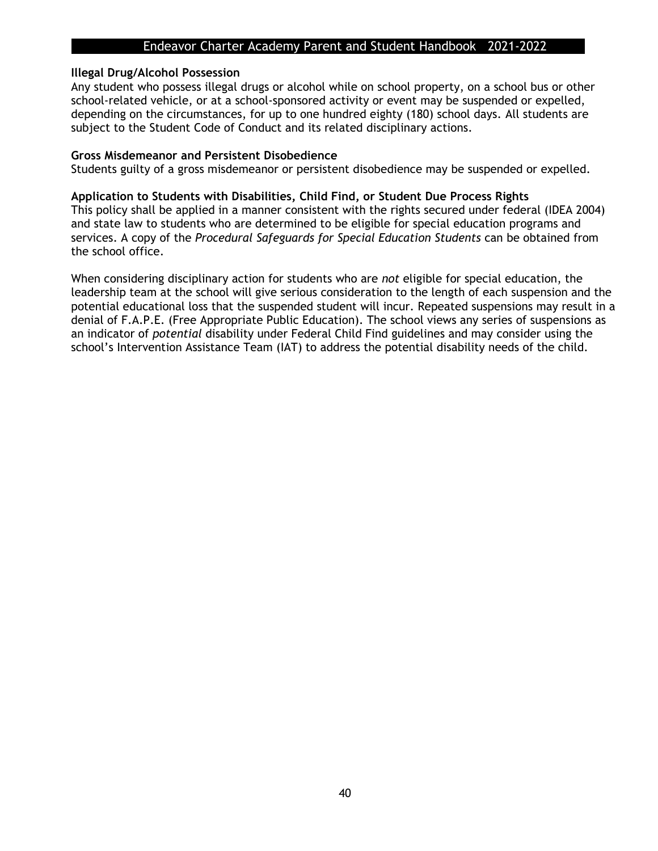#### **Illegal Drug/Alcohol Possession**

Any student who possess illegal drugs or alcohol while on school property, on a school bus or other school-related vehicle, or at a school-sponsored activity or event may be suspended or expelled, depending on the circumstances, for up to one hundred eighty (180) school days. All students are subject to the Student Code of Conduct and its related disciplinary actions.

#### **Gross Misdemeanor and Persistent Disobedience**

Students guilty of a gross misdemeanor or persistent disobedience may be suspended or expelled.

#### **Application to Students with Disabilities, Child Find, or Student Due Process Rights**

This policy shall be applied in a manner consistent with the rights secured under federal (IDEA 2004) and state law to students who are determined to be eligible for special education programs and services. A copy of the *Procedural Safeguards for Special Education Students* can be obtained from the school office.

When considering disciplinary action for students who are *not* eligible for special education, the leadership team at the school will give serious consideration to the length of each suspension and the potential educational loss that the suspended student will incur. Repeated suspensions may result in a denial of F.A.P.E. (Free Appropriate Public Education). The school views any series of suspensions as an indicator of *potential* disability under Federal Child Find guidelines and may consider using the school's Intervention Assistance Team (IAT) to address the potential disability needs of the child.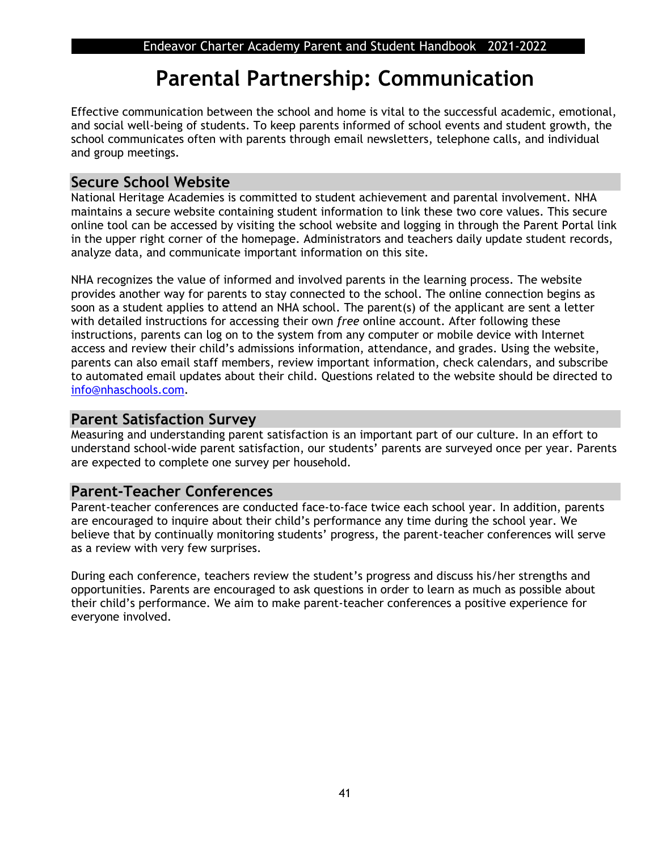## **Parental Partnership: Communication**

Effective communication between the school and home is vital to the successful academic, emotional, and social well-being of students. To keep parents informed of school events and student growth, the school communicates often with parents through email newsletters, telephone calls, and individual and group meetings.

## **Secure School Website**

National Heritage Academies is committed to student achievement and parental involvement. NHA maintains a secure website containing student information to link these two core values. This secure online tool can be accessed by visiting the school website and logging in through the Parent Portal link in the upper right corner of the homepage. Administrators and teachers daily update student records, analyze data, and communicate important information on this site.

NHA recognizes the value of informed and involved parents in the learning process. The website provides another way for parents to stay connected to the school. The online connection begins as soon as a student applies to attend an NHA school. The parent(s) of the applicant are sent a letter with detailed instructions for accessing their own *free* online account. After following these instructions, parents can log on to the system from any computer or mobile device with Internet access and review their child's admissions information, attendance, and grades. Using the website, parents can also email staff members, review important information, check calendars, and subscribe to automated email updates about their child. Questions related to the website should be directed to [info@nhaschools.com.](mailto:info@nhaschools.com)

## **Parent Satisfaction Survey**

Measuring and understanding parent satisfaction is an important part of our culture. In an effort to understand school-wide parent satisfaction, our students' parents are surveyed once per year. Parents are expected to complete one survey per household.

## **Parent-Teacher Conferences**

Parent-teacher conferences are conducted face-to-face twice each school year. In addition, parents are encouraged to inquire about their child's performance any time during the school year. We believe that by continually monitoring students' progress, the parent-teacher conferences will serve as a review with very few surprises.

During each conference, teachers review the student's progress and discuss his/her strengths and opportunities. Parents are encouraged to ask questions in order to learn as much as possible about their child's performance. We aim to make parent-teacher conferences a positive experience for everyone involved.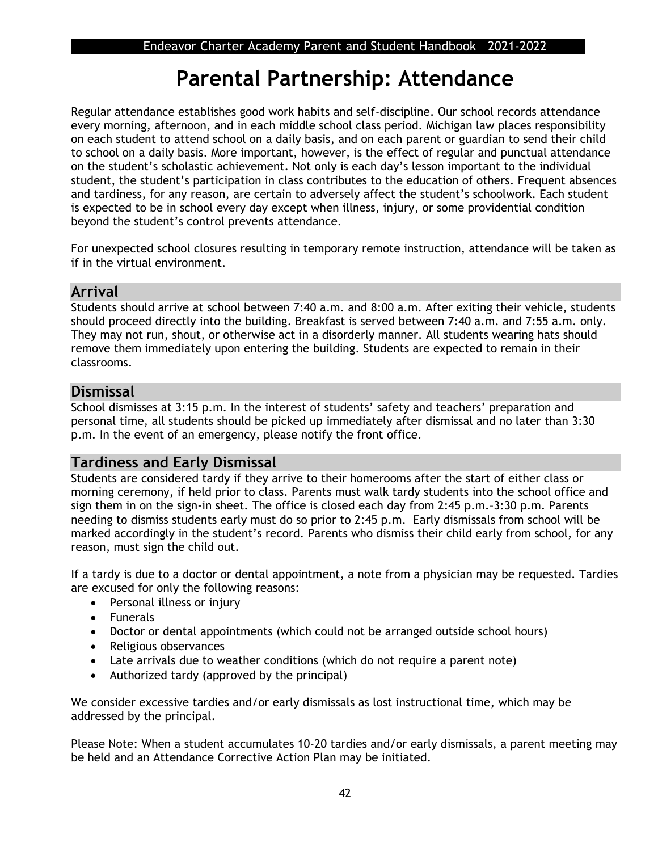## **Parental Partnership: Attendance**

Regular attendance establishes good work habits and self-discipline. Our school records attendance every morning, afternoon, and in each middle school class period. Michigan law places responsibility on each student to attend school on a daily basis, and on each parent or guardian to send their child to school on a daily basis. More important, however, is the effect of regular and punctual attendance on the student's scholastic achievement. Not only is each day's lesson important to the individual student, the student's participation in class contributes to the education of others. Frequent absences and tardiness, for any reason, are certain to adversely affect the student's schoolwork. Each student is expected to be in school every day except when illness, injury, or some providential condition beyond the student's control prevents attendance.

For unexpected school closures resulting in temporary remote instruction, attendance will be taken as if in the virtual environment.

## **Arrival**

Students should arrive at school between 7:40 a.m. and 8:00 a.m. After exiting their vehicle, students should proceed directly into the building. Breakfast is served between 7:40 a.m. and 7:55 a.m. only. They may not run, shout, or otherwise act in a disorderly manner. All students wearing hats should remove them immediately upon entering the building. Students are expected to remain in their classrooms.

## **Dismissal**

School dismisses at 3:15 p.m. In the interest of students' safety and teachers' preparation and personal time, all students should be picked up immediately after dismissal and no later than 3:30 p.m. In the event of an emergency, please notify the front office.

## **Tardiness and Early Dismissal**

Students are considered tardy if they arrive to their homerooms after the start of either class or morning ceremony, if held prior to class. Parents must walk tardy students into the school office and sign them in on the sign-in sheet. The office is closed each day from 2:45 p.m.–3:30 p.m. Parents needing to dismiss students early must do so prior to 2:45 p.m. Early dismissals from school will be marked accordingly in the student's record. Parents who dismiss their child early from school, for any reason, must sign the child out.

If a tardy is due to a doctor or dental appointment, a note from a physician may be requested. Tardies are excused for only the following reasons:

- Personal illness or injury
- Funerals
- Doctor or dental appointments (which could not be arranged outside school hours)
- Religious observances
- Late arrivals due to weather conditions (which do not require a parent note)
- Authorized tardy (approved by the principal)

We consider excessive tardies and/or early dismissals as lost instructional time, which may be addressed by the principal.

Please Note: When a student accumulates 10-20 tardies and/or early dismissals, a parent meeting may be held and an Attendance Corrective Action Plan may be initiated.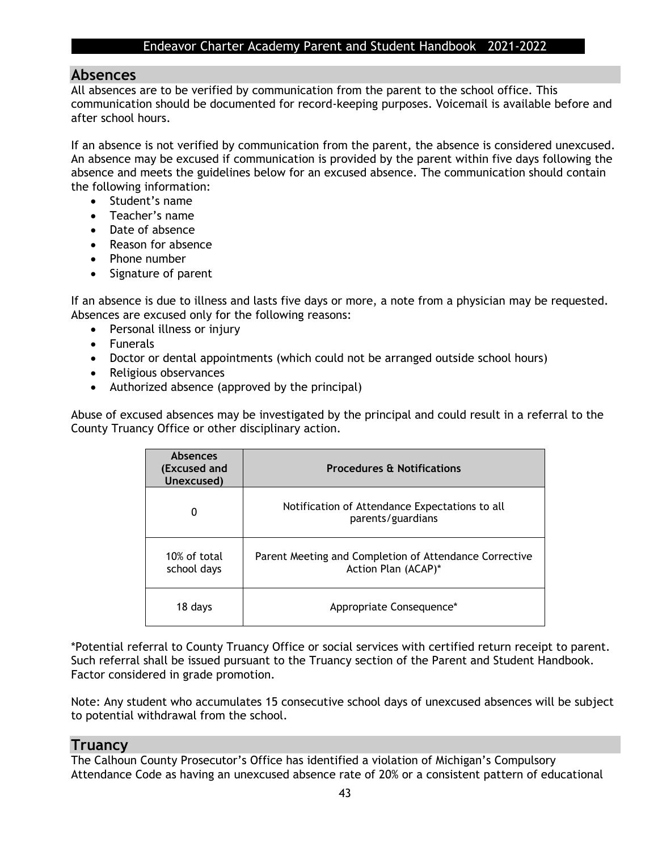#### **Absences**

All absences are to be verified by communication from the parent to the school office. This communication should be documented for record-keeping purposes. Voicemail is available before and after school hours.

If an absence is not verified by communication from the parent, the absence is considered unexcused. An absence may be excused if communication is provided by the parent within five days following the absence and meets the guidelines below for an excused absence. The communication should contain the following information:

- Student's name
- Teacher's name
- Date of absence
- Reason for absence
- Phone number
- Signature of parent

If an absence is due to illness and lasts five days or more, a note from a physician may be requested. Absences are excused only for the following reasons:

- Personal illness or injury
- Funerals
- Doctor or dental appointments (which could not be arranged outside school hours)
- Religious observances
- Authorized absence (approved by the principal)

Abuse of excused absences may be investigated by the principal and could result in a referral to the County Truancy Office or other disciplinary action.

| <b>Absences</b><br>(Excused and<br>Unexcused) | <b>Procedures &amp; Notifications</b>                                         |
|-----------------------------------------------|-------------------------------------------------------------------------------|
| 0                                             | Notification of Attendance Expectations to all<br>parents/guardians           |
| 10% of total<br>school days                   | Parent Meeting and Completion of Attendance Corrective<br>Action Plan (ACAP)* |
| 18 days                                       | Appropriate Consequence*                                                      |

\*Potential referral to County Truancy Office or social services with certified return receipt to parent. Such referral shall be issued pursuant to the Truancy section of the Parent and Student Handbook. Factor considered in grade promotion.

Note: Any student who accumulates 15 consecutive school days of unexcused absences will be subject to potential withdrawal from the school.

#### **Truancy**

The Calhoun County Prosecutor's Office has identified a violation of Michigan's Compulsory Attendance Code as having an unexcused absence rate of 20% or a consistent pattern of educational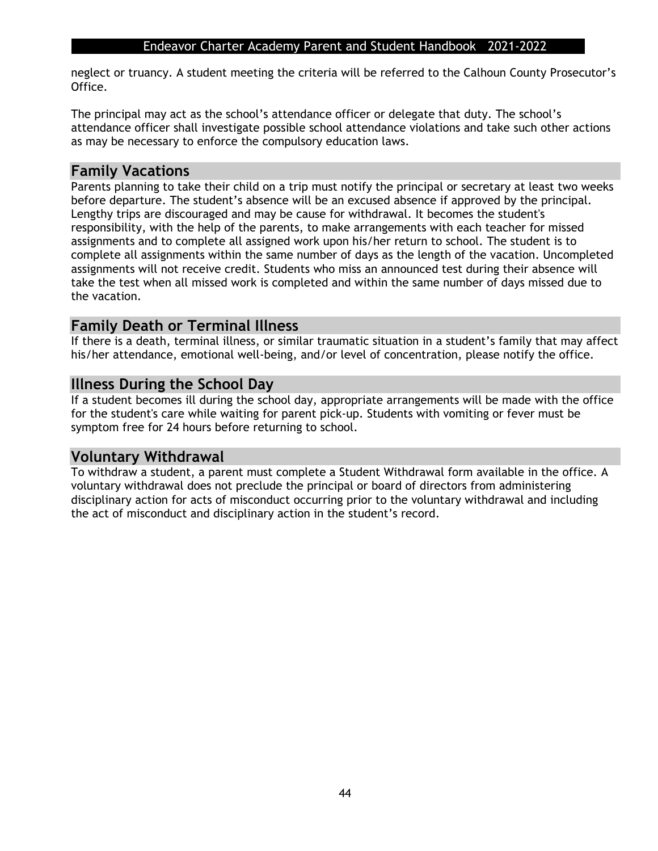neglect or truancy. A student meeting the criteria will be referred to the Calhoun County Prosecutor's Office.

The principal may act as the school's attendance officer or delegate that duty. The school's attendance officer shall investigate possible school attendance violations and take such other actions as may be necessary to enforce the compulsory education laws.

### **Family Vacations**

Parents planning to take their child on a trip must notify the principal or secretary at least two weeks before departure. The student's absence will be an excused absence if approved by the principal. Lengthy trips are discouraged and may be cause for withdrawal. It becomes the student's responsibility, with the help of the parents, to make arrangements with each teacher for missed assignments and to complete all assigned work upon his/her return to school. The student is to complete all assignments within the same number of days as the length of the vacation. Uncompleted assignments will not receive credit. Students who miss an announced test during their absence will take the test when all missed work is completed and within the same number of days missed due to the vacation.

## **Family Death or Terminal Illness**

If there is a death, terminal illness, or similar traumatic situation in a student's family that may affect his/her attendance, emotional well-being, and/or level of concentration, please notify the office.

### **Illness During the School Day**

If a student becomes ill during the school day, appropriate arrangements will be made with the office for the student's care while waiting for parent pick-up. Students with vomiting or fever must be symptom free for 24 hours before returning to school.

## **Voluntary Withdrawal**

To withdraw a student, a parent must complete a Student Withdrawal form available in the office. A voluntary withdrawal does not preclude the principal or board of directors from administering disciplinary action for acts of misconduct occurring prior to the voluntary withdrawal and including the act of misconduct and disciplinary action in the student's record.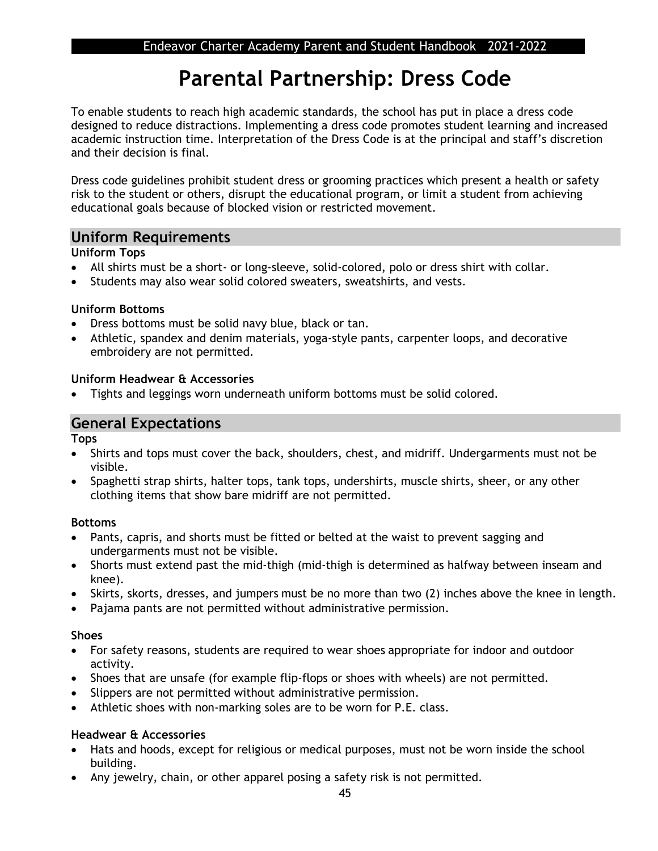## **Parental Partnership: Dress Code**

To enable students to reach high academic standards, the school has put in place a dress code designed to reduce distractions. Implementing a dress code promotes student learning and increased academic instruction time. Interpretation of the Dress Code is at the principal and staff's discretion and their decision is final.

Dress code guidelines prohibit student dress or grooming practices which present a health or safety risk to the student or others, disrupt the educational program, or limit a student from achieving educational goals because of blocked vision or restricted movement.

### **Uniform Requirements**

#### **Uniform Tops**

- All shirts must be a short- or long-sleeve, solid-colored, polo or dress shirt with collar.
- Students may also wear solid colored sweaters, sweatshirts, and vests.

#### **Uniform Bottoms**

- Dress bottoms must be solid navy blue, black or tan.
- Athletic, spandex and denim materials, yoga-style pants, carpenter loops, and decorative embroidery are not permitted.

#### **Uniform Headwear & Accessories**

• Tights and leggings worn underneath uniform bottoms must be solid colored.

## **General Expectations**

**Tops**

- Shirts and tops must cover the back, shoulders, chest, and midriff. Undergarments must not be visible.
- Spaghetti strap shirts, halter tops, tank tops, undershirts, muscle shirts, sheer, or any other clothing items that show bare midriff are not permitted.

#### **Bottoms**

- Pants, capris, and shorts must be fitted or belted at the waist to prevent sagging and undergarments must not be visible.
- Shorts must extend past the mid-thigh (mid-thigh is determined as halfway between inseam and knee).
- Skirts, skorts, dresses, and jumpers must be no more than two (2) inches above the knee in length.
- Pajama pants are not permitted without administrative permission.

#### **Shoes**

- For safety reasons, students are required to wear shoes appropriate for indoor and outdoor activity.
- Shoes that are unsafe (for example flip-flops or shoes with wheels) are not permitted.
- Slippers are not permitted without administrative permission.
- Athletic shoes with non-marking soles are to be worn for P.E. class.

#### **Headwear & Accessories**

- Hats and hoods, except for religious or medical purposes, must not be worn inside the school building.
- Any jewelry, chain, or other apparel posing a safety risk is not permitted.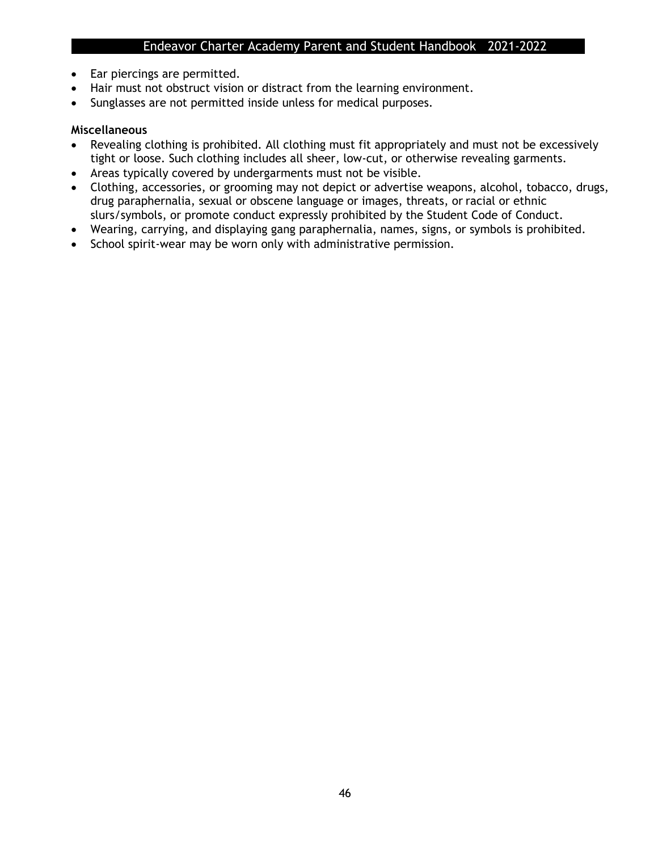- Ear piercings are permitted.
- Hair must not obstruct vision or distract from the learning environment.
- Sunglasses are not permitted inside unless for medical purposes.

#### **Miscellaneous**

- Revealing clothing is prohibited. All clothing must fit appropriately and must not be excessively tight or loose. Such clothing includes all sheer, low-cut, or otherwise revealing garments.
- Areas typically covered by undergarments must not be visible.
- Clothing, accessories, or grooming may not depict or advertise weapons, alcohol, tobacco, drugs, drug paraphernalia, sexual or obscene language or images, threats, or racial or ethnic slurs/symbols, or promote conduct expressly prohibited by the Student Code of Conduct.
- Wearing, carrying, and displaying gang paraphernalia, names, signs, or symbols is prohibited.
- School spirit-wear may be worn only with administrative permission.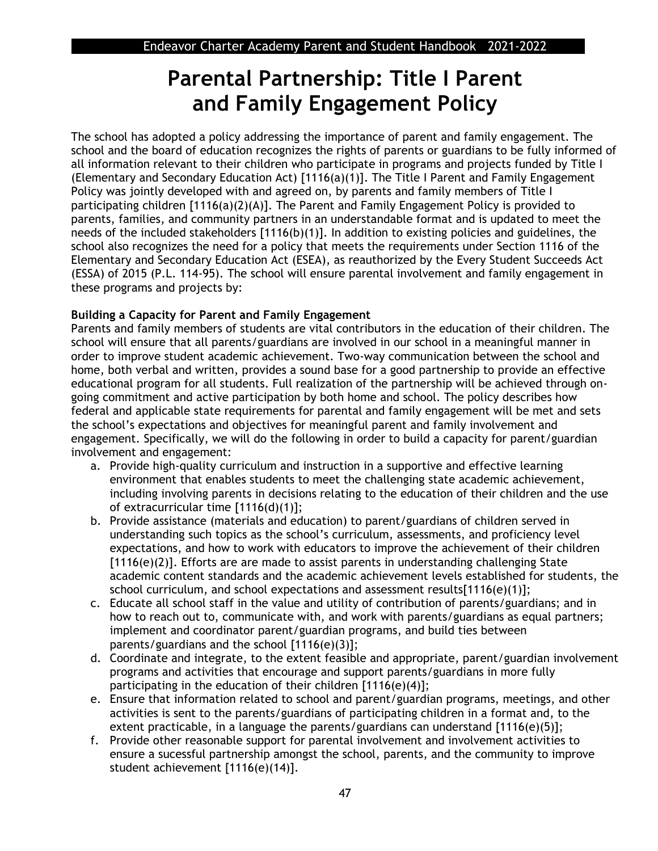## **Parental Partnership: Title I Parent and Family Engagement Policy**

The school has adopted a policy addressing the importance of parent and family engagement. The school and the board of education recognizes the rights of parents or guardians to be fully informed of all information relevant to their children who participate in programs and projects funded by Title I (Elementary and Secondary Education Act) [1116(a)(1)]. The Title I Parent and Family Engagement Policy was jointly developed with and agreed on, by parents and family members of Title I participating children [1116(a)(2)(A)]. The Parent and Family Engagement Policy is provided to parents, families, and community partners in an understandable format and is updated to meet the needs of the included stakeholders [1116(b)(1)]. In addition to existing policies and guidelines, the school also recognizes the need for a policy that meets the requirements under Section 1116 of the Elementary and Secondary Education Act (ESEA), as reauthorized by the Every Student Succeeds Act (ESSA) of 2015 (P.L. 114-95). The school will ensure parental involvement and family engagement in these programs and projects by:

### **Building a Capacity for Parent and Family Engagement**

Parents and family members of students are vital contributors in the education of their children. The school will ensure that all parents/guardians are involved in our school in a meaningful manner in order to improve student academic achievement. Two-way communication between the school and home, both verbal and written, provides a sound base for a good partnership to provide an effective educational program for all students. Full realization of the partnership will be achieved through ongoing commitment and active participation by both home and school. The policy describes how federal and applicable state requirements for parental and family engagement will be met and sets the school's expectations and objectives for meaningful parent and family involvement and engagement. Specifically, we will do the following in order to build a capacity for parent/guardian involvement and engagement:

- a. Provide high-quality curriculum and instruction in a supportive and effective learning environment that enables students to meet the challenging state academic achievement, including involving parents in decisions relating to the education of their children and the use of extracurricular time [1116(d)(1)];
- b. Provide assistance (materials and education) to parent/guardians of children served in understanding such topics as the school's curriculum, assessments, and proficiency level expectations, and how to work with educators to improve the achievement of their children [1116(e)(2)]. Efforts are are made to assist parents in understanding challenging State academic content standards and the academic achievement levels established for students, the school curriculum, and school expectations and assessment results $[1116(e)(1)]$ ;
- c. Educate all school staff in the value and utility of contribution of parents/guardians; and in how to reach out to, communicate with, and work with parents/guardians as equal partners; implement and coordinator parent/guardian programs, and build ties between parents/guardians and the school [1116(e)(3)];
- d. Coordinate and integrate, to the extent feasible and appropriate, parent/guardian involvement programs and activities that encourage and support parents/guardians in more fully participating in the education of their children [1116(e)(4)];
- e. Ensure that information related to school and parent/guardian programs, meetings, and other activities is sent to the parents/guardians of participating children in a format and, to the extent practicable, in a language the parents/guardians can understand [1116(e)(5)];
- f. Provide other reasonable support for parental involvement and involvement activities to ensure a sucessful partnership amongst the school, parents, and the community to improve student achievement [1116(e)(14)].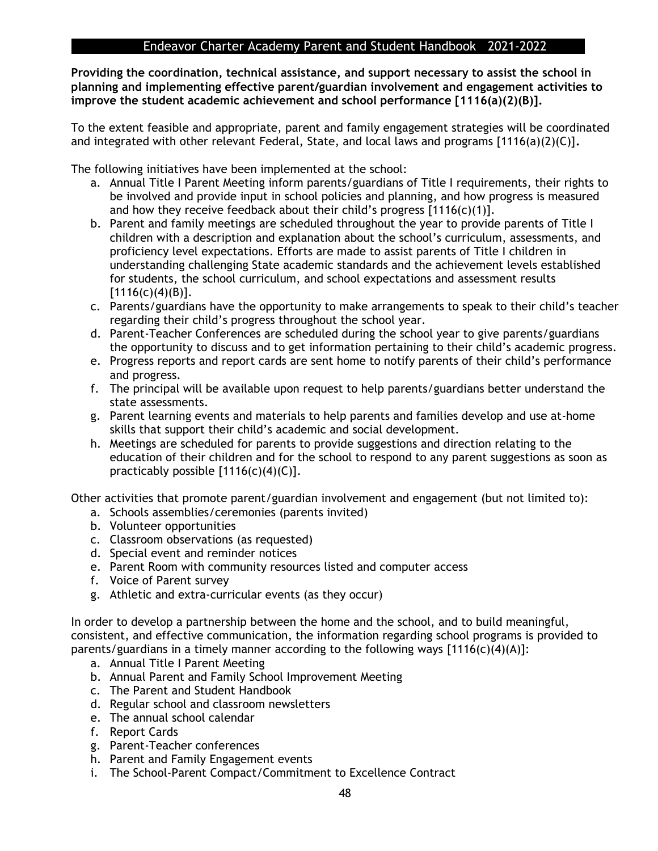**Providing the coordination, technical assistance, and support necessary to assist the school in planning and implementing effective parent/guardian involvement and engagement activities to improve the student academic achievement and school performance [1116(a)(2)(B)].** 

To the extent feasible and appropriate, parent and family engagement strategies will be coordinated and integrated with other relevant Federal, State, and local laws and programs [1116(a)(2)(C)]**.** 

The following initiatives have been implemented at the school:

- a. Annual Title I Parent Meeting inform parents/guardians of Title I requirements, their rights to be involved and provide input in school policies and planning, and how progress is measured and how they receive feedback about their child's progress  $[1116(c)(1)].$
- b. Parent and family meetings are scheduled throughout the year to provide parents of Title I children with a description and explanation about the school's curriculum, assessments, and proficiency level expectations. Efforts are made to assist parents of Title I children in understanding challenging State academic standards and the achievement levels established for students, the school curriculum, and school expectations and assessment results  $[1116(c)(4)(B)].$
- c. Parents/guardians have the opportunity to make arrangements to speak to their child's teacher regarding their child's progress throughout the school year.
- d. Parent-Teacher Conferences are scheduled during the school year to give parents/guardians the opportunity to discuss and to get information pertaining to their child's academic progress.
- e. Progress reports and report cards are sent home to notify parents of their child's performance and progress.
- f. The principal will be available upon request to help parents/guardians better understand the state assessments.
- g. Parent learning events and materials to help parents and families develop and use at-home skills that support their child's academic and social development.
- h. Meetings are scheduled for parents to provide suggestions and direction relating to the education of their children and for the school to respond to any parent suggestions as soon as practicably possible  $[1116(c)(4)(C)].$

Other activities that promote parent/guardian involvement and engagement (but not limited to):

- a. Schools assemblies/ceremonies (parents invited)
- b. Volunteer opportunities
- c. Classroom observations (as requested)
- d. Special event and reminder notices
- e. Parent Room with community resources listed and computer access
- f. Voice of Parent survey
- g. Athletic and extra-curricular events (as they occur)

In order to develop a partnership between the home and the school, and to build meaningful, consistent, and effective communication, the information regarding school programs is provided to parents/guardians in a timely manner according to the following ways [1116(c)(4)(A)]:

- a. Annual Title I Parent Meeting
- b. Annual Parent and Family School Improvement Meeting
- c. The Parent and Student Handbook
- d. Regular school and classroom newsletters
- e. The annual school calendar
- f. Report Cards
- g. Parent-Teacher conferences
- h. Parent and Family Engagement events
- i. The School-Parent Compact/Commitment to Excellence Contract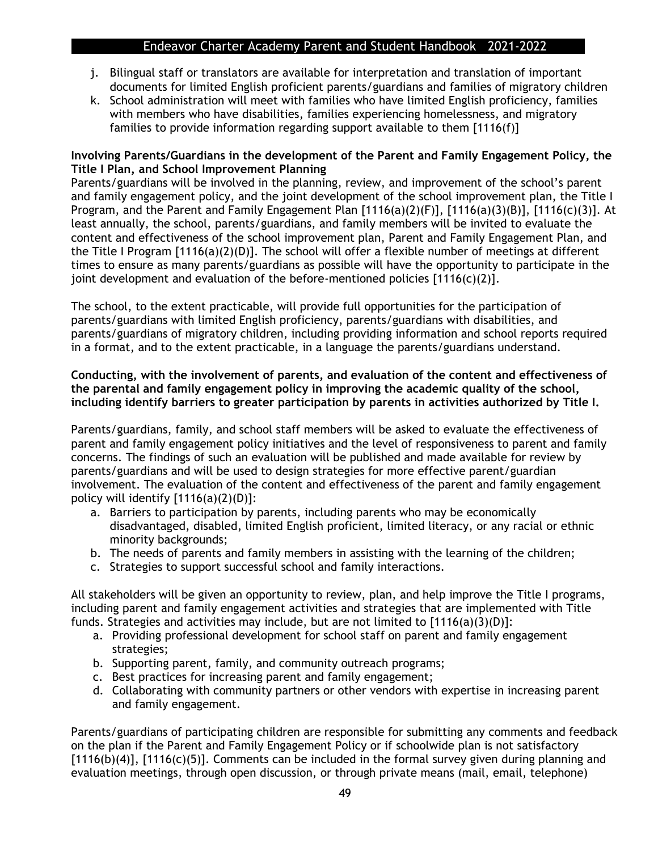- j. Bilingual staff or translators are available for interpretation and translation of important documents for limited English proficient parents/guardians and families of migratory children
- k. School administration will meet with families who have limited English proficiency, families with members who have disabilities, families experiencing homelessness, and migratory families to provide information regarding support available to them [1116(f)]

#### **Involving Parents/Guardians in the development of the Parent and Family Engagement Policy, the Title I Plan, and School Improvement Planning**

Parents/guardians will be involved in the planning, review, and improvement of the school's parent and family engagement policy, and the joint development of the school improvement plan, the Title I Program, and the Parent and Family Engagement Plan [1116(a)(2)(F)], [1116(a)(3)(B)], [1116(c)(3)]. At least annually, the school, parents/guardians, and family members will be invited to evaluate the content and effectiveness of the school improvement plan, Parent and Family Engagement Plan, and the Title I Program  $[1116(a)(2)(D)]$ . The school will offer a flexible number of meetings at different times to ensure as many parents/guardians as possible will have the opportunity to participate in the joint development and evaluation of the before-mentioned policies  $[1116(c)(2)].$ 

The school, to the extent practicable, will provide full opportunities for the participation of parents/guardians with limited English proficiency, parents/guardians with disabilities, and parents/guardians of migratory children, including providing information and school reports required in a format, and to the extent practicable, in a language the parents/guardians understand.

#### **Conducting, with the involvement of parents, and evaluation of the content and effectiveness of the parental and family engagement policy in improving the academic quality of the school, including identify barriers to greater participation by parents in activities authorized by Title I.**

Parents/guardians, family, and school staff members will be asked to evaluate the effectiveness of parent and family engagement policy initiatives and the level of responsiveness to parent and family concerns. The findings of such an evaluation will be published and made available for review by parents/guardians and will be used to design strategies for more effective parent/guardian involvement. The evaluation of the content and effectiveness of the parent and family engagement policy will identify  $[1116(a)(2)(D)]$ :

- a. Barriers to participation by parents, including parents who may be economically disadvantaged, disabled, limited English proficient, limited literacy, or any racial or ethnic minority backgrounds;
- b. The needs of parents and family members in assisting with the learning of the children;
- c. Strategies to support successful school and family interactions.

All stakeholders will be given an opportunity to review, plan, and help improve the Title I programs, including parent and family engagement activities and strategies that are implemented with Title funds. Strategies and activities may include, but are not limited to  $[1116(a)(3)(D)]$ :

- a. Providing professional development for school staff on parent and family engagement strategies;
- b. Supporting parent, family, and community outreach programs;
- c. Best practices for increasing parent and family engagement;
- d. Collaborating with community partners or other vendors with expertise in increasing parent and family engagement.

Parents/guardians of participating children are responsible for submitting any comments and feedback on the plan if the Parent and Family Engagement Policy or if schoolwide plan is not satisfactory  $[1116(b)(4)]$ ,  $[1116(c)(5)]$ . Comments can be included in the formal survey given during planning and evaluation meetings, through open discussion, or through private means (mail, email, telephone)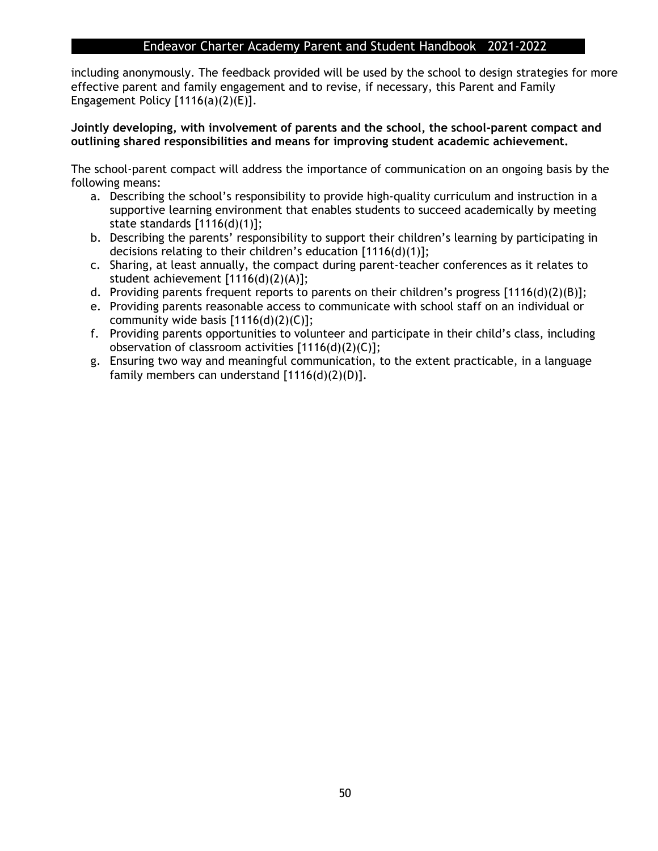including anonymously. The feedback provided will be used by the school to design strategies for more effective parent and family engagement and to revise, if necessary, this Parent and Family Engagement Policy [1116(a)(2)(E)].

**Jointly developing, with involvement of parents and the school, the school-parent compact and outlining shared responsibilities and means for improving student academic achievement.** 

The school-parent compact will address the importance of communication on an ongoing basis by the following means:

- a. Describing the school's responsibility to provide high-quality curriculum and instruction in a supportive learning environment that enables students to succeed academically by meeting state standards [1116(d)(1)];
- b. Describing the parents' responsibility to support their children's learning by participating in decisions relating to their children's education [1116(d)(1)];
- c. Sharing, at least annually, the compact during parent-teacher conferences as it relates to student achievement [1116(d)(2)(A)];
- d. Providing parents frequent reports to parents on their children's progress  $[1116(d)(2)(B)]$ ;
- e. Providing parents reasonable access to communicate with school staff on an individual or community wide basis  $[1116(d)(2)(C)]$ ;
- f. Providing parents opportunities to volunteer and participate in their child's class, including observation of classroom activities [1116(d)(2)(C)];
- g. Ensuring two way and meaningful communication, to the extent practicable, in a language family members can understand [1116(d)(2)(D)].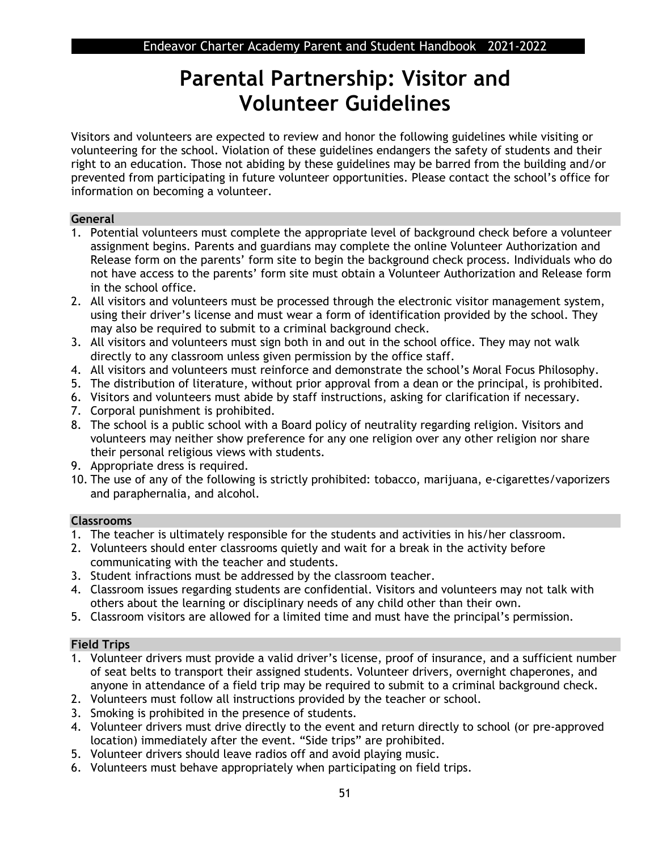## **Parental Partnership: Visitor and Volunteer Guidelines**

Visitors and volunteers are expected to review and honor the following guidelines while visiting or volunteering for the school. Violation of these guidelines endangers the safety of students and their right to an education. Those not abiding by these guidelines may be barred from the building and/or prevented from participating in future volunteer opportunities. Please contact the school's office for information on becoming a volunteer.

#### **General**

- 1. Potential volunteers must complete the appropriate level of background check before a volunteer assignment begins. Parents and guardians may complete the online Volunteer Authorization and Release form on the parents' form site to begin the background check process. Individuals who do not have access to the parents' form site must obtain a Volunteer Authorization and Release form in the school office.
- 2. All visitors and volunteers must be processed through the electronic visitor management system, using their driver's license and must wear a form of identification provided by the school. They may also be required to submit to a criminal background check.
- 3. All visitors and volunteers must sign both in and out in the school office. They may not walk directly to any classroom unless given permission by the office staff.
- 4. All visitors and volunteers must reinforce and demonstrate the school's Moral Focus Philosophy.
- 5. The distribution of literature, without prior approval from a dean or the principal, is prohibited.
- 6. Visitors and volunteers must abide by staff instructions, asking for clarification if necessary.
- 7. Corporal punishment is prohibited.
- 8. The school is a public school with a Board policy of neutrality regarding religion. Visitors and volunteers may neither show preference for any one religion over any other religion nor share their personal religious views with students.
- 9. Appropriate dress is required.
- 10. The use of any of the following is strictly prohibited: tobacco, marijuana, e-cigarettes/vaporizers and paraphernalia, and alcohol.

#### **Classrooms**

- 1. The teacher is ultimately responsible for the students and activities in his/her classroom.
- 2. Volunteers should enter classrooms quietly and wait for a break in the activity before communicating with the teacher and students.
- 3. Student infractions must be addressed by the classroom teacher.
- 4. Classroom issues regarding students are confidential. Visitors and volunteers may not talk with others about the learning or disciplinary needs of any child other than their own.
- 5. Classroom visitors are allowed for a limited time and must have the principal's permission.

#### **Field Trips**

- 1. Volunteer drivers must provide a valid driver's license, proof of insurance, and a sufficient number of seat belts to transport their assigned students. Volunteer drivers, overnight chaperones, and anyone in attendance of a field trip may be required to submit to a criminal background check.
- 2. Volunteers must follow all instructions provided by the teacher or school.
- 3. Smoking is prohibited in the presence of students.
- 4. Volunteer drivers must drive directly to the event and return directly to school (or pre-approved location) immediately after the event. "Side trips" are prohibited.
- 5. Volunteer drivers should leave radios off and avoid playing music.
- 6. Volunteers must behave appropriately when participating on field trips.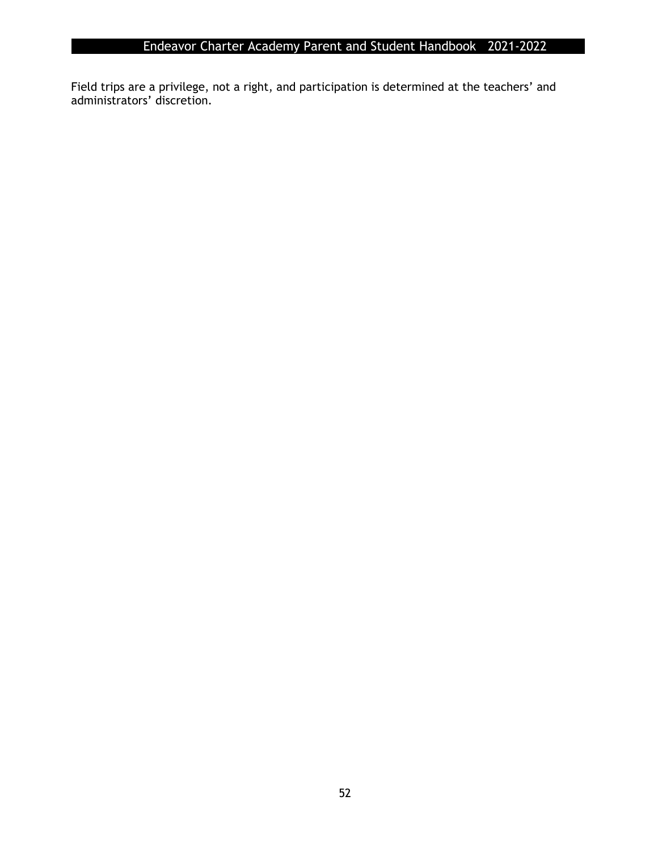Field trips are a privilege, not a right, and participation is determined at the teachers' and administrators' discretion.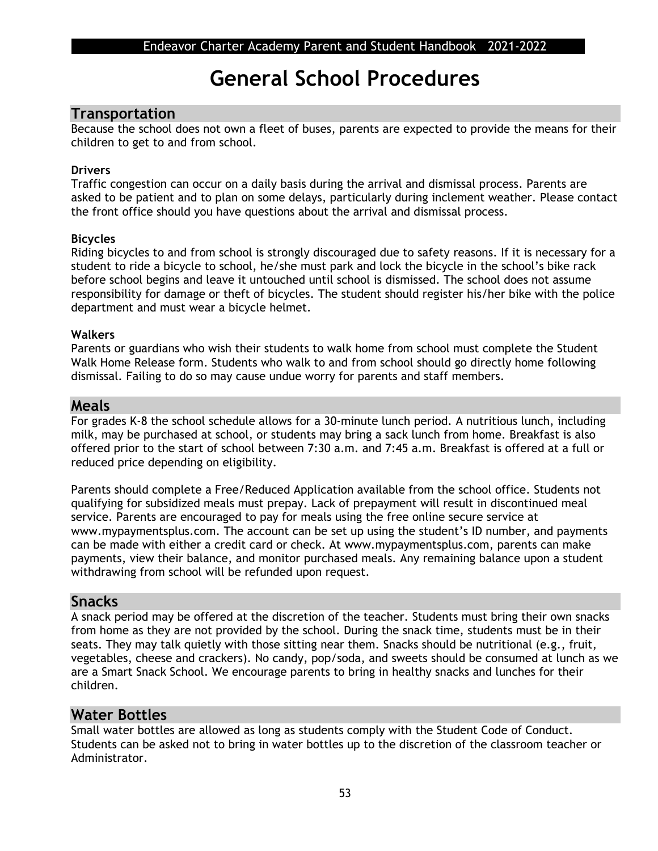## **General School Procedures**

### **Transportation**

Because the school does not own a fleet of buses, parents are expected to provide the means for their children to get to and from school.

#### **Drivers**

Traffic congestion can occur on a daily basis during the arrival and dismissal process. Parents are asked to be patient and to plan on some delays, particularly during inclement weather. Please contact the front office should you have questions about the arrival and dismissal process.

#### **Bicycles**

Riding bicycles to and from school is strongly discouraged due to safety reasons. If it is necessary for a student to ride a bicycle to school, he/she must park and lock the bicycle in the school's bike rack before school begins and leave it untouched until school is dismissed. The school does not assume responsibility for damage or theft of bicycles. The student should register his/her bike with the police department and must wear a bicycle helmet.

#### **Walkers**

Parents or guardians who wish their students to walk home from school must complete the Student Walk Home Release form. Students who walk to and from school should go directly home following dismissal. Failing to do so may cause undue worry for parents and staff members.

#### **Meals**

For grades K-8 the school schedule allows for a 30-minute lunch period. A nutritious lunch, including milk, may be purchased at school, or students may bring a sack lunch from home. Breakfast is also offered prior to the start of school between 7:30 a.m. and 7:45 a.m. Breakfast is offered at a full or reduced price depending on eligibility.

Parents should complete a Free/Reduced Application available from the school office. Students not qualifying for subsidized meals must prepay. Lack of prepayment will result in discontinued meal service. Parents are encouraged to pay for meals using the free online secure service at www.mypaymentsplus.com. The account can be set up using the student's ID number, and payments can be made with either a credit card or check. At www.mypaymentsplus.com, parents can make payments, view their balance, and monitor purchased meals. Any remaining balance upon a student withdrawing from school will be refunded upon request.

## **Snacks**

A snack period may be offered at the discretion of the teacher. Students must bring their own snacks from home as they are not provided by the school. During the snack time, students must be in their seats. They may talk quietly with those sitting near them. Snacks should be nutritional (e.g., fruit, vegetables, cheese and crackers). No candy, pop/soda, and sweets should be consumed at lunch as we are a Smart Snack School. We encourage parents to bring in healthy snacks and lunches for their children.

## **Water Bottles**

Small water bottles are allowed as long as students comply with the Student Code of Conduct. Students can be asked not to bring in water bottles up to the discretion of the classroom teacher or Administrator.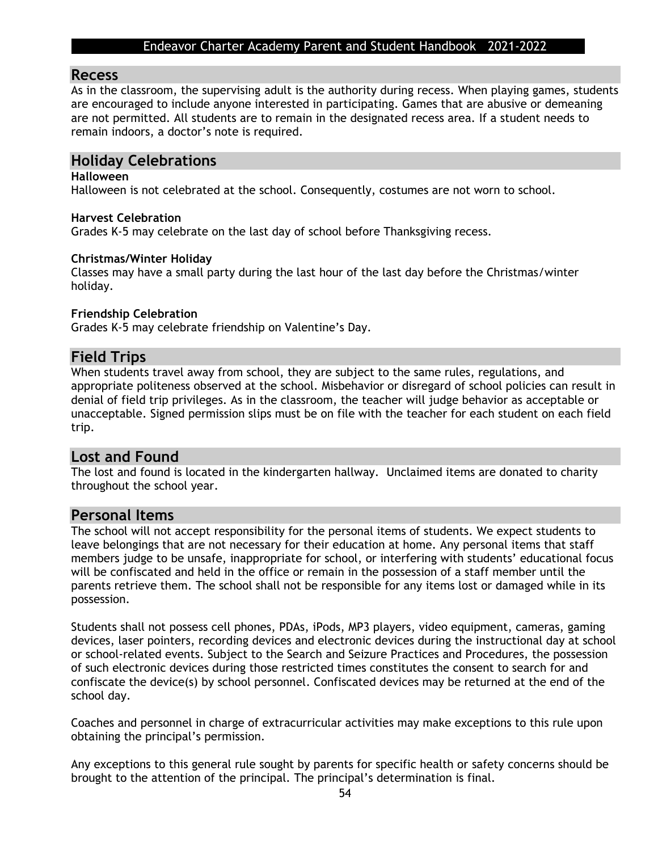#### **Recess**

As in the classroom, the supervising adult is the authority during recess. When playing games, students are encouraged to include anyone interested in participating. Games that are abusive or demeaning are not permitted. All students are to remain in the designated recess area. If a student needs to remain indoors, a doctor's note is required.

### **Holiday Celebrations**

#### **Halloween**

Halloween is not celebrated at the school. Consequently, costumes are not worn to school.

#### **Harvest Celebration**

Grades K-5 may celebrate on the last day of school before Thanksgiving recess.

#### **Christmas/Winter Holiday**

Classes may have a small party during the last hour of the last day before the Christmas/winter holiday.

#### **Friendship Celebration**

Grades K-5 may celebrate friendship on Valentine's Day.

#### **Field Trips**

When students travel away from school, they are subject to the same rules, regulations, and appropriate politeness observed at the school. Misbehavior or disregard of school policies can result in denial of field trip privileges. As in the classroom, the teacher will judge behavior as acceptable or unacceptable. Signed permission slips must be on file with the teacher for each student on each field trip.

### **Lost and Found**

The lost and found is located in the kindergarten hallway. Unclaimed items are donated to charity throughout the school year.

#### **Personal Items**

The school will not accept responsibility for the personal items of students. We expect students to leave belongings that are not necessary for their education at home. Any personal items that staff members judge to be unsafe, inappropriate for school, or interfering with students' educational focus will be confiscated and held in the office or remain in the possession of a staff member until the parents retrieve them. The school shall not be responsible for any items lost or damaged while in its possession.

Students shall not possess cell phones, PDAs, iPods, MP3 players, video equipment, cameras, gaming devices, laser pointers, recording devices and electronic devices during the instructional day at school or school-related events. Subject to the Search and Seizure Practices and Procedures, the possession of such electronic devices during those restricted times constitutes the consent to search for and confiscate the device(s) by school personnel. Confiscated devices may be returned at the end of the school day.

Coaches and personnel in charge of extracurricular activities may make exceptions to this rule upon obtaining the principal's permission.

Any exceptions to this general rule sought by parents for specific health or safety concerns should be brought to the attention of the principal. The principal's determination is final.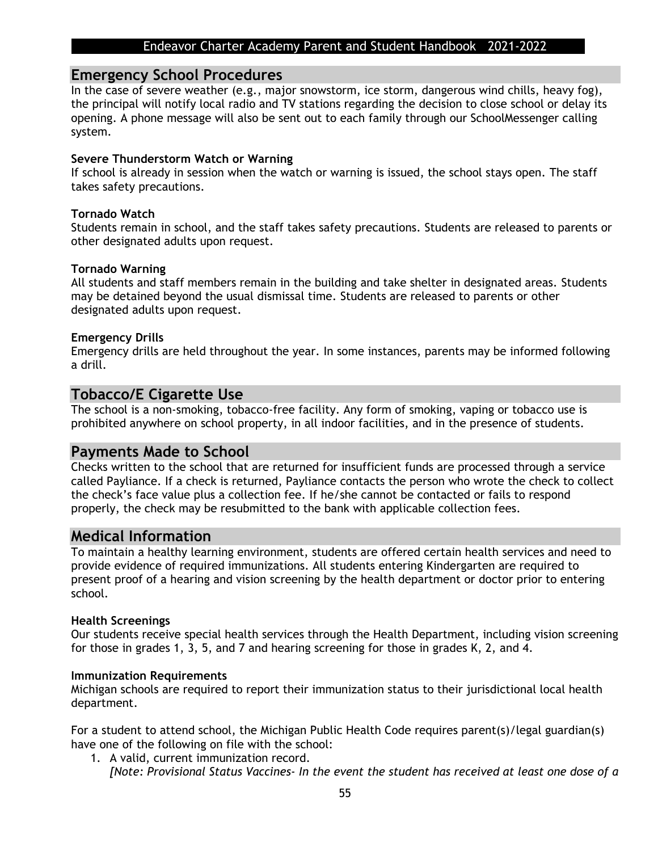#### **Emergency School Procedures**

In the case of severe weather (e.g., major snowstorm, ice storm, dangerous wind chills, heavy fog), the principal will notify local radio and TV stations regarding the decision to close school or delay its opening. A phone message will also be sent out to each family through our SchoolMessenger calling system.

#### **Severe Thunderstorm Watch or Warning**

If school is already in session when the watch or warning is issued, the school stays open. The staff takes safety precautions.

#### **Tornado Watch**

Students remain in school, and the staff takes safety precautions. Students are released to parents or other designated adults upon request.

#### **Tornado Warning**

All students and staff members remain in the building and take shelter in designated areas. Students may be detained beyond the usual dismissal time. Students are released to parents or other designated adults upon request.

#### **Emergency Drills**

Emergency drills are held throughout the year. In some instances, parents may be informed following a drill.

### **Tobacco/E Cigarette Use**

The school is a non-smoking, tobacco-free facility. Any form of smoking, vaping or tobacco use is prohibited anywhere on school property, in all indoor facilities, and in the presence of students.

#### **Payments Made to School**

Checks written to the school that are returned for insufficient funds are processed through a service called Payliance. If a check is returned, Payliance contacts the person who wrote the check to collect the check's face value plus a collection fee. If he/she cannot be contacted or fails to respond properly, the check may be resubmitted to the bank with applicable collection fees.

#### **Medical Information**

To maintain a healthy learning environment, students are offered certain health services and need to provide evidence of required immunizations. All students entering Kindergarten are required to present proof of a hearing and vision screening by the health department or doctor prior to entering school.

#### **Health Screenings**

Our students receive special health services through the Health Department, including vision screening for those in grades 1, 3, 5, and 7 and hearing screening for those in grades K, 2, and 4.

#### **Immunization Requirements**

Michigan schools are required to report their immunization status to their jurisdictional local health department.

For a student to attend school, the Michigan Public Health Code requires parent(s)/legal guardian(s) have one of the following on file with the school:

1. A valid, current immunization record. *[Note: Provisional Status Vaccines- In the event the student has received at least one dose of a*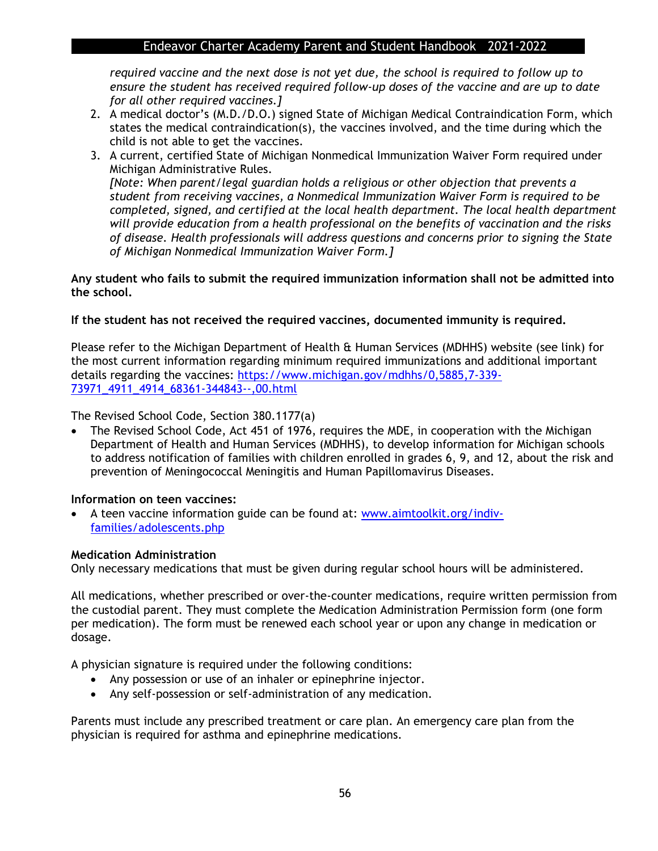*required vaccine and the next dose is not yet due, the school is required to follow up to ensure the student has received required follow-up doses of the vaccine and are up to date for all other required vaccines.]* 

- 2. A medical doctor's (M.D./D.O.) signed State of Michigan Medical Contraindication Form, which states the medical contraindication(s), the vaccines involved, and the time during which the child is not able to get the vaccines.
- 3. A current, certified State of Michigan Nonmedical Immunization Waiver Form required under Michigan Administrative Rules. *[Note: When parent/legal guardian holds a religious or other objection that prevents a student from receiving vaccines, a Nonmedical Immunization Waiver Form is required to be completed, signed, and certified at the local health department. The local health department will provide education from a health professional on the benefits of vaccination and the risks*

*of disease. Health professionals will address questions and concerns prior to signing the State* 

**Any student who fails to submit the required immunization information shall not be admitted into the school.**

**If the student has not received the required vaccines, documented immunity is required.**

*of Michigan Nonmedical Immunization Waiver Form.]* 

Please refer to the Michigan Department of Health & Human Services (MDHHS) website (see link) for the most current information regarding minimum required immunizations and additional important details regarding the vaccines: [https://www.michigan.gov/mdhhs/0,5885,7-339-](https://www.michigan.gov/mdhhs/0,5885,7-339-73971_4911_4914_68361-344843--,00.html) [73971\\_4911\\_4914\\_68361-344843--,00.html](https://www.michigan.gov/mdhhs/0,5885,7-339-73971_4911_4914_68361-344843--,00.html)

The Revised School Code, Section 380.1177(a)

• The Revised School Code, Act 451 of 1976, requires the MDE, in cooperation with the Michigan Department of Health and Human Services (MDHHS), to develop information for Michigan schools to address notification of families with children enrolled in grades 6, 9, and 12, about the risk and prevention of Meningococcal Meningitis and Human Papillomavirus Diseases.

#### **Information on teen vaccines:**

• A teen vaccine information guide can be found at: [www.aimtoolkit.org/indiv](http://www.aimtoolkit.org/indiv-families/adolescents.php)[families/adolescents.php](http://www.aimtoolkit.org/indiv-families/adolescents.php)

#### **Medication Administration**

Only necessary medications that must be given during regular school hours will be administered.

All medications, whether prescribed or over-the-counter medications, require written permission from the custodial parent. They must complete the Medication Administration Permission form (one form per medication). The form must be renewed each school year or upon any change in medication or dosage.

A physician signature is required under the following conditions:

- Any possession or use of an inhaler or epinephrine injector.
- Any self-possession or self-administration of any medication.

Parents must include any prescribed treatment or care plan. An emergency care plan from the physician is required for asthma and epinephrine medications.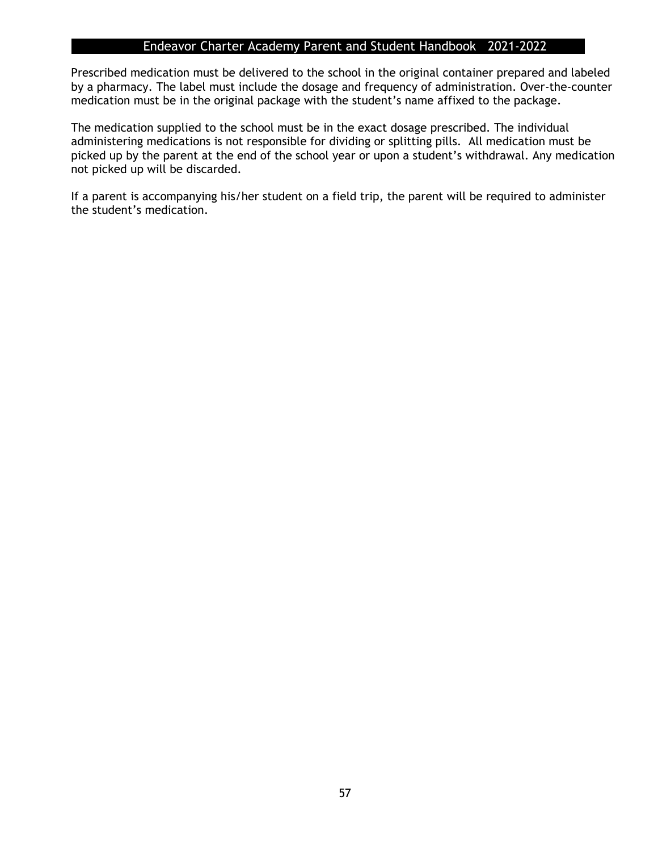Prescribed medication must be delivered to the school in the original container prepared and labeled by a pharmacy. The label must include the dosage and frequency of administration. Over-the-counter medication must be in the original package with the student's name affixed to the package.

The medication supplied to the school must be in the exact dosage prescribed. The individual administering medications is not responsible for dividing or splitting pills. All medication must be picked up by the parent at the end of the school year or upon a student's withdrawal. Any medication not picked up will be discarded.

If a parent is accompanying his/her student on a field trip, the parent will be required to administer the student's medication.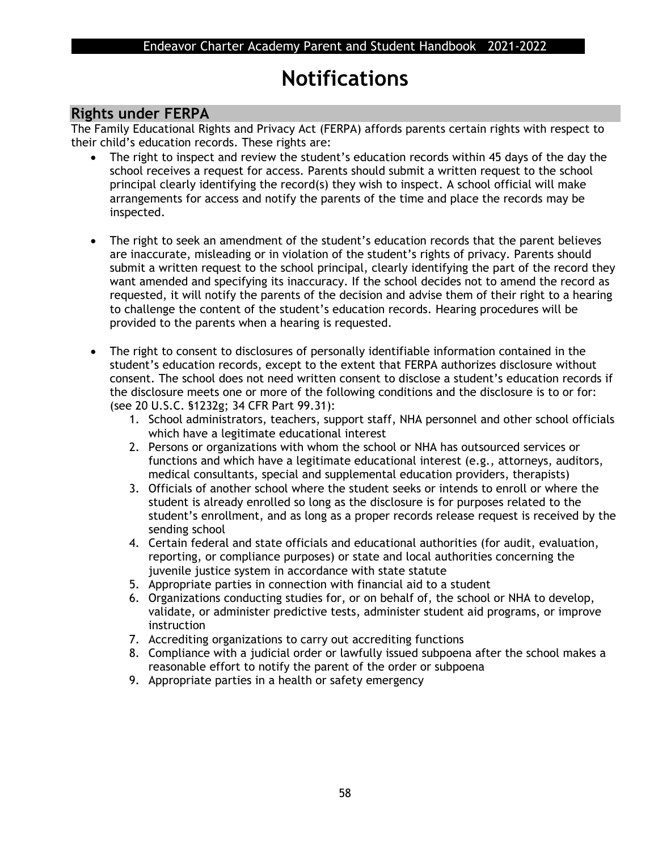## **Notifications**

## **Rights under FERPA**

The Family Educational Rights and Privacy Act (FERPA) affords parents certain rights with respect to their child's education records. These rights are:

- The right to inspect and review the student's education records within 45 days of the day the school receives a request for access. Parents should submit a written request to the school principal clearly identifying the record(s) they wish to inspect. A school official will make arrangements for access and notify the parents of the time and place the records may be inspected.
- The right to seek an amendment of the student's education records that the parent believes are inaccurate, misleading or in violation of the student's rights of privacy. Parents should submit a written request to the school principal, clearly identifying the part of the record they want amended and specifying its inaccuracy. If the school decides not to amend the record as requested, it will notify the parents of the decision and advise them of their right to a hearing to challenge the content of the student's education records. Hearing procedures will be provided to the parents when a hearing is requested.
- The right to consent to disclosures of personally identifiable information contained in the student's education records, except to the extent that FERPA authorizes disclosure without consent. The school does not need written consent to disclose a student's education records if the disclosure meets one or more of the following conditions and the disclosure is to or for: (see 20 U.S.C. §1232g; 34 CFR Part 99.31):
	- 1. School administrators, teachers, support staff, NHA personnel and other school officials which have a legitimate educational interest
	- 2. Persons or organizations with whom the school or NHA has outsourced services or functions and which have a legitimate educational interest (e.g., attorneys, auditors, medical consultants, special and supplemental education providers, therapists)
	- 3. Officials of another school where the student seeks or intends to enroll or where the student is already enrolled so long as the disclosure is for purposes related to the student's enrollment, and as long as a proper records release request is received by the sending school
	- 4. Certain federal and state officials and educational authorities (for audit, evaluation, reporting, or compliance purposes) or state and local authorities concerning the juvenile justice system in accordance with state statute
	- 5. Appropriate parties in connection with financial aid to a student
	- 6. Organizations conducting studies for, or on behalf of, the school or NHA to develop, validate, or administer predictive tests, administer student aid programs, or improve instruction
	- 7. Accrediting organizations to carry out accrediting functions
	- 8. Compliance with a judicial order or lawfully issued subpoena after the school makes a reasonable effort to notify the parent of the order or subpoena
	- 9. Appropriate parties in a health or safety emergency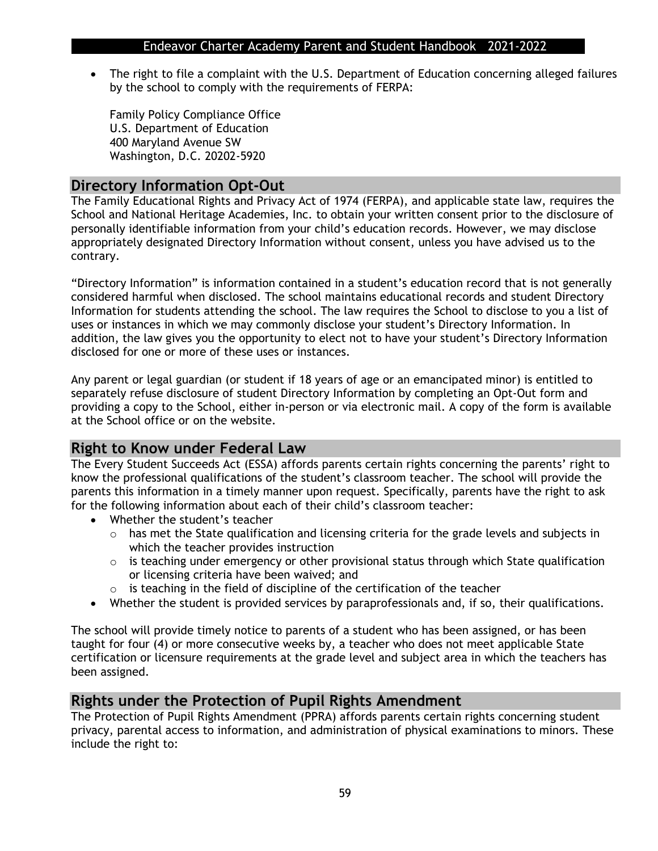• The right to file a complaint with the U.S. Department of Education concerning alleged failures by the school to comply with the requirements of FERPA:

Family Policy Compliance Office U.S. Department of Education 400 Maryland Avenue SW Washington, D.C. 20202-5920

## **Directory Information Opt-Out**

The Family Educational Rights and Privacy Act of 1974 (FERPA), and applicable state law, requires the School and National Heritage Academies, Inc. to obtain your written consent prior to the disclosure of personally identifiable information from your child's education records. However, we may disclose appropriately designated Directory Information without consent, unless you have advised us to the contrary.

"Directory Information" is information contained in a student's education record that is not generally considered harmful when disclosed. The school maintains educational records and student Directory Information for students attending the school. The law requires the School to disclose to you a list of uses or instances in which we may commonly disclose your student's Directory Information. In addition, the law gives you the opportunity to elect not to have your student's Directory Information disclosed for one or more of these uses or instances.

Any parent or legal guardian (or student if 18 years of age or an emancipated minor) is entitled to separately refuse disclosure of student Directory Information by completing an Opt-Out form and providing a copy to the School, either in-person or via electronic mail. A copy of the form is available at the School office or on the website.

## **Right to Know under Federal Law**

The Every Student Succeeds Act (ESSA) affords parents certain rights concerning the parents' right to know the professional qualifications of the student's classroom teacher. The school will provide the parents this information in a timely manner upon request. Specifically, parents have the right to ask for the following information about each of their child's classroom teacher:

- Whether the student's teacher
	- $\circ$  has met the State qualification and licensing criteria for the grade levels and subjects in which the teacher provides instruction
	- o is teaching under emergency or other provisional status through which State qualification or licensing criteria have been waived; and
	- $\circ$  is teaching in the field of discipline of the certification of the teacher
- Whether the student is provided services by paraprofessionals and, if so, their qualifications.

The school will provide timely notice to parents of a student who has been assigned, or has been taught for four (4) or more consecutive weeks by, a teacher who does not meet applicable State certification or licensure requirements at the grade level and subject area in which the teachers has been assigned.

## **Rights under the Protection of Pupil Rights Amendment**

The Protection of Pupil Rights Amendment (PPRA) affords parents certain rights concerning student privacy, parental access to information, and administration of physical examinations to minors. These include the right to: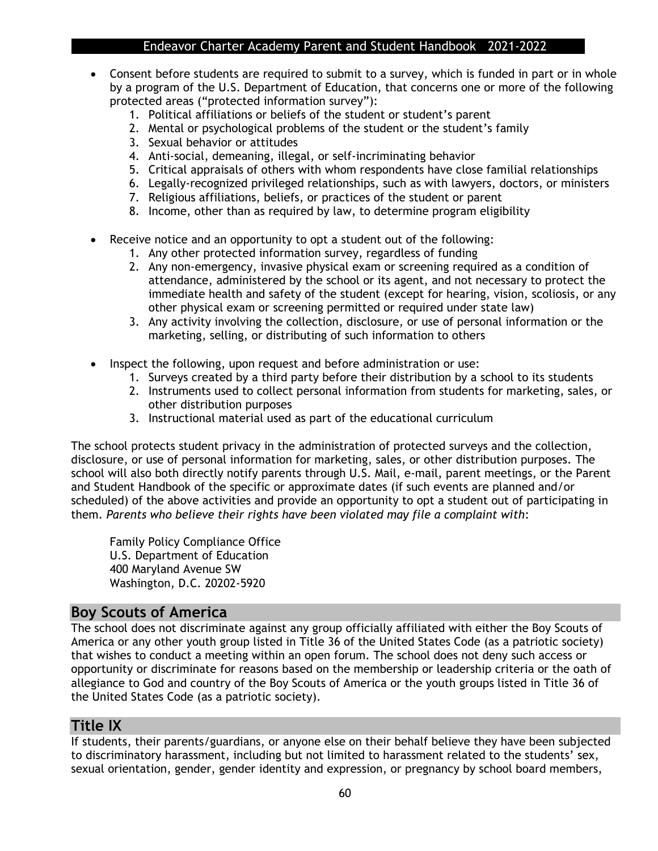- Consent before students are required to submit to a survey, which is funded in part or in whole by a program of the U.S. Department of Education, that concerns one or more of the following protected areas ("protected information survey"):
	- 1. Political affiliations or beliefs of the student or student's parent
	- 2. Mental or psychological problems of the student or the student's family
	- 3. Sexual behavior or attitudes
	- 4. Anti-social, demeaning, illegal, or self-incriminating behavior
	- 5. Critical appraisals of others with whom respondents have close familial relationships
	- 6. Legally-recognized privileged relationships, such as with lawyers, doctors, or ministers
	- 7. Religious affiliations, beliefs, or practices of the student or parent
	- 8. Income, other than as required by law, to determine program eligibility
- Receive notice and an opportunity to opt a student out of the following:
	- 1. Any other protected information survey, regardless of funding
	- 2. Any non-emergency, invasive physical exam or screening required as a condition of attendance, administered by the school or its agent, and not necessary to protect the immediate health and safety of the student (except for hearing, vision, scoliosis, or any other physical exam or screening permitted or required under state law)
	- 3. Any activity involving the collection, disclosure, or use of personal information or the marketing, selling, or distributing of such information to others
- Inspect the following, upon request and before administration or use:
	- 1. Surveys created by a third party before their distribution by a school to its students
	- 2. Instruments used to collect personal information from students for marketing, sales, or other distribution purposes
	- 3. Instructional material used as part of the educational curriculum

The school protects student privacy in the administration of protected surveys and the collection, disclosure, or use of personal information for marketing, sales, or other distribution purposes. The school will also both directly notify parents through U.S. Mail, e-mail, parent meetings, or the Parent and Student Handbook of the specific or approximate dates (if such events are planned and/or scheduled) of the above activities and provide an opportunity to opt a student out of participating in them. *Parents who believe their rights have been violated may file a complaint with*:

Family Policy Compliance Office U.S. Department of Education 400 Maryland Avenue SW Washington, D.C. 20202-5920

## **Boy Scouts of America**

The school does not discriminate against any group officially affiliated with either the Boy Scouts of America or any other youth group listed in Title 36 of the United States Code (as a patriotic society) that wishes to conduct a meeting within an open forum. The school does not deny such access or opportunity or discriminate for reasons based on the membership or leadership criteria or the oath of allegiance to God and country of the Boy Scouts of America or the youth groups listed in Title 36 of the United States Code (as a patriotic society).

## **Title IX**

If students, their parents/guardians, or anyone else on their behalf believe they have been subjected to discriminatory harassment, including but not limited to harassment related to the students' sex, sexual orientation, gender, gender identity and expression, or pregnancy by school board members,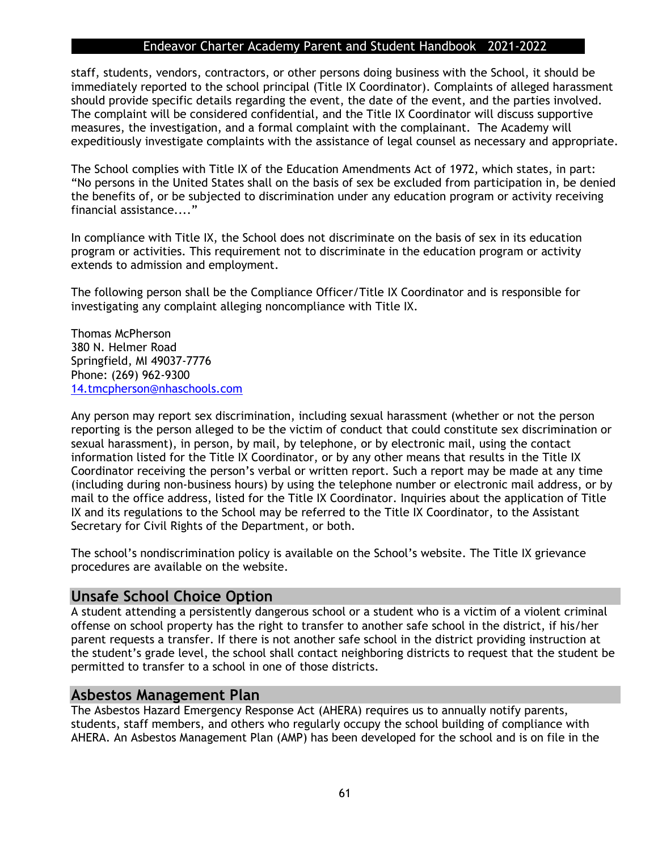staff, students, vendors, contractors, or other persons doing business with the School, it should be immediately reported to the school principal (Title IX Coordinator). Complaints of alleged harassment should provide specific details regarding the event, the date of the event, and the parties involved. The complaint will be considered confidential, and the Title IX Coordinator will discuss supportive measures, the investigation, and a formal complaint with the complainant. The Academy will expeditiously investigate complaints with the assistance of legal counsel as necessary and appropriate.

The School complies with Title IX of the Education Amendments Act of 1972, which states, in part: "No persons in the United States shall on the basis of sex be excluded from participation in, be denied the benefits of, or be subjected to discrimination under any education program or activity receiving financial assistance...."

In compliance with Title IX, the School does not discriminate on the basis of sex in its education program or activities. This requirement not to discriminate in the education program or activity extends to admission and employment.

The following person shall be the Compliance Officer/Title IX Coordinator and is responsible for investigating any complaint alleging noncompliance with Title IX.

Thomas McPherson 380 N. Helmer Road Springfield, MI 49037-7776 Phone: (269) 962-9300 [14.tmcpherson@nhaschools.com](mailto:14.tmcpherson@nhaschools.com)

Any person may report sex discrimination, including sexual harassment (whether or not the person reporting is the person alleged to be the victim of conduct that could constitute sex discrimination or sexual harassment), in person, by mail, by telephone, or by electronic mail, using the contact information listed for the Title IX Coordinator, or by any other means that results in the Title IX Coordinator receiving the person's verbal or written report. Such a report may be made at any time (including during non-business hours) by using the telephone number or electronic mail address, or by mail to the office address, listed for the Title IX Coordinator. Inquiries about the application of Title IX and its regulations to the School may be referred to the Title IX Coordinator, to the Assistant Secretary for Civil Rights of the Department, or both.

The school's nondiscrimination policy is available on the School's website. The Title IX grievance procedures are available on the website.

#### **Unsafe School Choice Option**

A student attending a persistently dangerous school or a student who is a victim of a violent criminal offense on school property has the right to transfer to another safe school in the district, if his/her parent requests a transfer. If there is not another safe school in the district providing instruction at the student's grade level, the school shall contact neighboring districts to request that the student be permitted to transfer to a school in one of those districts.

#### **Asbestos Management Plan**

The Asbestos Hazard Emergency Response Act (AHERA) requires us to annually notify parents, students, staff members, and others who regularly occupy the school building of compliance with AHERA. An Asbestos Management Plan (AMP) has been developed for the school and is on file in the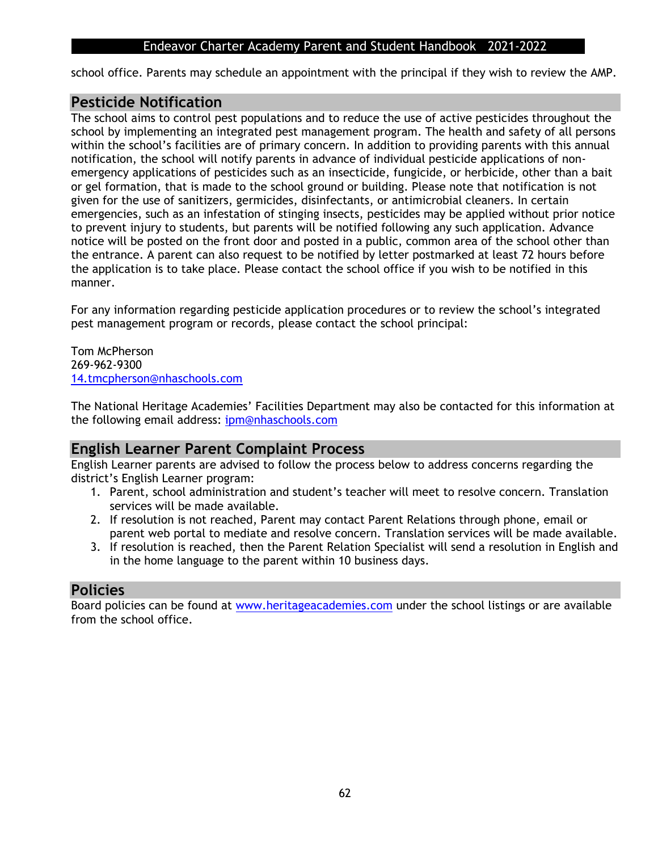school office. Parents may schedule an appointment with the principal if they wish to review the AMP.

### **Pesticide Notification**

The school aims to control pest populations and to reduce the use of active pesticides throughout the school by implementing an integrated pest management program. The health and safety of all persons within the school's facilities are of primary concern. In addition to providing parents with this annual notification, the school will notify parents in advance of individual pesticide applications of nonemergency applications of pesticides such as an insecticide, fungicide, or herbicide, other than a bait or gel formation, that is made to the school ground or building. Please note that notification is not given for the use of sanitizers, germicides, disinfectants, or antimicrobial cleaners. In certain emergencies, such as an infestation of stinging insects, pesticides may be applied without prior notice to prevent injury to students, but parents will be notified following any such application. Advance notice will be posted on the front door and posted in a public, common area of the school other than the entrance. A parent can also request to be notified by letter postmarked at least 72 hours before the application is to take place. Please contact the school office if you wish to be notified in this manner.

For any information regarding pesticide application procedures or to review the school's integrated pest management program or records, please contact the school principal:

Tom McPherson 269-962-9300 [14.tmcpherson@nhaschools.com](mailto:14.tmcpherson@nhaschools.com)

The National Heritage Academies' Facilities Department may also be contacted for this information at the following email address: [ipm@nhaschools.com](mailto:ipm@nhaschools.com)

## **English Learner Parent Complaint Process**

English Learner parents are advised to follow the process below to address concerns regarding the district's English Learner program:

- 1. Parent, school administration and student's teacher will meet to resolve concern. Translation services will be made available.
- 2. If resolution is not reached, Parent may contact Parent Relations through phone, email or parent web portal to mediate and resolve concern. Translation services will be made available.
- 3. If resolution is reached, then the Parent Relation Specialist will send a resolution in English and in the home language to the parent within 10 business days.

## **Policies**

Board policies can be found at [www.heritageacademies.com](http://www.heritageacademies.com/) under the school listings or are available from the school office.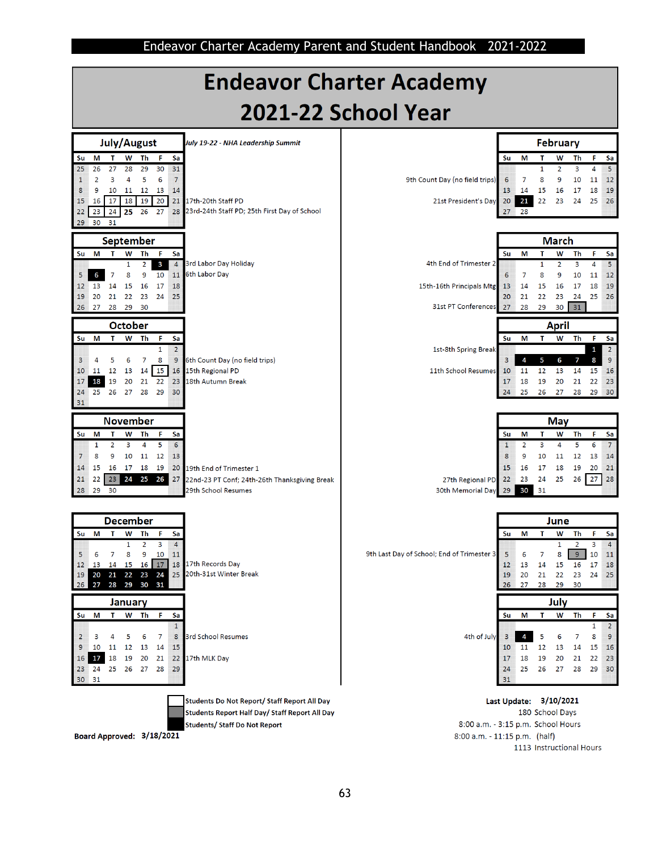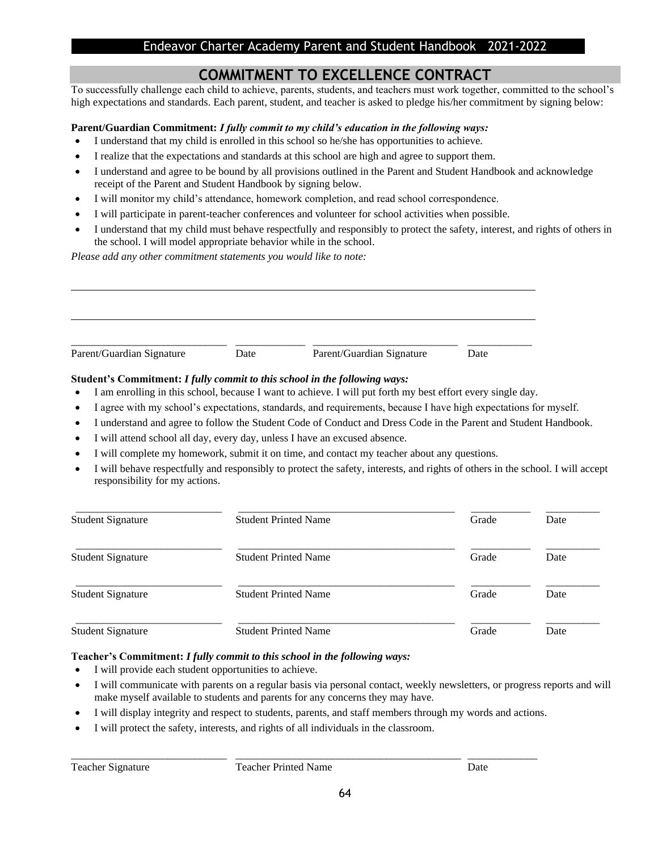## **COMMITMENT TO EXCELLENCE CONTRACT**

To successfully challenge each child to achieve, parents, students, and teachers must work together, committed to the school's high expectations and standards. Each parent, student, and teacher is asked to pledge his/her commitment by signing below:

#### **Parent/Guardian Commitment:** *I fully commit to my child's education in the following ways:*

- I understand that my child is enrolled in this school so he/she has opportunities to achieve.
- I realize that the expectations and standards at this school are high and agree to support them.
- I understand and agree to be bound by all provisions outlined in the Parent and Student Handbook and acknowledge receipt of the Parent and Student Handbook by signing below.
- I will monitor my child's attendance, homework completion, and read school correspondence.
- I will participate in parent-teacher conferences and volunteer for school activities when possible.
- I understand that my child must behave respectfully and responsibly to protect the safety, interest, and rights of others in the school. I will model appropriate behavior while in the school.

*Please add any other commitment statements you would like to note:*

| Parent/Guardian Signature | Date | Parent/Guardian Signature | Date |  |
|---------------------------|------|---------------------------|------|--|

#### **Student's Commitment:** *I fully commit to this school in the following ways:*

- I am enrolling in this school, because I want to achieve. I will put forth my best effort every single day.
- I agree with my school's expectations, standards, and requirements, because I have high expectations for myself.
- I understand and agree to follow the Student Code of Conduct and Dress Code in the Parent and Student Handbook.
- I will attend school all day, every day, unless I have an excused absence.
- I will complete my homework, submit it on time, and contact my teacher about any questions.
- I will behave respectfully and responsibly to protect the safety, interests, and rights of others in the school. I will accept responsibility for my actions.

| <b>Student Signature</b> | <b>Student Printed Name</b> | Grade | Date |
|--------------------------|-----------------------------|-------|------|
| <b>Student Signature</b> | <b>Student Printed Name</b> | Grade | Date |
| <b>Student Signature</b> | <b>Student Printed Name</b> | Grade | Date |
| <b>Student Signature</b> | <b>Student Printed Name</b> | Grade | Date |

#### **Teacher's Commitment:** *I fully commit to this school in the following ways:*

- I will provide each student opportunities to achieve.
- I will communicate with parents on a regular basis via personal contact, weekly newsletters, or progress reports and will make myself available to students and parents for any concerns they may have.
- I will display integrity and respect to students, parents, and staff members through my words and actions.

\_\_\_\_\_\_\_\_\_\_\_\_\_\_\_\_\_\_\_\_\_\_\_\_\_\_\_\_\_ \_\_\_\_\_\_\_\_\_\_\_\_\_\_\_\_\_\_\_\_\_\_\_\_\_\_\_\_\_\_\_\_\_\_\_\_\_\_\_\_\_\_ \_\_\_\_\_\_\_\_\_\_\_\_\_

I will protect the safety, interests, and rights of all individuals in the classroom.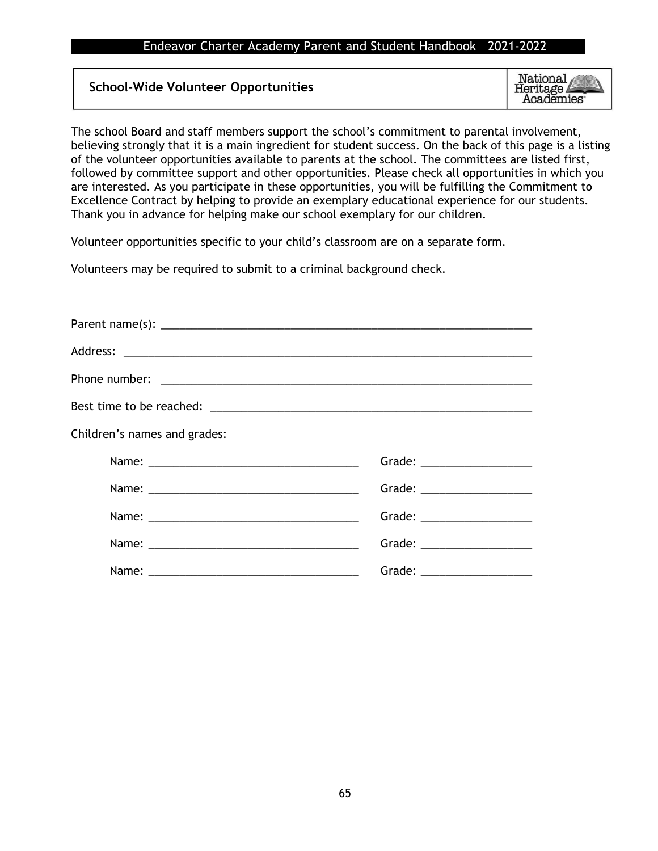#### **School-Wide Volunteer Opportunities**

National Heritage **Academies**<sup>®</sup>

The school Board and staff members support the school's commitment to parental involvement, believing strongly that it is a main ingredient for student success. On the back of this page is a listing of the volunteer opportunities available to parents at the school. The committees are listed first, followed by committee support and other opportunities. Please check all opportunities in which you are interested. As you participate in these opportunities, you will be fulfilling the Commitment to Excellence Contract by helping to provide an exemplary educational experience for our students. Thank you in advance for helping make our school exemplary for our children.

Volunteer opportunities specific to your child's classroom are on a separate form.

Volunteers may be required to submit to a criminal background check.

| Children's names and grades: |                                |
|------------------------------|--------------------------------|
|                              | Grade: _______________________ |
|                              | Grade: _____________________   |
|                              | Grade: __________________      |
|                              | Grade: ___________________     |
|                              | Grade: ___________________     |